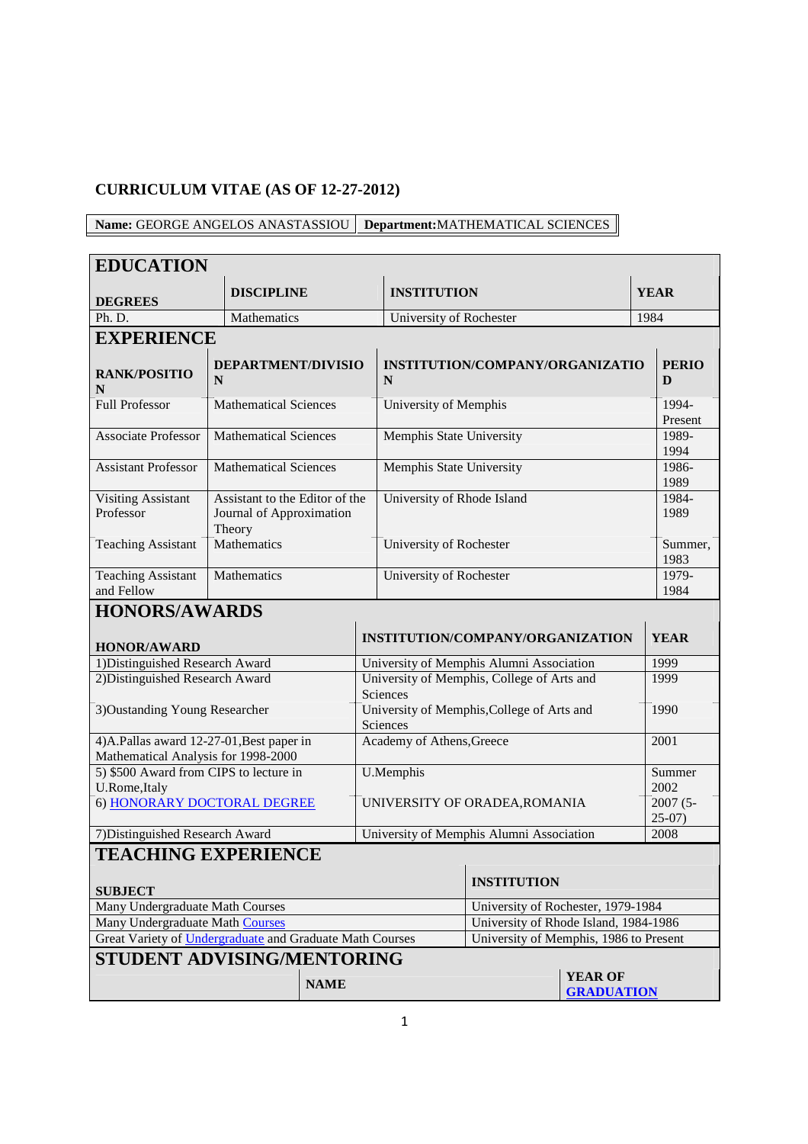# **CURRICULUM VITAE (AS OF 12-27-2012)**

**Name:** GEORGE ANGELOS ANASTASSIOU **Department:**MATHEMATICAL SCIENCES

| <b>EDUCATION</b>                                                                |                                                                      |             |                                          |                                            |                                     |                       |
|---------------------------------------------------------------------------------|----------------------------------------------------------------------|-------------|------------------------------------------|--------------------------------------------|-------------------------------------|-----------------------|
|                                                                                 | <b>DISCIPLINE</b>                                                    |             | <b>INSTITUTION</b>                       |                                            |                                     | <b>YEAR</b>           |
| <b>DEGREES</b><br>Ph. D.                                                        | Mathematics                                                          |             |                                          | University of Rochester                    |                                     |                       |
|                                                                                 |                                                                      |             |                                          |                                            |                                     | 1984                  |
| <b>EXPERIENCE</b>                                                               |                                                                      |             |                                          |                                            |                                     |                       |
| <b>RANK/POSITIO</b><br>N                                                        | <b>DEPARTMENT/DIVISIO</b><br>N                                       |             | INSTITUTION/COMPANY/ORGANIZATIO<br>N     |                                            |                                     | <b>PERIO</b><br>D     |
| <b>Full Professor</b>                                                           | <b>Mathematical Sciences</b>                                         |             | University of Memphis                    |                                            |                                     | 1994-<br>Present      |
| <b>Associate Professor</b>                                                      | <b>Mathematical Sciences</b>                                         |             | Memphis State University                 |                                            |                                     | 1989-<br>1994         |
| <b>Assistant Professor</b>                                                      | <b>Mathematical Sciences</b>                                         |             | Memphis State University                 |                                            |                                     | 1986-<br>1989         |
| <b>Visiting Assistant</b><br>Professor                                          | Assistant to the Editor of the<br>Journal of Approximation<br>Theory |             | University of Rhode Island               |                                            |                                     | 1984-<br>1989         |
| <b>Teaching Assistant</b>                                                       | Mathematics                                                          |             | University of Rochester                  |                                            |                                     | Summer,<br>1983       |
| <b>Teaching Assistant</b><br>and Fellow                                         | Mathematics                                                          |             | University of Rochester                  |                                            |                                     | 1979-<br>1984         |
| <b>HONORS/AWARDS</b>                                                            |                                                                      |             |                                          |                                            |                                     |                       |
| <b>HONOR/AWARD</b>                                                              |                                                                      |             |                                          | INSTITUTION/COMPANY/ORGANIZATION           |                                     | <b>YEAR</b>           |
| 1) Distinguished Research Award                                                 |                                                                      |             |                                          | University of Memphis Alumni Association   |                                     | 1999                  |
| 2) Distinguished Research Award                                                 |                                                                      |             | Sciences                                 | University of Memphis, College of Arts and |                                     | 1999                  |
| 3) Oustanding Young Researcher                                                  |                                                                      |             | Sciences                                 | University of Memphis, College of Arts and |                                     | 1990                  |
| 4)A.Pallas award 12-27-01, Best paper in<br>Mathematical Analysis for 1998-2000 |                                                                      |             | Academy of Athens, Greece                |                                            | 2001                                |                       |
| 5) \$500 Award from CIPS to lecture in<br>U.Rome, Italy                         |                                                                      |             | U.Memphis                                |                                            |                                     | Summer<br>2002        |
| 6) HONORARY DOCTORAL DEGREE                                                     |                                                                      |             | UNIVERSITY OF ORADEA, ROMANIA            |                                            |                                     | 2007 (5-<br>$25-07$ ) |
| 7) Distinguished Research Award                                                 |                                                                      |             | University of Memphis Alumni Association |                                            |                                     | 2008                  |
| <b>TEACHING EXPERIENCE</b>                                                      |                                                                      |             |                                          |                                            |                                     |                       |
|                                                                                 |                                                                      |             |                                          | <b>INSTITUTION</b>                         |                                     |                       |
| <b>SUBJECT</b><br>Many Undergraduate Math Courses                               |                                                                      |             | University of Rochester, 1979-1984       |                                            |                                     |                       |
| Many Undergraduate Math Courses                                                 |                                                                      |             |                                          | University of Rhode Island, 1984-1986      |                                     |                       |
| Great Variety of Undergraduate and Graduate Math Courses                        |                                                                      |             |                                          | University of Memphis, 1986 to Present     |                                     |                       |
| STUDENT ADVISING/MENTORING                                                      |                                                                      |             |                                          |                                            |                                     |                       |
|                                                                                 |                                                                      | <b>NAME</b> |                                          |                                            | <b>YEAR OF</b><br><b>GRADUATION</b> |                       |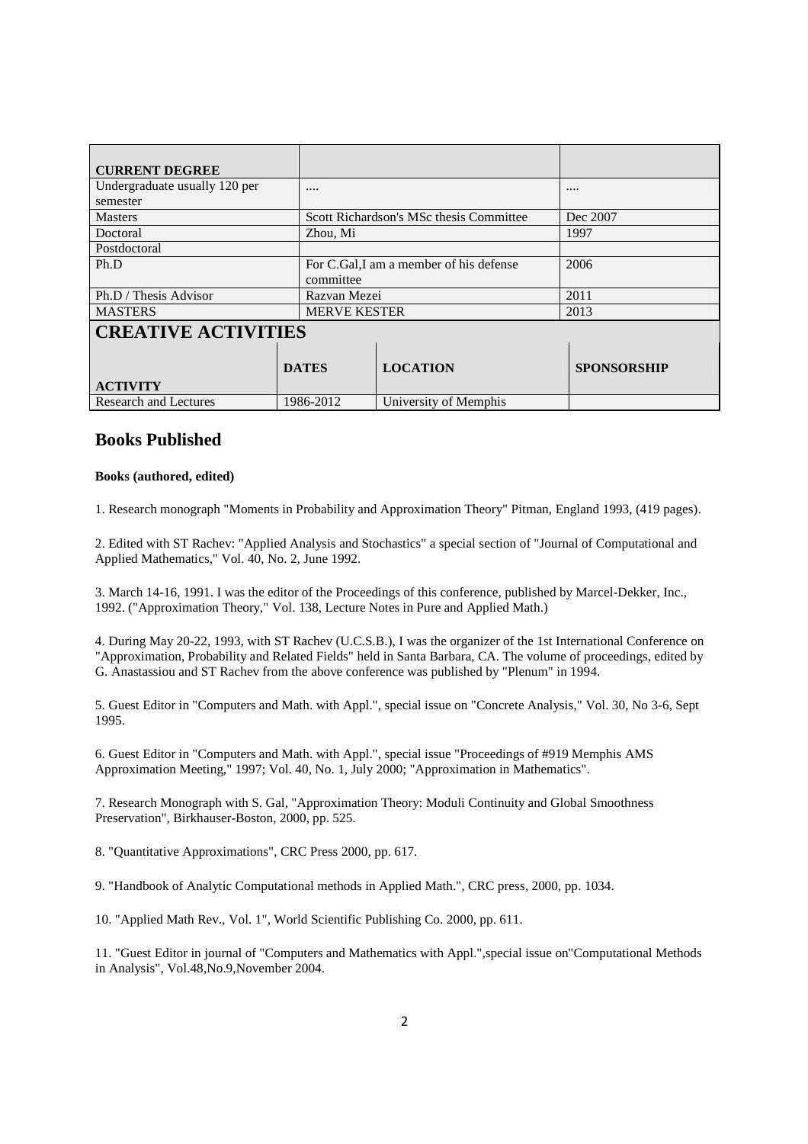| <b>CURRENT DEGREE</b>         |                     |                                         |                    |
|-------------------------------|---------------------|-----------------------------------------|--------------------|
| Undergraduate usually 120 per | $\cdots$            |                                         |                    |
| semester                      |                     |                                         |                    |
| <b>Masters</b>                |                     | Scott Richardson's MSc thesis Committee | Dec 2007           |
| Doctoral                      | Zhou, Mi            |                                         | 1997               |
| Postdoctoral                  |                     |                                         |                    |
| Ph.D                          |                     | For C.Gal, I am a member of his defense | 2006               |
|                               | committee           |                                         |                    |
| Ph.D / Thesis Advisor         | Razvan Mezei        |                                         | 2011               |
| <b>MASTERS</b>                | <b>MERVE KESTER</b> |                                         | 2013               |
| <b>CREATIVE ACTIVITIES</b>    |                     |                                         |                    |
|                               |                     |                                         |                    |
|                               | <b>DATES</b>        | <b>LOCATION</b>                         | <b>SPONSORSHIP</b> |
| <b>ACTIVITY</b>               |                     |                                         |                    |
| <b>Research and Lectures</b>  | 1986-2012           | University of Memphis                   |                    |

### **Books Published**

#### **Books (authored, edited)**

1. Research monograph "Moments in Probability and Approximation Theory" Pitman, England 1993, (419 pages).

2. Edited with ST Rachev: "Applied Analysis and Stochastics" a special section of "Journal of Computational and Applied Mathematics," Vol. 40, No. 2, June 1992.

3. March 14-16, 1991. I was the editor of the Proceedings of this conference, published by Marcel-Dekker, Inc., 1992. ("Approximation Theory," Vol. 138, Lecture Notes in Pure and Applied Math.)

4. During May 20-22, 1993, with ST Rachev (U.C.S.B.), I was the organizer of the 1st International Conference on "Approximation, Probability and Related Fields" held in Santa Barbara, CA. The volume of proceedings, edited by G. Anastassiou and ST Rachev from the above conference was published by "Plenum" in 1994.

5. Guest Editor in "Computers and Math. with Appl.", special issue on "Concrete Analysis," Vol. 30, No 3-6, Sept 1995.

6. Guest Editor in "Computers and Math. with Appl.", special issue "Proceedings of #919 Memphis AMS Approximation Meeting," 1997; Vol. 40, No. 1, July 2000; "Approximation in Mathematics".

7. Research Monograph with S. Gal, "Approximation Theory: Moduli Continuity and Global Smoothness Preservation", Birkhauser-Boston, 2000, pp. 525.

8. "Quantitative Approximations", CRC Press 2000, pp. 617.

9. "Handbook of Analytic Computational methods in Applied Math.", CRC press, 2000, pp. 1034.

10. "Applied Math Rev., Vol. 1", World Scientific Publishing Co. 2000, pp. 611.

11. "Guest Editor in journal of "Computers and Mathematics with Appl.",special issue on"Computational Methods in Analysis", Vol.48,No.9,November 2004.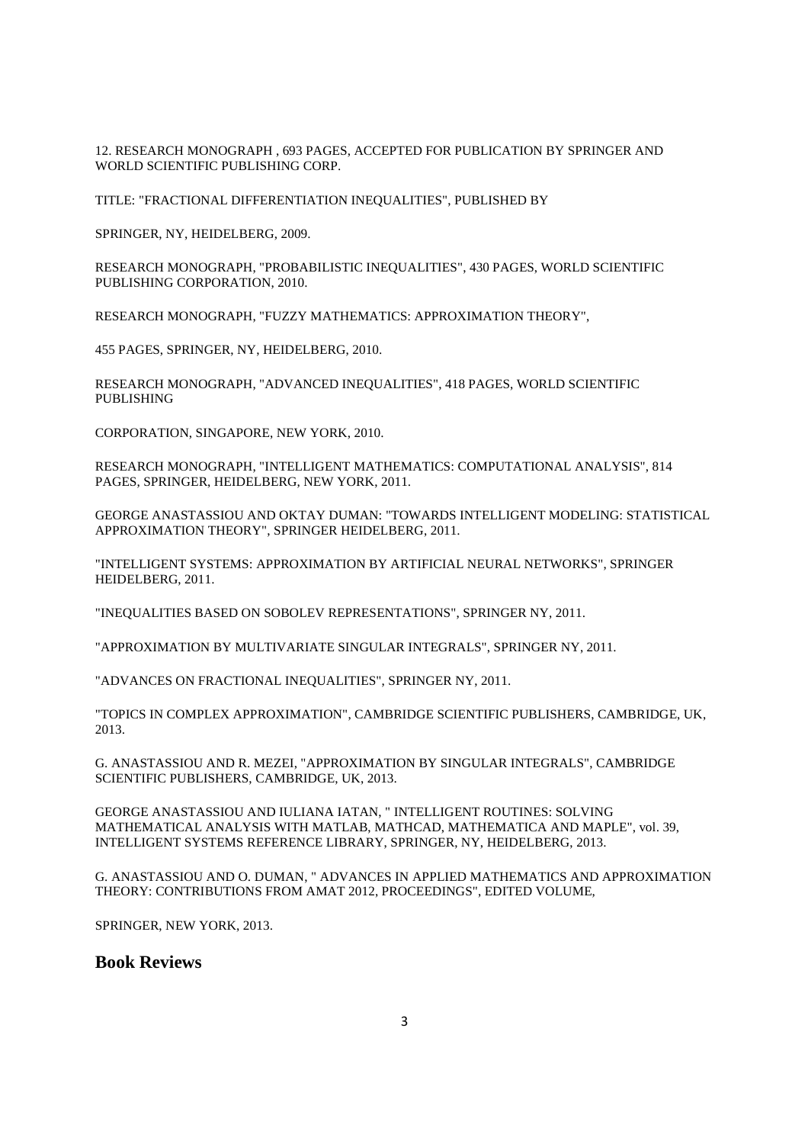12. RESEARCH MONOGRAPH , 693 PAGES, ACCEPTED FOR PUBLICATION BY SPRINGER AND WORLD SCIENTIFIC PUBLISHING CORP.

TITLE: "FRACTIONAL DIFFERENTIATION INEQUALITIES", PUBLISHED BY

SPRINGER, NY, HEIDELBERG, 2009.

RESEARCH MONOGRAPH, "PROBABILISTIC INEQUALITIES", 430 PAGES, WORLD SCIENTIFIC PUBLISHING CORPORATION, 2010.

RESEARCH MONOGRAPH, "FUZZY MATHEMATICS: APPROXIMATION THEORY",

455 PAGES, SPRINGER, NY, HEIDELBERG, 2010.

RESEARCH MONOGRAPH, "ADVANCED INEQUALITIES", 418 PAGES, WORLD SCIENTIFIC PUBLISHING

CORPORATION, SINGAPORE, NEW YORK, 2010.

RESEARCH MONOGRAPH, "INTELLIGENT MATHEMATICS: COMPUTATIONAL ANALYSIS", 814 PAGES, SPRINGER, HEIDELBERG, NEW YORK, 2011.

GEORGE ANASTASSIOU AND OKTAY DUMAN: "TOWARDS INTELLIGENT MODELING: STATISTICAL APPROXIMATION THEORY", SPRINGER HEIDELBERG, 2011.

"INTELLIGENT SYSTEMS: APPROXIMATION BY ARTIFICIAL NEURAL NETWORKS", SPRINGER HEIDELBERG, 2011.

"INEQUALITIES BASED ON SOBOLEV REPRESENTATIONS", SPRINGER NY, 2011.

"APPROXIMATION BY MULTIVARIATE SINGULAR INTEGRALS", SPRINGER NY, 2011.

"ADVANCES ON FRACTIONAL INEQUALITIES", SPRINGER NY, 2011.

"TOPICS IN COMPLEX APPROXIMATION", CAMBRIDGE SCIENTIFIC PUBLISHERS, CAMBRIDGE, UK, 2013.

G. ANASTASSIOU AND R. MEZEI, "APPROXIMATION BY SINGULAR INTEGRALS", CAMBRIDGE SCIENTIFIC PUBLISHERS, CAMBRIDGE, UK, 2013.

GEORGE ANASTASSIOU AND IULIANA IATAN, " INTELLIGENT ROUTINES: SOLVING MATHEMATICAL ANALYSIS WITH MATLAB, MATHCAD, MATHEMATICA AND MAPLE", vol. 39, INTELLIGENT SYSTEMS REFERENCE LIBRARY, SPRINGER, NY, HEIDELBERG, 2013.

G. ANASTASSIOU AND O. DUMAN, " ADVANCES IN APPLIED MATHEMATICS AND APPROXIMATION THEORY: CONTRIBUTIONS FROM AMAT 2012, PROCEEDINGS", EDITED VOLUME,

SPRINGER, NEW YORK, 2013.

**Book Reviews**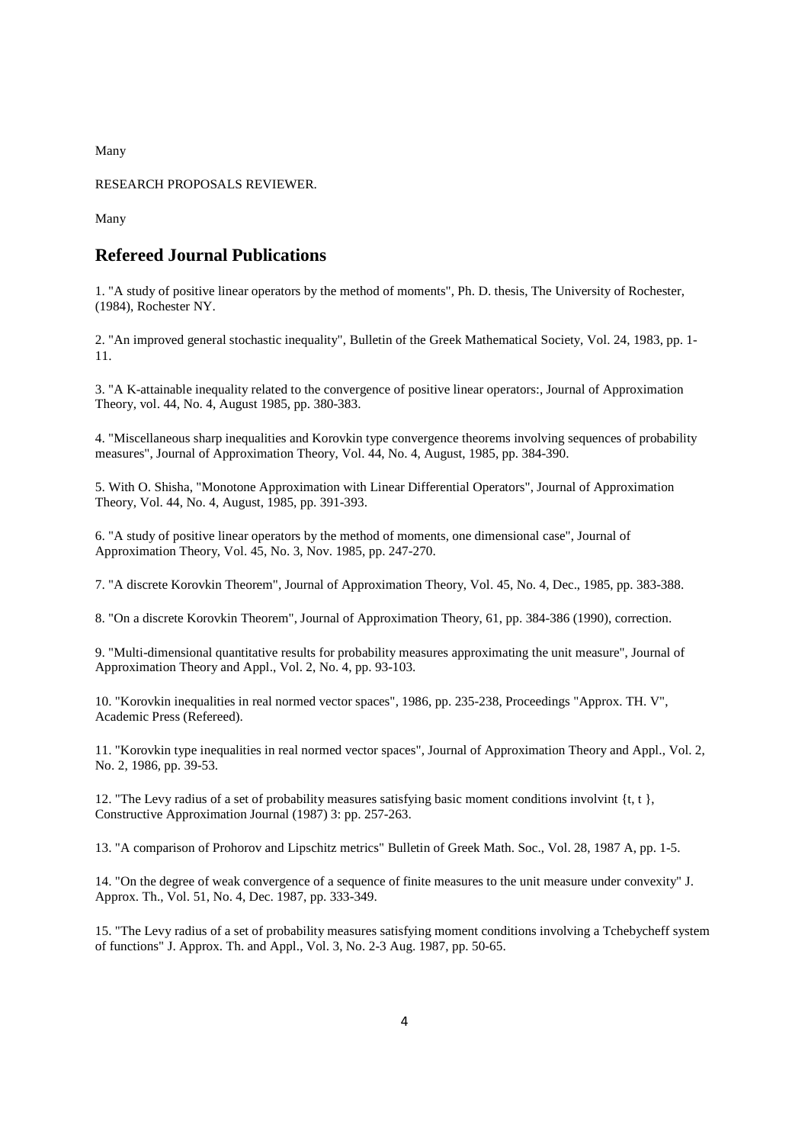Many

RESEARCH PROPOSALS REVIEWER.

Many

### **Refereed Journal Publications**

1. "A study of positive linear operators by the method of moments", Ph. D. thesis, The University of Rochester, (1984), Rochester NY.

2. "An improved general stochastic inequality", Bulletin of the Greek Mathematical Society, Vol. 24, 1983, pp. 1- 11.

3. "A K-attainable inequality related to the convergence of positive linear operators:, Journal of Approximation Theory, vol. 44, No. 4, August 1985, pp. 380-383.

4. "Miscellaneous sharp inequalities and Korovkin type convergence theorems involving sequences of probability measures", Journal of Approximation Theory, Vol. 44, No. 4, August, 1985, pp. 384-390.

5. With O. Shisha, "Monotone Approximation with Linear Differential Operators", Journal of Approximation Theory, Vol. 44, No. 4, August, 1985, pp. 391-393.

6. "A study of positive linear operators by the method of moments, one dimensional case", Journal of Approximation Theory, Vol. 45, No. 3, Nov. 1985, pp. 247-270.

7. "A discrete Korovkin Theorem", Journal of Approximation Theory, Vol. 45, No. 4, Dec., 1985, pp. 383-388.

8. "On a discrete Korovkin Theorem", Journal of Approximation Theory, 61, pp. 384-386 (1990), correction.

9. "Multi-dimensional quantitative results for probability measures approximating the unit measure", Journal of Approximation Theory and Appl., Vol. 2, No. 4, pp. 93-103.

10. "Korovkin inequalities in real normed vector spaces", 1986, pp. 235-238, Proceedings "Approx. TH. V", Academic Press (Refereed).

11. "Korovkin type inequalities in real normed vector spaces", Journal of Approximation Theory and Appl., Vol. 2, No. 2, 1986, pp. 39-53.

12. "The Levy radius of a set of probability measures satisfying basic moment conditions involvint  $\{t, t\}$ , Constructive Approximation Journal (1987) 3: pp. 257-263.

13. "A comparison of Prohorov and Lipschitz metrics" Bulletin of Greek Math. Soc., Vol. 28, 1987 A, pp. 1-5.

14. "On the degree of weak convergence of a sequence of finite measures to the unit measure under convexity" J. Approx. Th., Vol. 51, No. 4, Dec. 1987, pp. 333-349.

15. "The Levy radius of a set of probability measures satisfying moment conditions involving a Tchebycheff system of functions" J. Approx. Th. and Appl., Vol. 3, No. 2-3 Aug. 1987, pp. 50-65.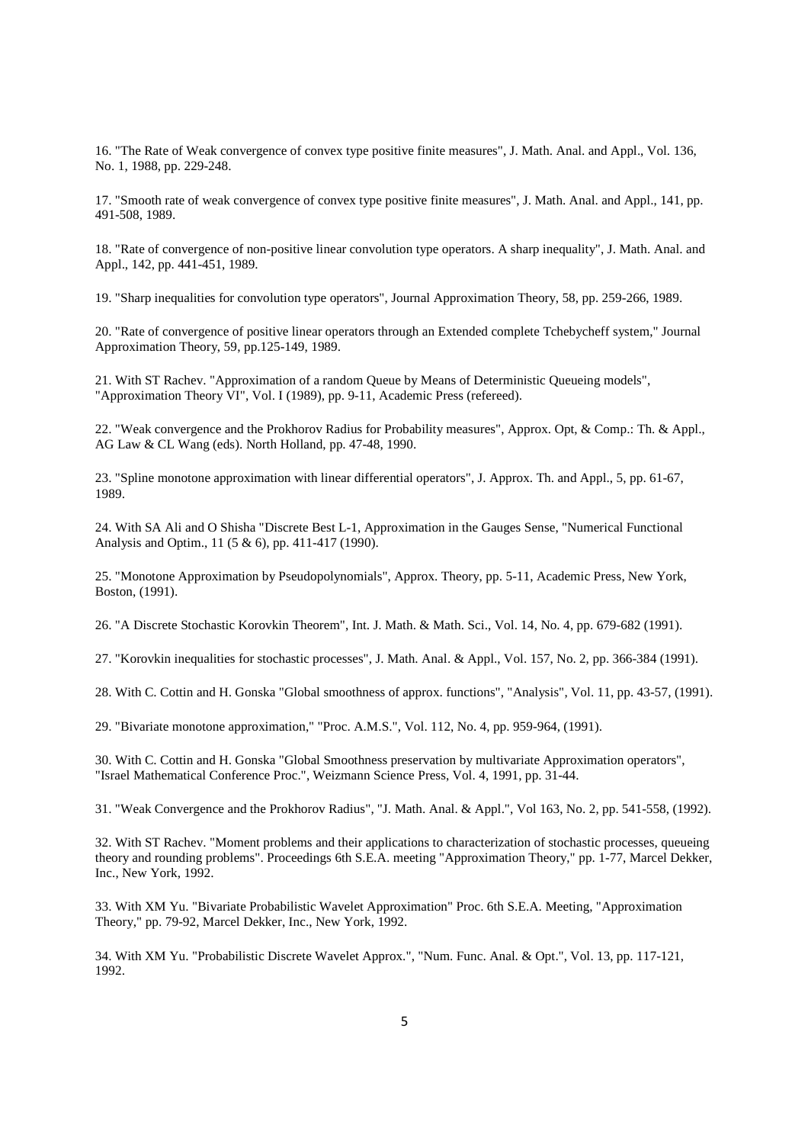16. "The Rate of Weak convergence of convex type positive finite measures", J. Math. Anal. and Appl., Vol. 136, No. 1, 1988, pp. 229-248.

17. "Smooth rate of weak convergence of convex type positive finite measures", J. Math. Anal. and Appl., 141, pp. 491-508, 1989.

18. "Rate of convergence of non-positive linear convolution type operators. A sharp inequality", J. Math. Anal. and Appl., 142, pp. 441-451, 1989.

19. "Sharp inequalities for convolution type operators", Journal Approximation Theory, 58, pp. 259-266, 1989.

20. "Rate of convergence of positive linear operators through an Extended complete Tchebycheff system," Journal Approximation Theory, 59, pp.125-149, 1989.

21. With ST Rachev. "Approximation of a random Queue by Means of Deterministic Queueing models", "Approximation Theory VI", Vol. I (1989), pp. 9-11, Academic Press (refereed).

22. "Weak convergence and the Prokhorov Radius for Probability measures", Approx. Opt, & Comp.: Th. & Appl., AG Law & CL Wang (eds). North Holland, pp. 47-48, 1990.

23. "Spline monotone approximation with linear differential operators", J. Approx. Th. and Appl., 5, pp. 61-67, 1989.

24. With SA Ali and O Shisha "Discrete Best L-1, Approximation in the Gauges Sense, "Numerical Functional Analysis and Optim., 11 (5 & 6), pp. 411-417 (1990).

25. "Monotone Approximation by Pseudopolynomials", Approx. Theory, pp. 5-11, Academic Press, New York, Boston, (1991).

26. "A Discrete Stochastic Korovkin Theorem", Int. J. Math. & Math. Sci., Vol. 14, No. 4, pp. 679-682 (1991).

27. "Korovkin inequalities for stochastic processes", J. Math. Anal. & Appl., Vol. 157, No. 2, pp. 366-384 (1991).

28. With C. Cottin and H. Gonska "Global smoothness of approx. functions", "Analysis", Vol. 11, pp. 43-57, (1991).

29. "Bivariate monotone approximation," "Proc. A.M.S.", Vol. 112, No. 4, pp. 959-964, (1991).

30. With C. Cottin and H. Gonska "Global Smoothness preservation by multivariate Approximation operators", "Israel Mathematical Conference Proc.", Weizmann Science Press, Vol. 4, 1991, pp. 31-44.

31. "Weak Convergence and the Prokhorov Radius", "J. Math. Anal. & Appl.", Vol 163, No. 2, pp. 541-558, (1992).

32. With ST Rachev. "Moment problems and their applications to characterization of stochastic processes, queueing theory and rounding problems". Proceedings 6th S.E.A. meeting "Approximation Theory," pp. 1-77, Marcel Dekker, Inc., New York, 1992.

33. With XM Yu. "Bivariate Probabilistic Wavelet Approximation" Proc. 6th S.E.A. Meeting, "Approximation Theory," pp. 79-92, Marcel Dekker, Inc., New York, 1992.

34. With XM Yu. "Probabilistic Discrete Wavelet Approx.", "Num. Func. Anal. & Opt.", Vol. 13, pp. 117-121, 1992.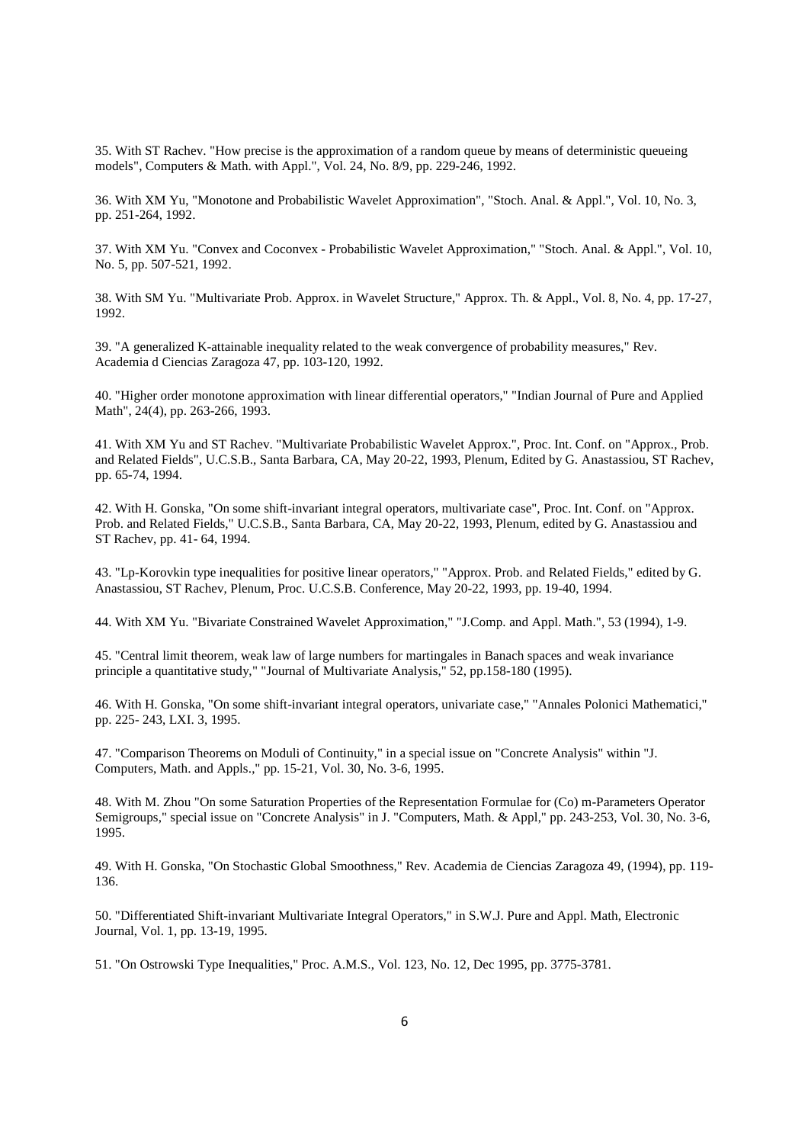35. With ST Rachev. "How precise is the approximation of a random queue by means of deterministic queueing models", Computers & Math. with Appl.", Vol. 24, No. 8/9, pp. 229-246, 1992.

36. With XM Yu, "Monotone and Probabilistic Wavelet Approximation", "Stoch. Anal. & Appl.", Vol. 10, No. 3, pp. 251-264, 1992.

37. With XM Yu. "Convex and Coconvex - Probabilistic Wavelet Approximation," "Stoch. Anal. & Appl.", Vol. 10, No. 5, pp. 507-521, 1992.

38. With SM Yu. "Multivariate Prob. Approx. in Wavelet Structure," Approx. Th. & Appl., Vol. 8, No. 4, pp. 17-27, 1992.

39. "A generalized K-attainable inequality related to the weak convergence of probability measures," Rev. Academia d Ciencias Zaragoza 47, pp. 103-120, 1992.

40. "Higher order monotone approximation with linear differential operators," "Indian Journal of Pure and Applied Math", 24(4), pp. 263-266, 1993.

41. With XM Yu and ST Rachev. "Multivariate Probabilistic Wavelet Approx.", Proc. Int. Conf. on "Approx., Prob. and Related Fields", U.C.S.B., Santa Barbara, CA, May 20-22, 1993, Plenum, Edited by G. Anastassiou, ST Rachev, pp. 65-74, 1994.

42. With H. Gonska, "On some shift-invariant integral operators, multivariate case", Proc. Int. Conf. on "Approx. Prob. and Related Fields," U.C.S.B., Santa Barbara, CA, May 20-22, 1993, Plenum, edited by G. Anastassiou and ST Rachev, pp. 41- 64, 1994.

43. "Lp-Korovkin type inequalities for positive linear operators," "Approx. Prob. and Related Fields," edited by G. Anastassiou, ST Rachev, Plenum, Proc. U.C.S.B. Conference, May 20-22, 1993, pp. 19-40, 1994.

44. With XM Yu. "Bivariate Constrained Wavelet Approximation," "J.Comp. and Appl. Math.", 53 (1994), 1-9.

45. "Central limit theorem, weak law of large numbers for martingales in Banach spaces and weak invariance principle a quantitative study," "Journal of Multivariate Analysis," 52, pp.158-180 (1995).

46. With H. Gonska, "On some shift-invariant integral operators, univariate case," "Annales Polonici Mathematici," pp. 225- 243, LXI. 3, 1995.

47. "Comparison Theorems on Moduli of Continuity," in a special issue on "Concrete Analysis" within "J. Computers, Math. and Appls.," pp. 15-21, Vol. 30, No. 3-6, 1995.

48. With M. Zhou "On some Saturation Properties of the Representation Formulae for (Co) m-Parameters Operator Semigroups," special issue on "Concrete Analysis" in J. "Computers, Math. & Appl," pp. 243-253, Vol. 30, No. 3-6, 1995.

49. With H. Gonska, "On Stochastic Global Smoothness," Rev. Academia de Ciencias Zaragoza 49, (1994), pp. 119- 136.

50. "Differentiated Shift-invariant Multivariate Integral Operators," in S.W.J. Pure and Appl. Math, Electronic Journal, Vol. 1, pp. 13-19, 1995.

51. "On Ostrowski Type Inequalities," Proc. A.M.S., Vol. 123, No. 12, Dec 1995, pp. 3775-3781.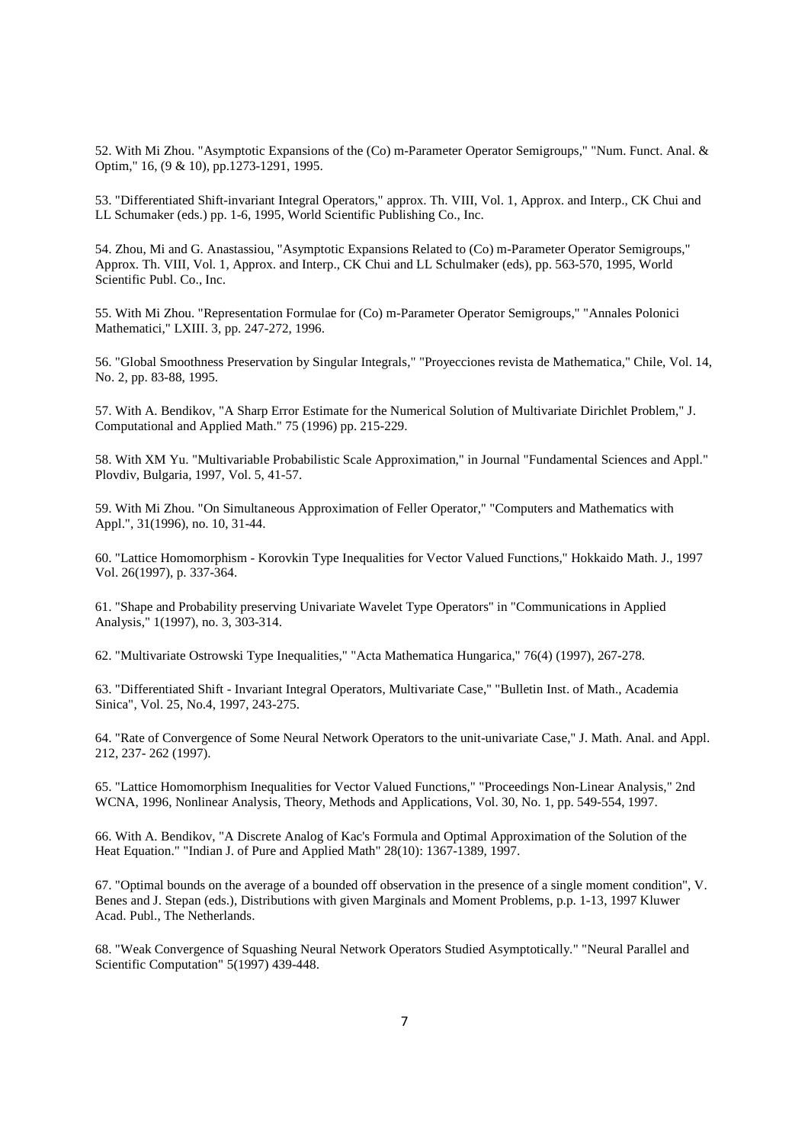52. With Mi Zhou. "Asymptotic Expansions of the (Co) m-Parameter Operator Semigroups," "Num. Funct. Anal. & Optim," 16, (9 & 10), pp.1273-1291, 1995.

53. "Differentiated Shift-invariant Integral Operators," approx. Th. VIII, Vol. 1, Approx. and Interp., CK Chui and LL Schumaker (eds.) pp. 1-6, 1995, World Scientific Publishing Co., Inc.

54. Zhou, Mi and G. Anastassiou, "Asymptotic Expansions Related to (Co) m-Parameter Operator Semigroups," Approx. Th. VIII, Vol. 1, Approx. and Interp., CK Chui and LL Schulmaker (eds), pp. 563-570, 1995, World Scientific Publ. Co., Inc.

55. With Mi Zhou. "Representation Formulae for (Co) m-Parameter Operator Semigroups," "Annales Polonici Mathematici," LXIII. 3, pp. 247-272, 1996.

56. "Global Smoothness Preservation by Singular Integrals," "Proyecciones revista de Mathematica," Chile, Vol. 14, No. 2, pp. 83-88, 1995.

57. With A. Bendikov, "A Sharp Error Estimate for the Numerical Solution of Multivariate Dirichlet Problem," J. Computational and Applied Math." 75 (1996) pp. 215-229.

58. With XM Yu. "Multivariable Probabilistic Scale Approximation," in Journal "Fundamental Sciences and Appl." Plovdiv, Bulgaria, 1997, Vol. 5, 41-57.

59. With Mi Zhou. "On Simultaneous Approximation of Feller Operator," "Computers and Mathematics with Appl.", 31(1996), no. 10, 31-44.

60. "Lattice Homomorphism - Korovkin Type Inequalities for Vector Valued Functions," Hokkaido Math. J., 1997 Vol. 26(1997), p. 337-364.

61. "Shape and Probability preserving Univariate Wavelet Type Operators" in "Communications in Applied Analysis," 1(1997), no. 3, 303-314.

62. "Multivariate Ostrowski Type Inequalities," "Acta Mathematica Hungarica," 76(4) (1997), 267-278.

63. "Differentiated Shift - Invariant Integral Operators, Multivariate Case," "Bulletin Inst. of Math., Academia Sinica", Vol. 25, No.4, 1997, 243-275.

64. "Rate of Convergence of Some Neural Network Operators to the unit-univariate Case," J. Math. Anal. and Appl. 212, 237- 262 (1997).

65. "Lattice Homomorphism Inequalities for Vector Valued Functions," "Proceedings Non-Linear Analysis," 2nd WCNA, 1996, Nonlinear Analysis, Theory, Methods and Applications, Vol. 30, No. 1, pp. 549-554, 1997.

66. With A. Bendikov, "A Discrete Analog of Kac's Formula and Optimal Approximation of the Solution of the Heat Equation." "Indian J. of Pure and Applied Math" 28(10): 1367-1389, 1997.

67. "Optimal bounds on the average of a bounded off observation in the presence of a single moment condition", V. Benes and J. Stepan (eds.), Distributions with given Marginals and Moment Problems, p.p. 1-13, 1997 Kluwer Acad. Publ., The Netherlands.

68. "Weak Convergence of Squashing Neural Network Operators Studied Asymptotically." "Neural Parallel and Scientific Computation" 5(1997) 439-448.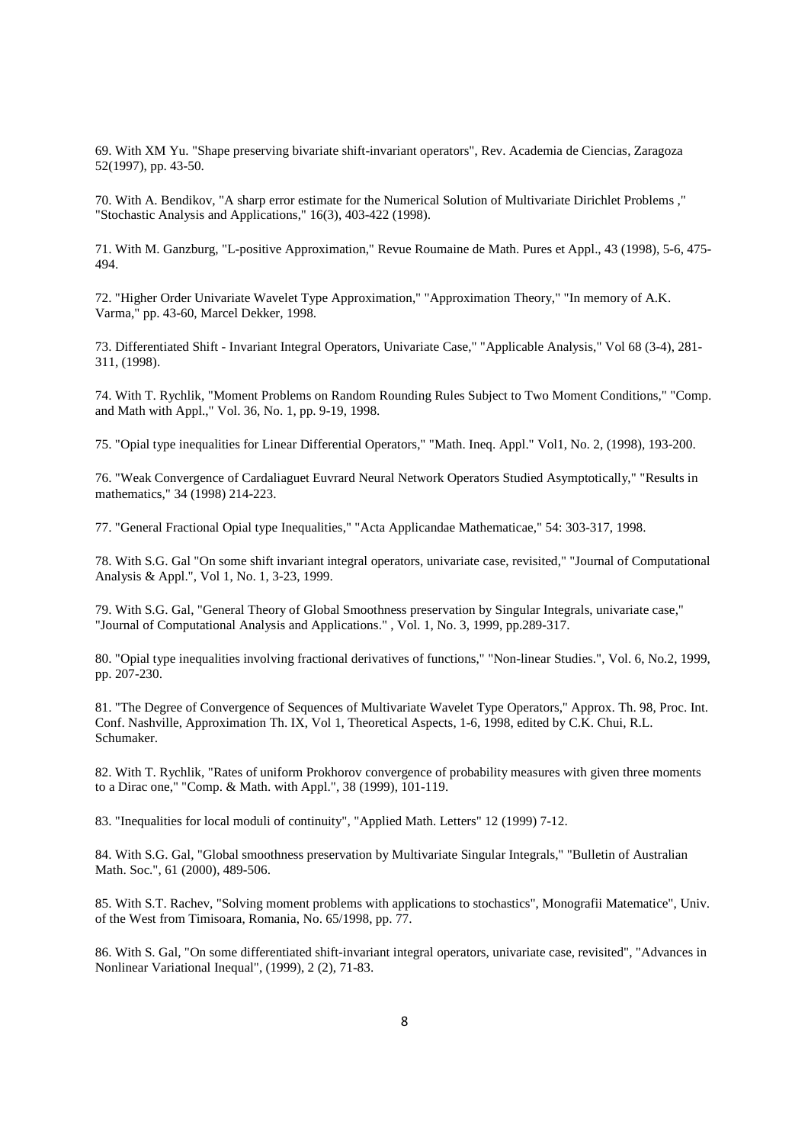69. With XM Yu. "Shape preserving bivariate shift-invariant operators", Rev. Academia de Ciencias, Zaragoza 52(1997), pp. 43-50.

70. With A. Bendikov, "A sharp error estimate for the Numerical Solution of Multivariate Dirichlet Problems ," "Stochastic Analysis and Applications," 16(3), 403-422 (1998).

71. With M. Ganzburg, "L-positive Approximation," Revue Roumaine de Math. Pures et Appl., 43 (1998), 5-6, 475- 494.

72. "Higher Order Univariate Wavelet Type Approximation," "Approximation Theory," "In memory of A.K. Varma," pp. 43-60, Marcel Dekker, 1998.

73. Differentiated Shift - Invariant Integral Operators, Univariate Case," "Applicable Analysis," Vol 68 (3-4), 281- 311, (1998).

74. With T. Rychlik, "Moment Problems on Random Rounding Rules Subject to Two Moment Conditions," "Comp. and Math with Appl.," Vol. 36, No. 1, pp. 9-19, 1998.

75. "Opial type inequalities for Linear Differential Operators," "Math. Ineq. Appl." Vol1, No. 2, (1998), 193-200.

76. "Weak Convergence of Cardaliaguet Euvrard Neural Network Operators Studied Asymptotically," "Results in mathematics," 34 (1998) 214-223.

77. "General Fractional Opial type Inequalities," "Acta Applicandae Mathematicae," 54: 303-317, 1998.

78. With S.G. Gal "On some shift invariant integral operators, univariate case, revisited," "Journal of Computational Analysis & Appl.", Vol 1, No. 1, 3-23, 1999.

79. With S.G. Gal, "General Theory of Global Smoothness preservation by Singular Integrals, univariate case," "Journal of Computational Analysis and Applications." , Vol. 1, No. 3, 1999, pp.289-317.

80. "Opial type inequalities involving fractional derivatives of functions," "Non-linear Studies.", Vol. 6, No.2, 1999, pp. 207-230.

81. "The Degree of Convergence of Sequences of Multivariate Wavelet Type Operators," Approx. Th. 98, Proc. Int. Conf. Nashville, Approximation Th. IX, Vol 1, Theoretical Aspects, 1-6, 1998, edited by C.K. Chui, R.L. Schumaker.

82. With T. Rychlik, "Rates of uniform Prokhorov convergence of probability measures with given three moments to a Dirac one," "Comp. & Math. with Appl.", 38 (1999), 101-119.

83. "Inequalities for local moduli of continuity", "Applied Math. Letters" 12 (1999) 7-12.

84. With S.G. Gal, "Global smoothness preservation by Multivariate Singular Integrals," "Bulletin of Australian Math. Soc.", 61 (2000), 489-506.

85. With S.T. Rachev, "Solving moment problems with applications to stochastics", Monografii Matematice", Univ. of the West from Timisoara, Romania, No. 65/1998, pp. 77.

86. With S. Gal, "On some differentiated shift-invariant integral operators, univariate case, revisited", "Advances in Nonlinear Variational Inequal", (1999), 2 (2), 71-83.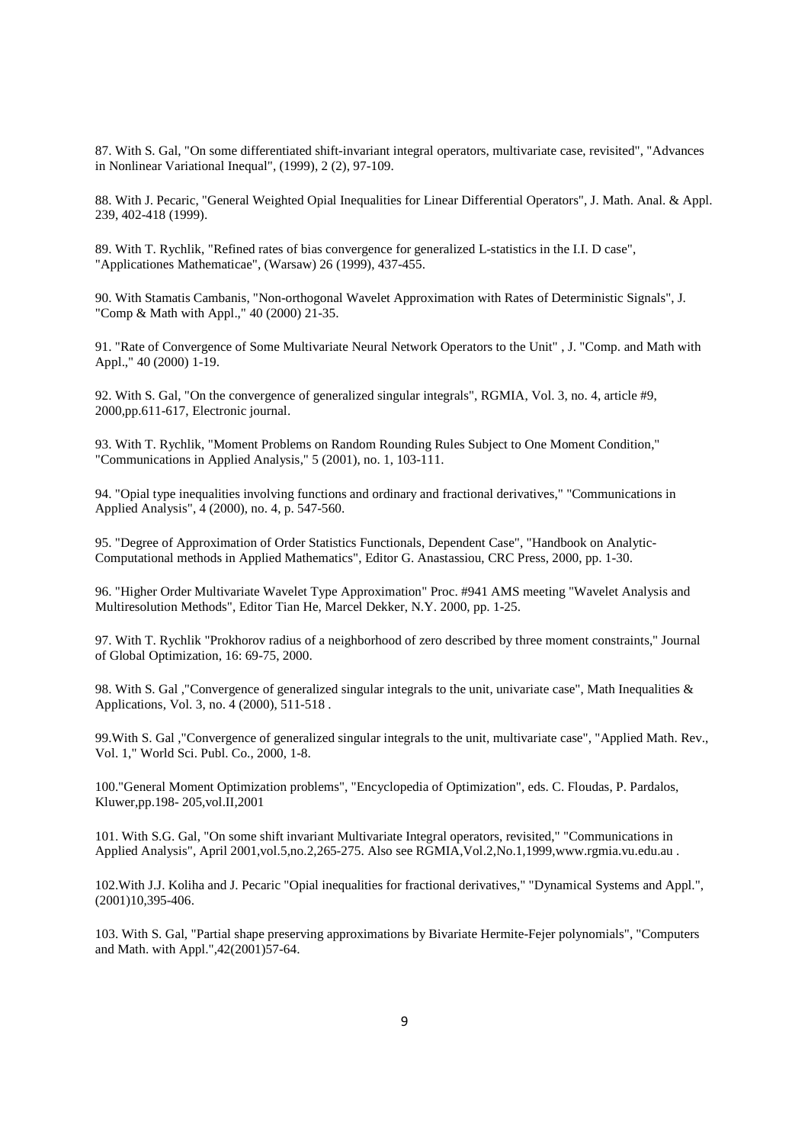87. With S. Gal, "On some differentiated shift-invariant integral operators, multivariate case, revisited", "Advances in Nonlinear Variational Inequal", (1999), 2 (2), 97-109.

88. With J. Pecaric, "General Weighted Opial Inequalities for Linear Differential Operators", J. Math. Anal. & Appl. 239, 402-418 (1999).

89. With T. Rychlik, "Refined rates of bias convergence for generalized L-statistics in the I.I. D case", "Applicationes Mathematicae", (Warsaw) 26 (1999), 437-455.

90. With Stamatis Cambanis, "Non-orthogonal Wavelet Approximation with Rates of Deterministic Signals", J. "Comp & Math with Appl.," 40 (2000) 21-35.

91. "Rate of Convergence of Some Multivariate Neural Network Operators to the Unit" , J. "Comp. and Math with Appl.," 40 (2000) 1-19.

92. With S. Gal, "On the convergence of generalized singular integrals", RGMIA, Vol. 3, no. 4, article #9, 2000,pp.611-617, Electronic journal.

93. With T. Rychlik, "Moment Problems on Random Rounding Rules Subject to One Moment Condition," "Communications in Applied Analysis," 5 (2001), no. 1, 103-111.

94. "Opial type inequalities involving functions and ordinary and fractional derivatives," "Communications in Applied Analysis", 4 (2000), no. 4, p. 547-560.

95. "Degree of Approximation of Order Statistics Functionals, Dependent Case", "Handbook on Analytic-Computational methods in Applied Mathematics", Editor G. Anastassiou, CRC Press, 2000, pp. 1-30.

96. "Higher Order Multivariate Wavelet Type Approximation" Proc. #941 AMS meeting "Wavelet Analysis and Multiresolution Methods", Editor Tian He, Marcel Dekker, N.Y. 2000, pp. 1-25.

97. With T. Rychlik "Prokhorov radius of a neighborhood of zero described by three moment constraints," Journal of Global Optimization, 16: 69-75, 2000.

98. With S. Gal ,"Convergence of generalized singular integrals to the unit, univariate case", Math Inequalities & Applications, Vol. 3, no. 4 (2000), 511-518 .

99.With S. Gal ,"Convergence of generalized singular integrals to the unit, multivariate case", "Applied Math. Rev., Vol. 1," World Sci. Publ. Co., 2000, 1-8.

100."General Moment Optimization problems", "Encyclopedia of Optimization", eds. C. Floudas, P. Pardalos, Kluwer,pp.198- 205,vol.II,2001

101. With S.G. Gal, "On some shift invariant Multivariate Integral operators, revisited," "Communications in Applied Analysis", April 2001,vol.5,no.2,265-275. Also see RGMIA,Vol.2,No.1,1999,www.rgmia.vu.edu.au .

102.With J.J. Koliha and J. Pecaric "Opial inequalities for fractional derivatives," "Dynamical Systems and Appl.", (2001)10,395-406.

103. With S. Gal, "Partial shape preserving approximations by Bivariate Hermite-Fejer polynomials", "Computers and Math. with Appl.",42(2001)57-64.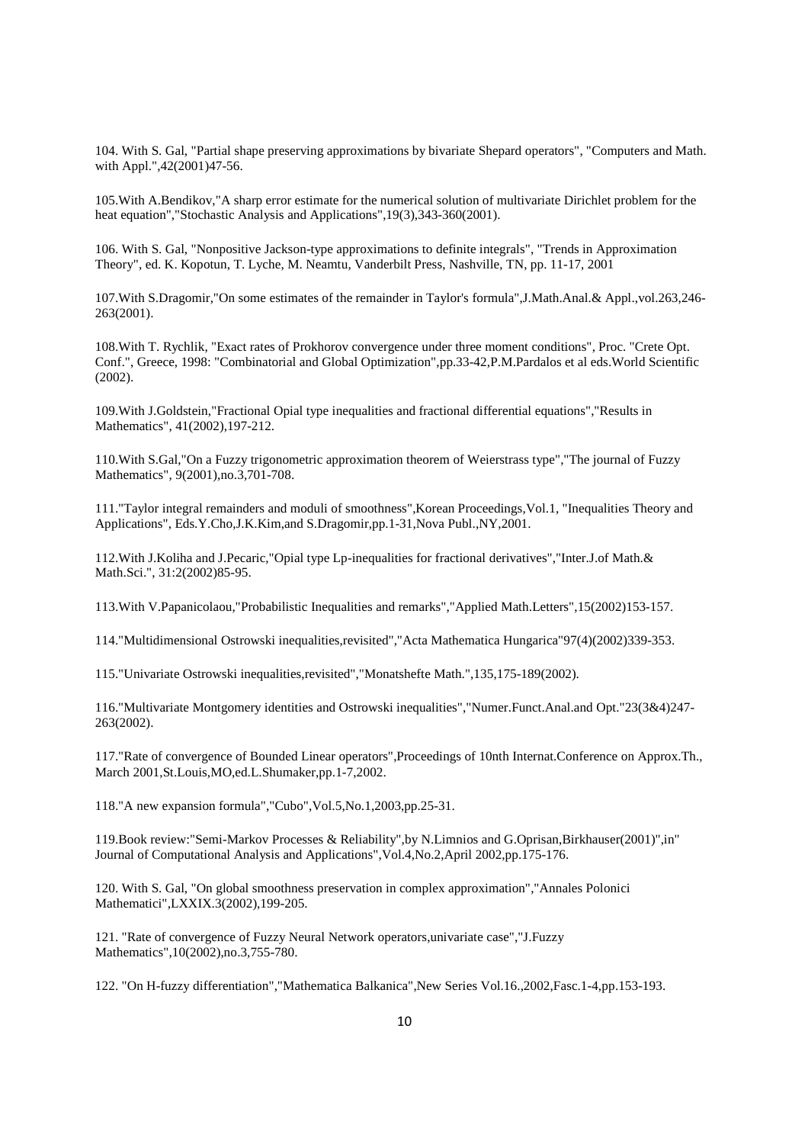104. With S. Gal, "Partial shape preserving approximations by bivariate Shepard operators", "Computers and Math. with Appl.",42(2001)47-56.

105.With A.Bendikov,"A sharp error estimate for the numerical solution of multivariate Dirichlet problem for the heat equation","Stochastic Analysis and Applications",19(3),343-360(2001).

106. With S. Gal, "Nonpositive Jackson-type approximations to definite integrals", "Trends in Approximation Theory", ed. K. Kopotun, T. Lyche, M. Neamtu, Vanderbilt Press, Nashville, TN, pp. 11-17, 2001

107.With S.Dragomir,"On some estimates of the remainder in Taylor's formula",J.Math.Anal.& Appl.,vol.263,246- 263(2001).

108.With T. Rychlik, "Exact rates of Prokhorov convergence under three moment conditions", Proc. "Crete Opt. Conf.", Greece, 1998: "Combinatorial and Global Optimization",pp.33-42,P.M.Pardalos et al eds.World Scientific (2002).

109.With J.Goldstein,"Fractional Opial type inequalities and fractional differential equations","Results in Mathematics", 41(2002),197-212.

110.With S.Gal,"On a Fuzzy trigonometric approximation theorem of Weierstrass type","The journal of Fuzzy Mathematics", 9(2001),no.3,701-708.

111."Taylor integral remainders and moduli of smoothness",Korean Proceedings,Vol.1, "Inequalities Theory and Applications", Eds.Y.Cho,J.K.Kim,and S.Dragomir,pp.1-31,Nova Publ.,NY,2001.

112.With J.Koliha and J.Pecaric,"Opial type Lp-inequalities for fractional derivatives","Inter.J.of Math.& Math.Sci.", 31:2(2002)85-95.

113.With V.Papanicolaou,"Probabilistic Inequalities and remarks","Applied Math.Letters",15(2002)153-157.

114."Multidimensional Ostrowski inequalities,revisited","Acta Mathematica Hungarica"97(4)(2002)339-353.

115."Univariate Ostrowski inequalities,revisited","Monatshefte Math.",135,175-189(2002).

116."Multivariate Montgomery identities and Ostrowski inequalities","Numer.Funct.Anal.and Opt."23(3&4)247- 263(2002).

117."Rate of convergence of Bounded Linear operators",Proceedings of 10nth Internat.Conference on Approx.Th., March 2001,St.Louis,MO,ed.L.Shumaker,pp.1-7,2002.

118."A new expansion formula","Cubo",Vol.5,No.1,2003,pp.25-31.

119.Book review:"Semi-Markov Processes & Reliability",by N.Limnios and G.Oprisan,Birkhauser(2001)",in" Journal of Computational Analysis and Applications",Vol.4,No.2,April 2002,pp.175-176.

120. With S. Gal, "On global smoothness preservation in complex approximation","Annales Polonici Mathematici",LXXIX.3(2002),199-205.

121. "Rate of convergence of Fuzzy Neural Network operators,univariate case","J.Fuzzy Mathematics",10(2002),no.3,755-780.

122. "On H-fuzzy differentiation","Mathematica Balkanica",New Series Vol.16.,2002,Fasc.1-4,pp.153-193.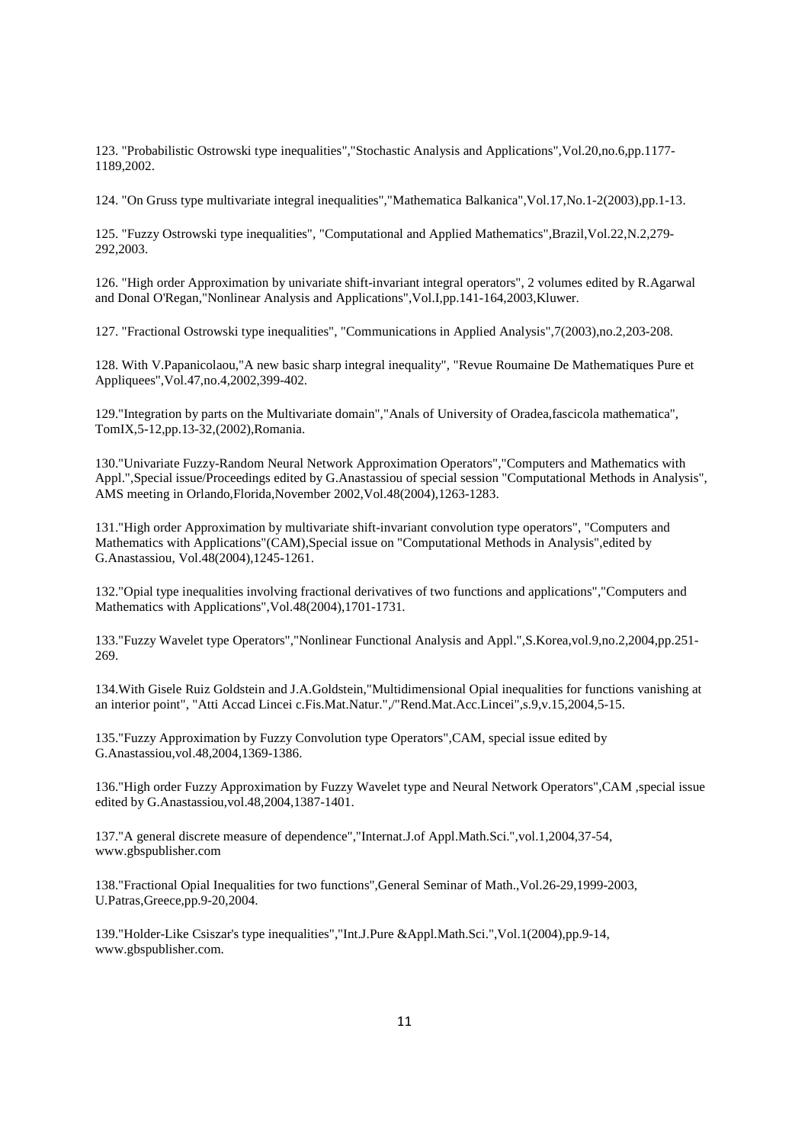123. "Probabilistic Ostrowski type inequalities","Stochastic Analysis and Applications",Vol.20,no.6,pp.1177- 1189,2002.

124. "On Gruss type multivariate integral inequalities","Mathematica Balkanica",Vol.17,No.1-2(2003),pp.1-13.

125. "Fuzzy Ostrowski type inequalities", "Computational and Applied Mathematics",Brazil,Vol.22,N.2,279- 292,2003.

126. "High order Approximation by univariate shift-invariant integral operators", 2 volumes edited by R.Agarwal and Donal O'Regan,"Nonlinear Analysis and Applications",Vol.I,pp.141-164,2003,Kluwer.

127. "Fractional Ostrowski type inequalities", "Communications in Applied Analysis",7(2003),no.2,203-208.

128. With V.Papanicolaou,"A new basic sharp integral inequality", "Revue Roumaine De Mathematiques Pure et Appliquees",Vol.47,no.4,2002,399-402.

129."Integration by parts on the Multivariate domain","Anals of University of Oradea,fascicola mathematica", TomIX,5-12,pp.13-32,(2002),Romania.

130."Univariate Fuzzy-Random Neural Network Approximation Operators","Computers and Mathematics with Appl.",Special issue/Proceedings edited by G.Anastassiou of special session "Computational Methods in Analysis", AMS meeting in Orlando,Florida,November 2002,Vol.48(2004),1263-1283.

131."High order Approximation by multivariate shift-invariant convolution type operators", "Computers and Mathematics with Applications"(CAM),Special issue on "Computational Methods in Analysis",edited by G.Anastassiou, Vol.48(2004),1245-1261.

132."Opial type inequalities involving fractional derivatives of two functions and applications","Computers and Mathematics with Applications",Vol.48(2004),1701-1731.

133."Fuzzy Wavelet type Operators","Nonlinear Functional Analysis and Appl.",S.Korea,vol.9,no.2,2004,pp.251- 269.

134.With Gisele Ruiz Goldstein and J.A.Goldstein,"Multidimensional Opial inequalities for functions vanishing at an interior point", "Atti Accad Lincei c.Fis.Mat.Natur.",/"Rend.Mat.Acc.Lincei",s.9,v.15,2004,5-15.

135."Fuzzy Approximation by Fuzzy Convolution type Operators",CAM, special issue edited by G.Anastassiou,vol.48,2004,1369-1386.

136."High order Fuzzy Approximation by Fuzzy Wavelet type and Neural Network Operators",CAM ,special issue edited by G.Anastassiou,vol.48,2004,1387-1401.

137."A general discrete measure of dependence","Internat.J.of Appl.Math.Sci.",vol.1,2004,37-54, www.gbspublisher.com

138."Fractional Opial Inequalities for two functions",General Seminar of Math.,Vol.26-29,1999-2003, U.Patras,Greece,pp.9-20,2004.

139."Holder-Like Csiszar's type inequalities","Int.J.Pure &Appl.Math.Sci.",Vol.1(2004),pp.9-14, www.gbspublisher.com.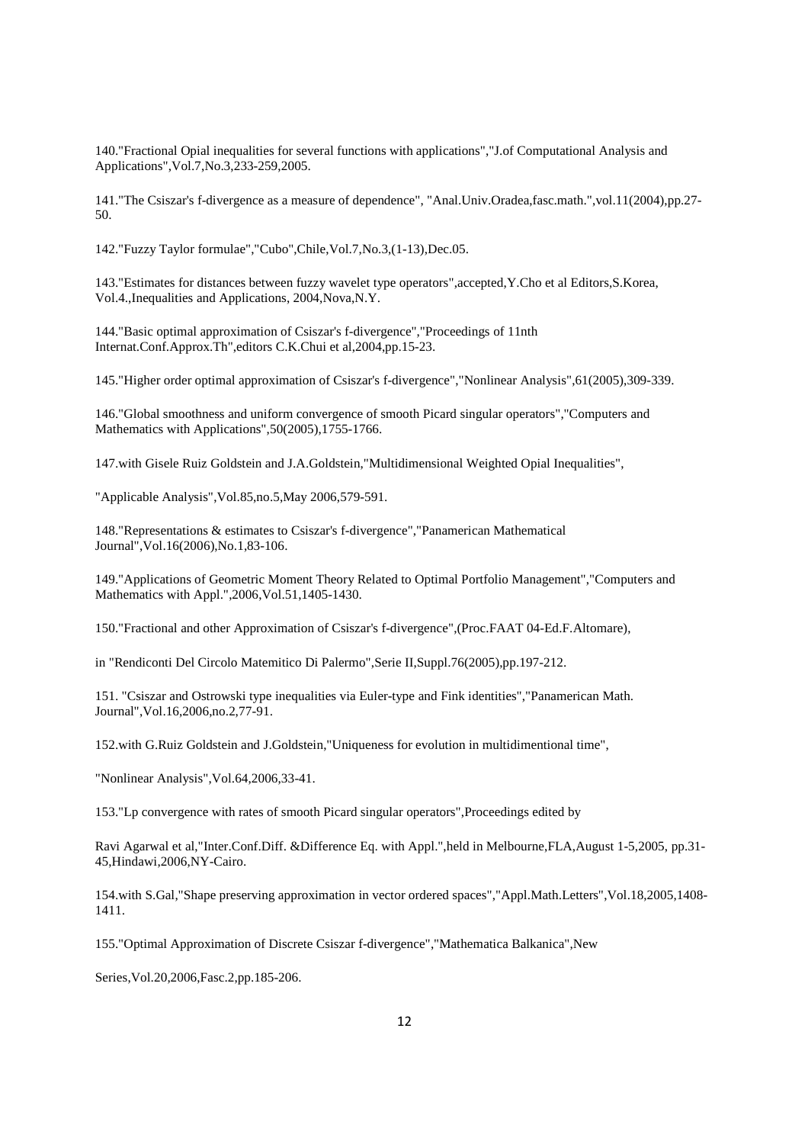140."Fractional Opial inequalities for several functions with applications","J.of Computational Analysis and Applications",Vol.7,No.3,233-259,2005.

141."The Csiszar's f-divergence as a measure of dependence", "Anal.Univ.Oradea,fasc.math.",vol.11(2004),pp.27- 50.

142."Fuzzy Taylor formulae","Cubo",Chile,Vol.7,No.3,(1-13),Dec.05.

143."Estimates for distances between fuzzy wavelet type operators",accepted,Y.Cho et al Editors,S.Korea, Vol.4.,Inequalities and Applications, 2004,Nova,N.Y.

144."Basic optimal approximation of Csiszar's f-divergence","Proceedings of 11nth Internat.Conf.Approx.Th",editors C.K.Chui et al,2004,pp.15-23.

145."Higher order optimal approximation of Csiszar's f-divergence","Nonlinear Analysis",61(2005),309-339.

146."Global smoothness and uniform convergence of smooth Picard singular operators","Computers and Mathematics with Applications", 50(2005), 1755-1766.

147.with Gisele Ruiz Goldstein and J.A.Goldstein,"Multidimensional Weighted Opial Inequalities",

"Applicable Analysis",Vol.85,no.5,May 2006,579-591.

148."Representations & estimates to Csiszar's f-divergence","Panamerican Mathematical Journal",Vol.16(2006),No.1,83-106.

149."Applications of Geometric Moment Theory Related to Optimal Portfolio Management","Computers and Mathematics with Appl.",2006,Vol.51,1405-1430.

150."Fractional and other Approximation of Csiszar's f-divergence",(Proc.FAAT 04-Ed.F.Altomare),

in "Rendiconti Del Circolo Matemitico Di Palermo",Serie II,Suppl.76(2005),pp.197-212.

151. "Csiszar and Ostrowski type inequalities via Euler-type and Fink identities","Panamerican Math. Journal",Vol.16,2006,no.2,77-91.

152.with G.Ruiz Goldstein and J.Goldstein,"Uniqueness for evolution in multidimentional time",

"Nonlinear Analysis",Vol.64,2006,33-41.

153."Lp convergence with rates of smooth Picard singular operators",Proceedings edited by

Ravi Agarwal et al,"Inter.Conf.Diff. &Difference Eq. with Appl.",held in Melbourne,FLA,August 1-5,2005, pp.31- 45,Hindawi,2006,NY-Cairo.

154.with S.Gal,"Shape preserving approximation in vector ordered spaces","Appl.Math.Letters",Vol.18,2005,1408- 1411.

155."Optimal Approximation of Discrete Csiszar f-divergence","Mathematica Balkanica",New

Series,Vol.20,2006,Fasc.2,pp.185-206.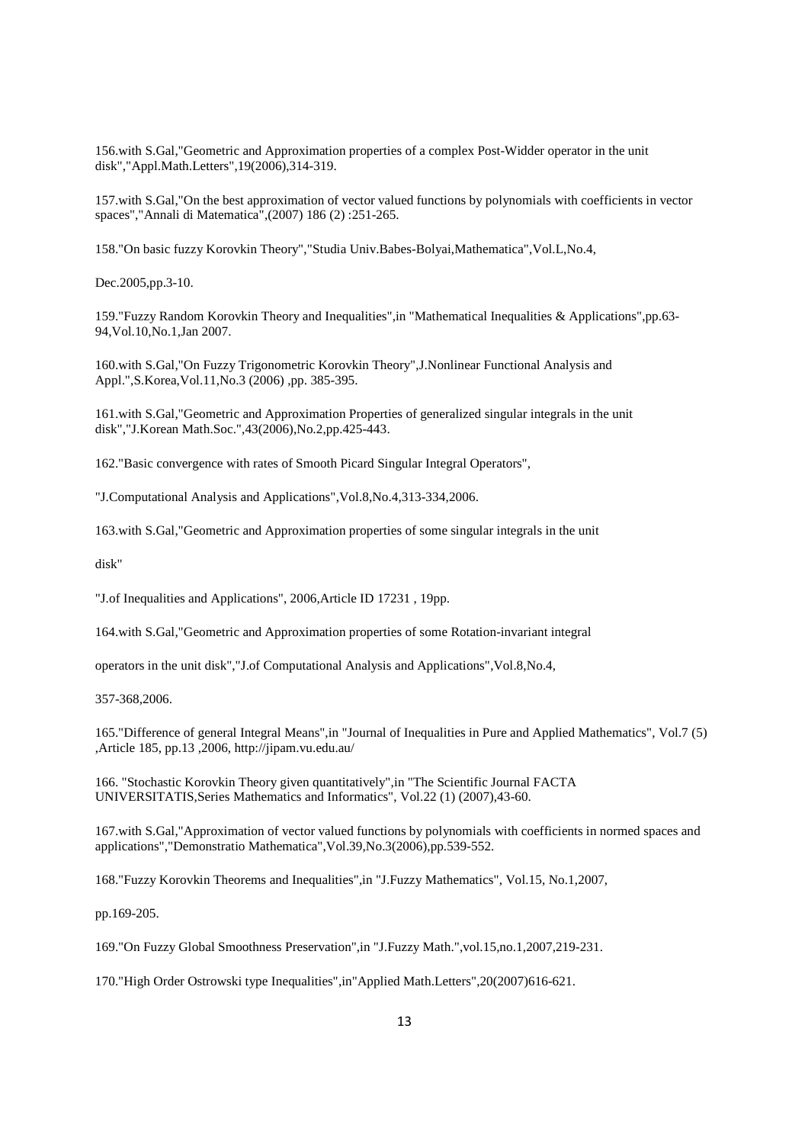156.with S.Gal,"Geometric and Approximation properties of a complex Post-Widder operator in the unit disk","Appl.Math.Letters",19(2006),314-319.

157.with S.Gal,"On the best approximation of vector valued functions by polynomials with coefficients in vector spaces","Annali di Matematica",(2007) 186 (2) :251-265.

158."On basic fuzzy Korovkin Theory","Studia Univ.Babes-Bolyai,Mathematica",Vol.L,No.4,

Dec.2005,pp.3-10.

159."Fuzzy Random Korovkin Theory and Inequalities",in "Mathematical Inequalities & Applications",pp.63- 94,Vol.10,No.1,Jan 2007.

160.with S.Gal,"On Fuzzy Trigonometric Korovkin Theory",J.Nonlinear Functional Analysis and Appl.",S.Korea,Vol.11,No.3 (2006) ,pp. 385-395.

161.with S.Gal,"Geometric and Approximation Properties of generalized singular integrals in the unit disk","J.Korean Math.Soc.",43(2006),No.2,pp.425-443.

162."Basic convergence with rates of Smooth Picard Singular Integral Operators",

"J.Computational Analysis and Applications",Vol.8,No.4,313-334,2006.

163.with S.Gal,"Geometric and Approximation properties of some singular integrals in the unit

disk"

"J.of Inequalities and Applications", 2006,Article ID 17231 , 19pp.

164.with S.Gal,"Geometric and Approximation properties of some Rotation-invariant integral

operators in the unit disk","J.of Computational Analysis and Applications",Vol.8,No.4,

357-368,2006.

165."Difference of general Integral Means",in "Journal of Inequalities in Pure and Applied Mathematics", Vol.7 (5) ,Article 185, pp.13 ,2006, http://jipam.vu.edu.au/

166. "Stochastic Korovkin Theory given quantitatively",in "The Scientific Journal FACTA UNIVERSITATIS,Series Mathematics and Informatics", Vol.22 (1) (2007),43-60.

167.with S.Gal,"Approximation of vector valued functions by polynomials with coefficients in normed spaces and applications","Demonstratio Mathematica",Vol.39,No.3(2006),pp.539-552.

168."Fuzzy Korovkin Theorems and Inequalities",in "J.Fuzzy Mathematics", Vol.15, No.1,2007,

pp.169-205.

169."On Fuzzy Global Smoothness Preservation",in "J.Fuzzy Math.",vol.15,no.1,2007,219-231.

170."High Order Ostrowski type Inequalities",in"Applied Math.Letters",20(2007)616-621.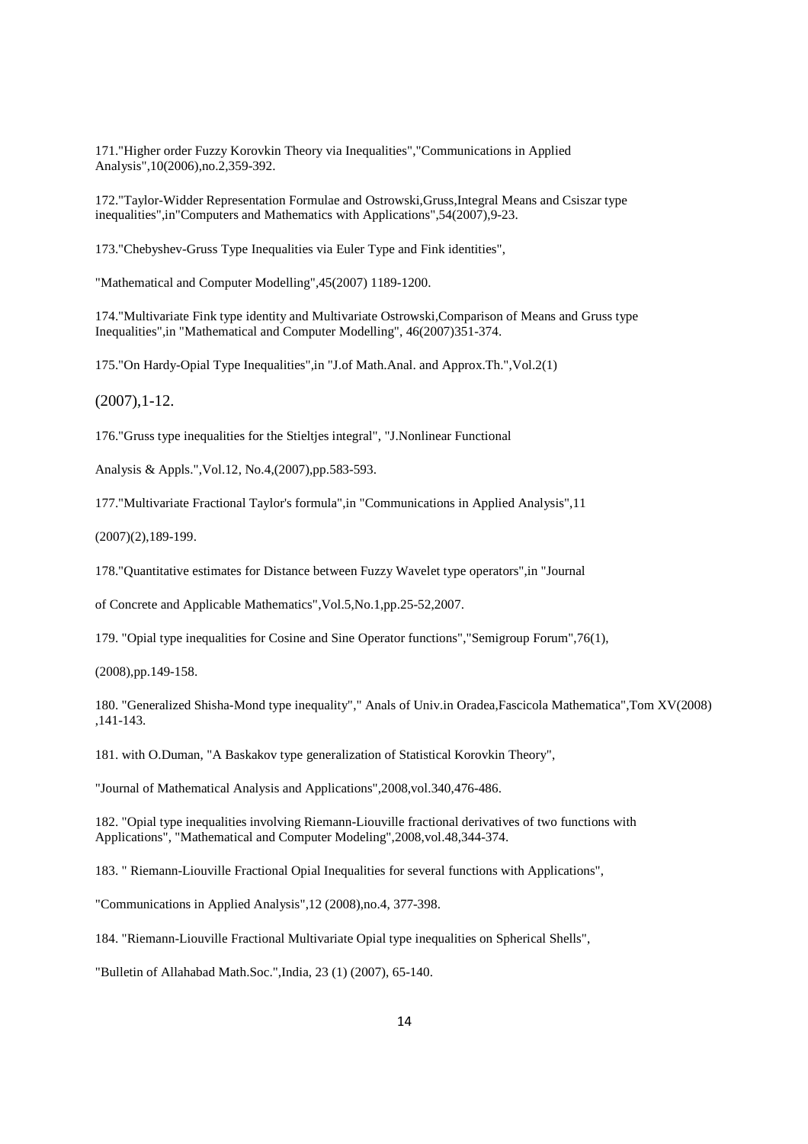171."Higher order Fuzzy Korovkin Theory via Inequalities","Communications in Applied Analysis",10(2006),no.2,359-392.

172."Taylor-Widder Representation Formulae and Ostrowski,Gruss,Integral Means and Csiszar type inequalities",in"Computers and Mathematics with Applications",54(2007),9-23.

173."Chebyshev-Gruss Type Inequalities via Euler Type and Fink identities",

"Mathematical and Computer Modelling",45(2007) 1189-1200.

174."Multivariate Fink type identity and Multivariate Ostrowski,Comparison of Means and Gruss type Inequalities",in "Mathematical and Computer Modelling", 46(2007)351-374.

175."On Hardy-Opial Type Inequalities",in "J.of Math.Anal. and Approx.Th.",Vol.2(1)

(2007),1-12.

176."Gruss type inequalities for the Stieltjes integral", "J.Nonlinear Functional

Analysis & Appls.",Vol.12, No.4,(2007),pp.583-593.

177."Multivariate Fractional Taylor's formula",in "Communications in Applied Analysis",11

(2007)(2),189-199.

178."Quantitative estimates for Distance between Fuzzy Wavelet type operators",in "Journal

of Concrete and Applicable Mathematics",Vol.5,No.1,pp.25-52,2007.

179. "Opial type inequalities for Cosine and Sine Operator functions","Semigroup Forum",76(1),

(2008),pp.149-158.

180. "Generalized Shisha-Mond type inequality"," Anals of Univ.in Oradea,Fascicola Mathematica",Tom XV(2008) ,141-143.

181. with O.Duman, "A Baskakov type generalization of Statistical Korovkin Theory",

"Journal of Mathematical Analysis and Applications",2008,vol.340,476-486.

182. "Opial type inequalities involving Riemann-Liouville fractional derivatives of two functions with Applications", "Mathematical and Computer Modeling",2008,vol.48,344-374.

183. " Riemann-Liouville Fractional Opial Inequalities for several functions with Applications",

"Communications in Applied Analysis",12 (2008),no.4, 377-398.

184. "Riemann-Liouville Fractional Multivariate Opial type inequalities on Spherical Shells",

"Bulletin of Allahabad Math.Soc.",India, 23 (1) (2007), 65-140.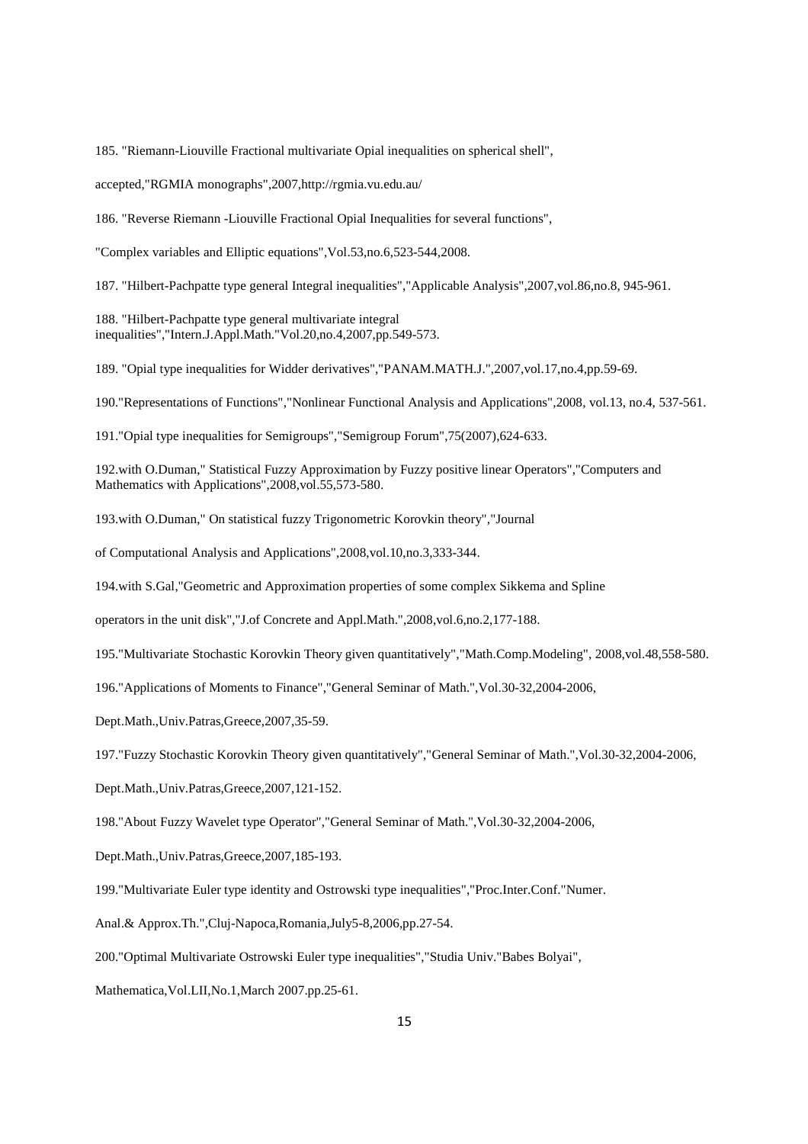185. "Riemann-Liouville Fractional multivariate Opial inequalities on spherical shell",

accepted,"RGMIA monographs",2007,http://rgmia.vu.edu.au/

186. "Reverse Riemann -Liouville Fractional Opial Inequalities for several functions",

"Complex variables and Elliptic equations",Vol.53,no.6,523-544,2008.

187. "Hilbert-Pachpatte type general Integral inequalities","Applicable Analysis",2007,vol.86,no.8, 945-961.

188. "Hilbert-Pachpatte type general multivariate integral inequalities","Intern.J.Appl.Math."Vol.20,no.4,2007,pp.549-573.

189. "Opial type inequalities for Widder derivatives","PANAM.MATH.J.",2007,vol.17,no.4,pp.59-69.

190."Representations of Functions","Nonlinear Functional Analysis and Applications",2008, vol.13, no.4, 537-561.

191."Opial type inequalities for Semigroups","Semigroup Forum",75(2007),624-633.

192.with O.Duman," Statistical Fuzzy Approximation by Fuzzy positive linear Operators","Computers and Mathematics with Applications", 2008, vol.55, 573-580.

193.with O.Duman," On statistical fuzzy Trigonometric Korovkin theory","Journal

of Computational Analysis and Applications",2008,vol.10,no.3,333-344.

194.with S.Gal,"Geometric and Approximation properties of some complex Sikkema and Spline

operators in the unit disk","J.of Concrete and Appl.Math.",2008,vol.6,no.2,177-188.

195."Multivariate Stochastic Korovkin Theory given quantitatively","Math.Comp.Modeling", 2008,vol.48,558-580.

196."Applications of Moments to Finance","General Seminar of Math.",Vol.30-32,2004-2006,

Dept.Math.,Univ.Patras,Greece,2007,35-59.

197."Fuzzy Stochastic Korovkin Theory given quantitatively","General Seminar of Math.",Vol.30-32,2004-2006,

Dept.Math.,Univ.Patras,Greece,2007,121-152.

198."About Fuzzy Wavelet type Operator","General Seminar of Math.",Vol.30-32,2004-2006,

Dept.Math.,Univ.Patras,Greece,2007,185-193.

199."Multivariate Euler type identity and Ostrowski type inequalities","Proc.Inter.Conf."Numer.

Anal.& Approx.Th.",Cluj-Napoca,Romania,July5-8,2006,pp.27-54.

200."Optimal Multivariate Ostrowski Euler type inequalities","Studia Univ."Babes Bolyai",

Mathematica,Vol.LII,No.1,March 2007.pp.25-61.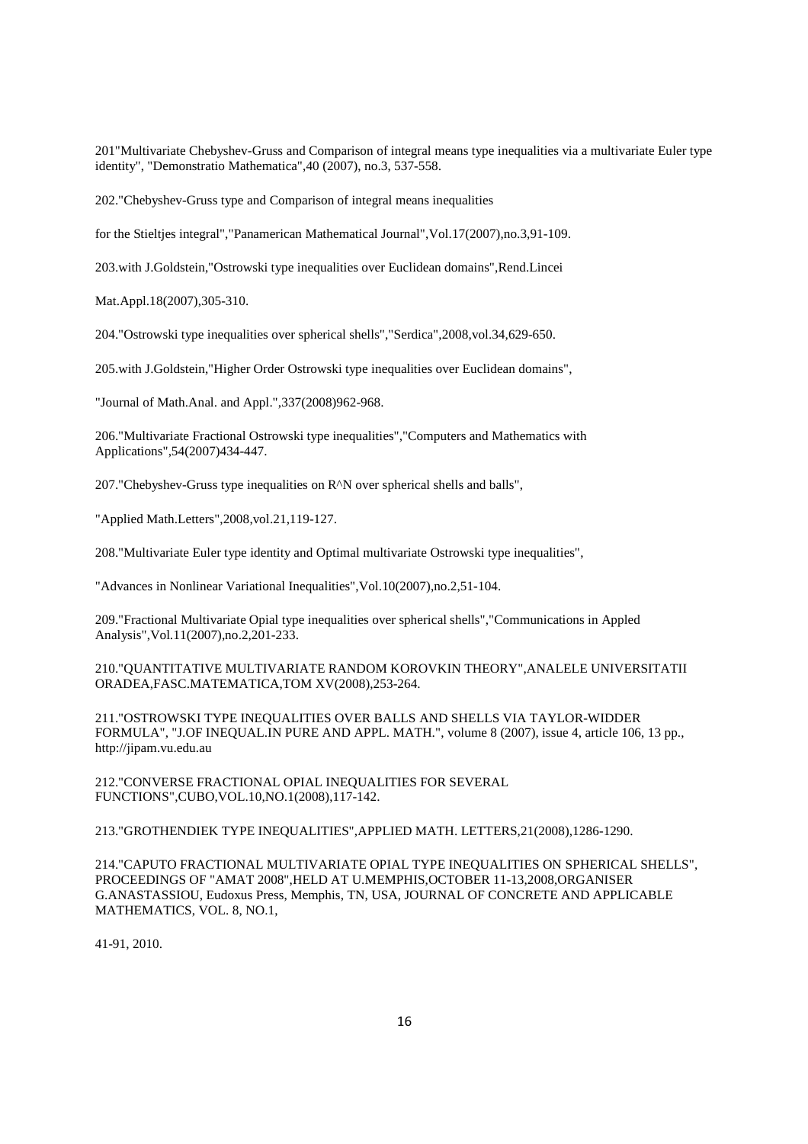201"Multivariate Chebyshev-Gruss and Comparison of integral means type inequalities via a multivariate Euler type identity", "Demonstratio Mathematica",40 (2007), no.3, 537-558.

202."Chebyshev-Gruss type and Comparison of integral means inequalities

for the Stieltjes integral","Panamerican Mathematical Journal",Vol.17(2007),no.3,91-109.

203.with J.Goldstein,"Ostrowski type inequalities over Euclidean domains",Rend.Lincei

Mat.Appl.18(2007),305-310.

204."Ostrowski type inequalities over spherical shells","Serdica",2008,vol.34,629-650.

205.with J.Goldstein,"Higher Order Ostrowski type inequalities over Euclidean domains",

"Journal of Math.Anal. and Appl.",337(2008)962-968.

206."Multivariate Fractional Ostrowski type inequalities","Computers and Mathematics with Applications",54(2007)434-447.

207."Chebyshev-Gruss type inequalities on R^N over spherical shells and balls",

"Applied Math.Letters",2008,vol.21,119-127.

208."Multivariate Euler type identity and Optimal multivariate Ostrowski type inequalities",

"Advances in Nonlinear Variational Inequalities",Vol.10(2007),no.2,51-104.

209."Fractional Multivariate Opial type inequalities over spherical shells","Communications in Appled Analysis",Vol.11(2007),no.2,201-233.

210."QUANTITATIVE MULTIVARIATE RANDOM KOROVKIN THEORY",ANALELE UNIVERSITATII ORADEA,FASC.MATEMATICA,TOM XV(2008),253-264.

211."OSTROWSKI TYPE INEQUALITIES OVER BALLS AND SHELLS VIA TAYLOR-WIDDER FORMULA", "J.OF INEQUAL.IN PURE AND APPL. MATH.", volume 8 (2007), issue 4, article 106, 13 pp., http://jipam.vu.edu.au

212."CONVERSE FRACTIONAL OPIAL INEQUALITIES FOR SEVERAL FUNCTIONS",CUBO,VOL.10,NO.1(2008),117-142.

213."GROTHENDIEK TYPE INEQUALITIES",APPLIED MATH. LETTERS,21(2008),1286-1290.

214."CAPUTO FRACTIONAL MULTIVARIATE OPIAL TYPE INEQUALITIES ON SPHERICAL SHELLS", PROCEEDINGS OF "AMAT 2008",HELD AT U.MEMPHIS,OCTOBER 11-13,2008,ORGANISER G.ANASTASSIOU, Eudoxus Press, Memphis, TN, USA, JOURNAL OF CONCRETE AND APPLICABLE MATHEMATICS, VOL. 8, NO.1,

41-91, 2010.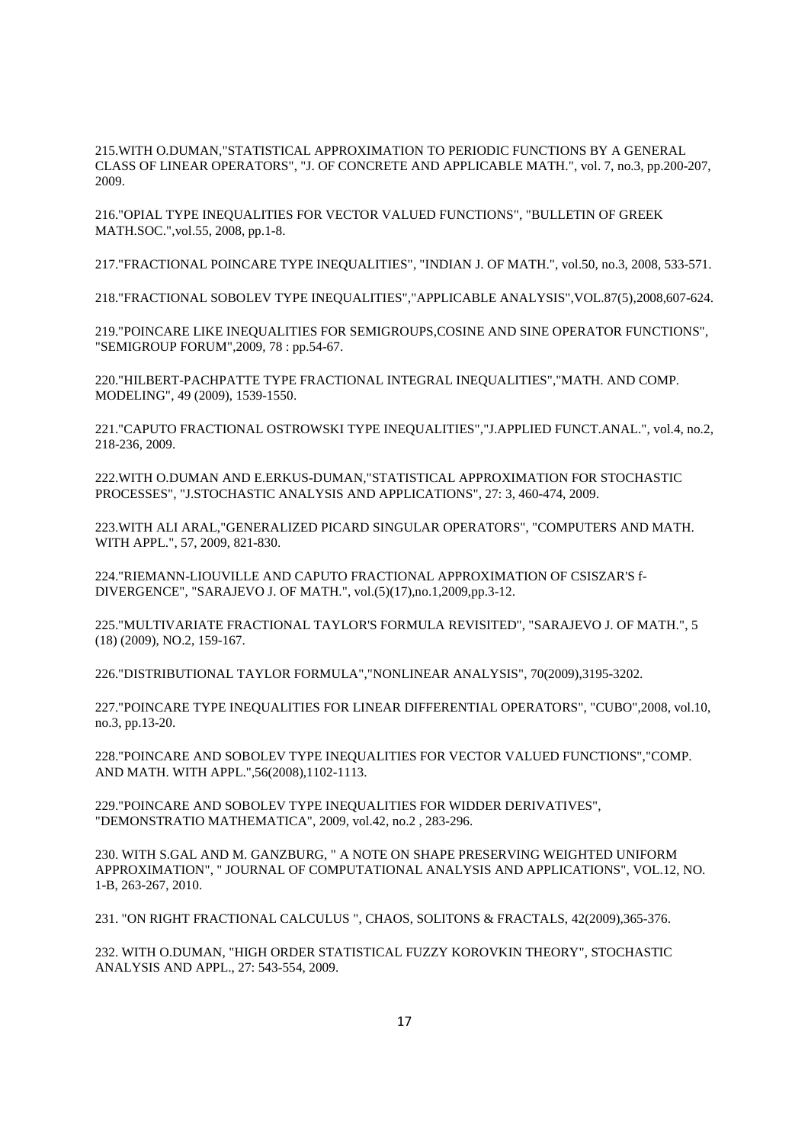215.WITH O.DUMAN,"STATISTICAL APPROXIMATION TO PERIODIC FUNCTIONS BY A GENERAL CLASS OF LINEAR OPERATORS", "J. OF CONCRETE AND APPLICABLE MATH.", vol. 7, no.3, pp.200-207, 2009.

216."OPIAL TYPE INEQUALITIES FOR VECTOR VALUED FUNCTIONS", "BULLETIN OF GREEK MATH.SOC.",vol.55, 2008, pp.1-8.

217."FRACTIONAL POINCARE TYPE INEQUALITIES", "INDIAN J. OF MATH.", vol.50, no.3, 2008, 533-571.

218."FRACTIONAL SOBOLEV TYPE INEQUALITIES","APPLICABLE ANALYSIS",VOL.87(5),2008,607-624.

219."POINCARE LIKE INEQUALITIES FOR SEMIGROUPS,COSINE AND SINE OPERATOR FUNCTIONS", "SEMIGROUP FORUM",2009, 78 : pp.54-67.

220."HILBERT-PACHPATTE TYPE FRACTIONAL INTEGRAL INEQUALITIES","MATH. AND COMP. MODELING", 49 (2009), 1539-1550.

221."CAPUTO FRACTIONAL OSTROWSKI TYPE INEQUALITIES","J.APPLIED FUNCT.ANAL.", vol.4, no.2, 218-236, 2009.

222.WITH O.DUMAN AND E.ERKUS-DUMAN,"STATISTICAL APPROXIMATION FOR STOCHASTIC PROCESSES", "J.STOCHASTIC ANALYSIS AND APPLICATIONS", 27: 3, 460-474, 2009.

223.WITH ALI ARAL,"GENERALIZED PICARD SINGULAR OPERATORS", "COMPUTERS AND MATH. WITH APPL.", 57, 2009, 821-830.

224."RIEMANN-LIOUVILLE AND CAPUTO FRACTIONAL APPROXIMATION OF CSISZAR'S f-DIVERGENCE", "SARAJEVO J. OF MATH.", vol.(5)(17),no.1,2009,pp.3-12.

225."MULTIVARIATE FRACTIONAL TAYLOR'S FORMULA REVISITED", "SARAJEVO J. OF MATH.", 5 (18) (2009), NO.2, 159-167.

226."DISTRIBUTIONAL TAYLOR FORMULA","NONLINEAR ANALYSIS", 70(2009),3195-3202.

227."POINCARE TYPE INEQUALITIES FOR LINEAR DIFFERENTIAL OPERATORS", "CUBO",2008, vol.10, no.3, pp.13-20.

228."POINCARE AND SOBOLEV TYPE INEQUALITIES FOR VECTOR VALUED FUNCTIONS","COMP. AND MATH. WITH APPL.",56(2008),1102-1113.

229."POINCARE AND SOBOLEV TYPE INEQUALITIES FOR WIDDER DERIVATIVES", "DEMONSTRATIO MATHEMATICA", 2009, vol.42, no.2 , 283-296.

230. WITH S.GAL AND M. GANZBURG, " A NOTE ON SHAPE PRESERVING WEIGHTED UNIFORM APPROXIMATION", " JOURNAL OF COMPUTATIONAL ANALYSIS AND APPLICATIONS", VOL.12, NO. 1-B, 263-267, 2010.

231. "ON RIGHT FRACTIONAL CALCULUS ", CHAOS, SOLITONS & FRACTALS, 42(2009),365-376.

232. WITH O.DUMAN, "HIGH ORDER STATISTICAL FUZZY KOROVKIN THEORY", STOCHASTIC ANALYSIS AND APPL., 27: 543-554, 2009.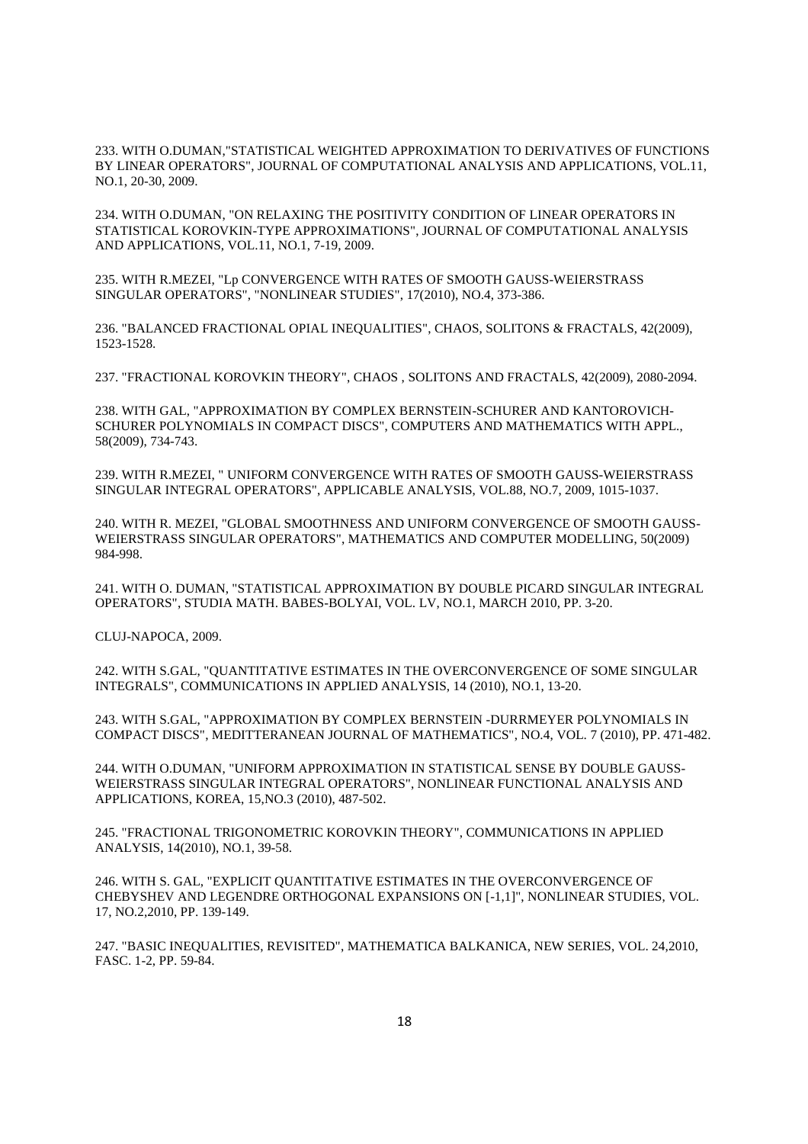233. WITH O.DUMAN,"STATISTICAL WEIGHTED APPROXIMATION TO DERIVATIVES OF FUNCTIONS BY LINEAR OPERATORS", JOURNAL OF COMPUTATIONAL ANALYSIS AND APPLICATIONS, VOL.11, NO.1, 20-30, 2009.

234. WITH O.DUMAN, "ON RELAXING THE POSITIVITY CONDITION OF LINEAR OPERATORS IN STATISTICAL KOROVKIN-TYPE APPROXIMATIONS", JOURNAL OF COMPUTATIONAL ANALYSIS AND APPLICATIONS, VOL.11, NO.1, 7-19, 2009.

235. WITH R.MEZEI, "Lp CONVERGENCE WITH RATES OF SMOOTH GAUSS-WEIERSTRASS SINGULAR OPERATORS", "NONLINEAR STUDIES", 17(2010), NO.4, 373-386.

236. "BALANCED FRACTIONAL OPIAL INEQUALITIES", CHAOS, SOLITONS & FRACTALS, 42(2009), 1523-1528.

237. "FRACTIONAL KOROVKIN THEORY", CHAOS , SOLITONS AND FRACTALS, 42(2009), 2080-2094.

238. WITH GAL, "APPROXIMATION BY COMPLEX BERNSTEIN-SCHURER AND KANTOROVICH-SCHURER POLYNOMIALS IN COMPACT DISCS", COMPUTERS AND MATHEMATICS WITH APPL., 58(2009), 734-743.

239. WITH R.MEZEI, " UNIFORM CONVERGENCE WITH RATES OF SMOOTH GAUSS-WEIERSTRASS SINGULAR INTEGRAL OPERATORS", APPLICABLE ANALYSIS, VOL.88, NO.7, 2009, 1015-1037.

240. WITH R. MEZEI, "GLOBAL SMOOTHNESS AND UNIFORM CONVERGENCE OF SMOOTH GAUSS-WEIERSTRASS SINGULAR OPERATORS", MATHEMATICS AND COMPUTER MODELLING, 50(2009) 984-998.

241. WITH O. DUMAN, "STATISTICAL APPROXIMATION BY DOUBLE PICARD SINGULAR INTEGRAL OPERATORS", STUDIA MATH. BABES-BOLYAI, VOL. LV, NO.1, MARCH 2010, PP. 3-20.

CLUJ-NAPOCA, 2009.

242. WITH S.GAL, "QUANTITATIVE ESTIMATES IN THE OVERCONVERGENCE OF SOME SINGULAR INTEGRALS", COMMUNICATIONS IN APPLIED ANALYSIS, 14 (2010), NO.1, 13-20.

243. WITH S.GAL, "APPROXIMATION BY COMPLEX BERNSTEIN -DURRMEYER POLYNOMIALS IN COMPACT DISCS", MEDITTERANEAN JOURNAL OF MATHEMATICS", NO.4, VOL. 7 (2010), PP. 471-482.

244. WITH O.DUMAN, "UNIFORM APPROXIMATION IN STATISTICAL SENSE BY DOUBLE GAUSS-WEIERSTRASS SINGULAR INTEGRAL OPERATORS", NONLINEAR FUNCTIONAL ANALYSIS AND APPLICATIONS, KOREA, 15,NO.3 (2010), 487-502.

245. "FRACTIONAL TRIGONOMETRIC KOROVKIN THEORY", COMMUNICATIONS IN APPLIED ANALYSIS, 14(2010), NO.1, 39-58.

246. WITH S. GAL, "EXPLICIT QUANTITATIVE ESTIMATES IN THE OVERCONVERGENCE OF CHEBYSHEV AND LEGENDRE ORTHOGONAL EXPANSIONS ON [-1,1]", NONLINEAR STUDIES, VOL. 17, NO.2,2010, PP. 139-149.

247. "BASIC INEQUALITIES, REVISITED", MATHEMATICA BALKANICA, NEW SERIES, VOL. 24,2010, FASC. 1-2, PP. 59-84.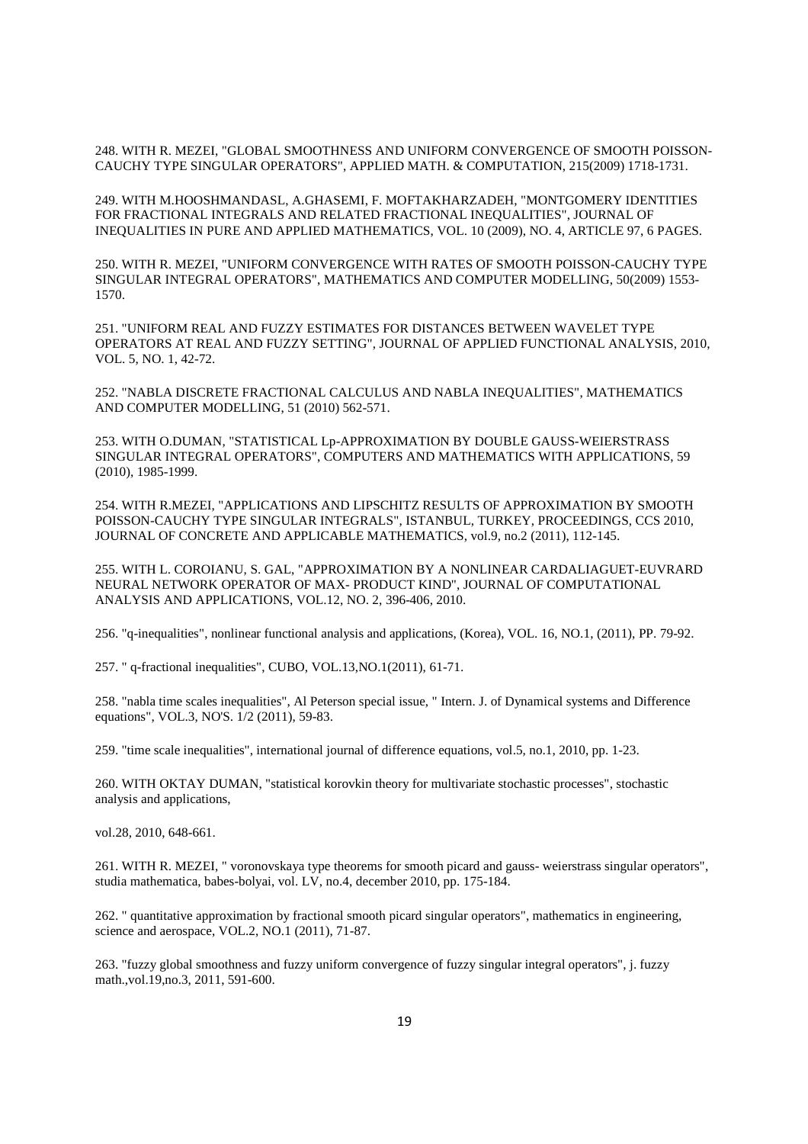248. WITH R. MEZEI, "GLOBAL SMOOTHNESS AND UNIFORM CONVERGENCE OF SMOOTH POISSON-CAUCHY TYPE SINGULAR OPERATORS", APPLIED MATH. & COMPUTATION, 215(2009) 1718-1731.

249. WITH M.HOOSHMANDASL, A.GHASEMI, F. MOFTAKHARZADEH, "MONTGOMERY IDENTITIES FOR FRACTIONAL INTEGRALS AND RELATED FRACTIONAL INEQUALITIES", JOURNAL OF INEQUALITIES IN PURE AND APPLIED MATHEMATICS, VOL. 10 (2009), NO. 4, ARTICLE 97, 6 PAGES.

250. WITH R. MEZEI, "UNIFORM CONVERGENCE WITH RATES OF SMOOTH POISSON-CAUCHY TYPE SINGULAR INTEGRAL OPERATORS", MATHEMATICS AND COMPUTER MODELLING, 50(2009) 1553- 1570.

251. "UNIFORM REAL AND FUZZY ESTIMATES FOR DISTANCES BETWEEN WAVELET TYPE OPERATORS AT REAL AND FUZZY SETTING", JOURNAL OF APPLIED FUNCTIONAL ANALYSIS, 2010, VOL. 5, NO. 1, 42-72.

252. "NABLA DISCRETE FRACTIONAL CALCULUS AND NABLA INEQUALITIES", MATHEMATICS AND COMPUTER MODELLING, 51 (2010) 562-571.

253. WITH O.DUMAN, "STATISTICAL Lp-APPROXIMATION BY DOUBLE GAUSS-WEIERSTRASS SINGULAR INTEGRAL OPERATORS", COMPUTERS AND MATHEMATICS WITH APPLICATIONS, 59 (2010), 1985-1999.

254. WITH R.MEZEI, "APPLICATIONS AND LIPSCHITZ RESULTS OF APPROXIMATION BY SMOOTH POISSON-CAUCHY TYPE SINGULAR INTEGRALS", ISTANBUL, TURKEY, PROCEEDINGS, CCS 2010, JOURNAL OF CONCRETE AND APPLICABLE MATHEMATICS, vol.9, no.2 (2011), 112-145.

255. WITH L. COROIANU, S. GAL, "APPROXIMATION BY A NONLINEAR CARDALIAGUET-EUVRARD NEURAL NETWORK OPERATOR OF MAX- PRODUCT KIND", JOURNAL OF COMPUTATIONAL ANALYSIS AND APPLICATIONS, VOL.12, NO. 2, 396-406, 2010.

256. "q-inequalities", nonlinear functional analysis and applications, (Korea), VOL. 16, NO.1, (2011), PP. 79-92.

257. " q-fractional inequalities", CUBO, VOL.13,NO.1(2011), 61-71.

258. "nabla time scales inequalities", Al Peterson special issue, " Intern. J. of Dynamical systems and Difference equations", VOL.3, NO'S. 1/2 (2011), 59-83.

259. "time scale inequalities", international journal of difference equations, vol.5, no.1, 2010, pp. 1-23.

260. WITH OKTAY DUMAN, "statistical korovkin theory for multivariate stochastic processes", stochastic analysis and applications,

vol.28, 2010, 648-661.

261. WITH R. MEZEI, " voronovskaya type theorems for smooth picard and gauss- weierstrass singular operators", studia mathematica, babes-bolyai, vol. LV, no.4, december 2010, pp. 175-184.

262. " quantitative approximation by fractional smooth picard singular operators", mathematics in engineering, science and aerospace, VOL.2, NO.1 (2011), 71-87.

263. "fuzzy global smoothness and fuzzy uniform convergence of fuzzy singular integral operators", j. fuzzy math.,vol.19,no.3, 2011, 591-600.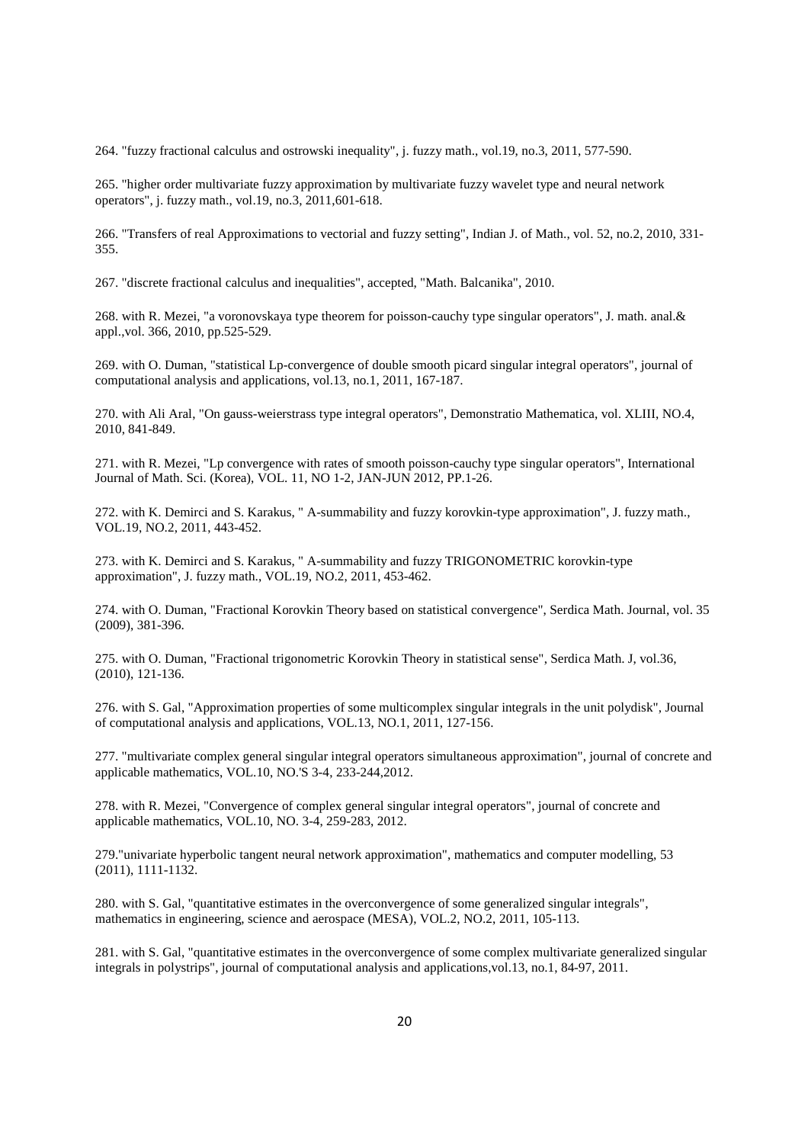264. "fuzzy fractional calculus and ostrowski inequality", j. fuzzy math., vol.19, no.3, 2011, 577-590.

265. "higher order multivariate fuzzy approximation by multivariate fuzzy wavelet type and neural network operators", j. fuzzy math., vol.19, no.3, 2011,601-618.

266. "Transfers of real Approximations to vectorial and fuzzy setting", Indian J. of Math., vol. 52, no.2, 2010, 331- 355.

267. "discrete fractional calculus and inequalities", accepted, "Math. Balcanika", 2010.

268. with R. Mezei, "a voronovskaya type theorem for poisson-cauchy type singular operators", J. math. anal.& appl.,vol. 366, 2010, pp.525-529.

269. with O. Duman, "statistical Lp-convergence of double smooth picard singular integral operators", journal of computational analysis and applications, vol.13, no.1, 2011, 167-187.

270. with Ali Aral, "On gauss-weierstrass type integral operators", Demonstratio Mathematica, vol. XLIII, NO.4, 2010, 841-849.

271. with R. Mezei, "Lp convergence with rates of smooth poisson-cauchy type singular operators", International Journal of Math. Sci. (Korea), VOL. 11, NO 1-2, JAN-JUN 2012, PP.1-26.

272. with K. Demirci and S. Karakus, " A-summability and fuzzy korovkin-type approximation", J. fuzzy math., VOL.19, NO.2, 2011, 443-452.

273. with K. Demirci and S. Karakus, " A-summability and fuzzy TRIGONOMETRIC korovkin-type approximation", J. fuzzy math., VOL.19, NO.2, 2011, 453-462.

274. with O. Duman, "Fractional Korovkin Theory based on statistical convergence", Serdica Math. Journal, vol. 35 (2009), 381-396.

275. with O. Duman, "Fractional trigonometric Korovkin Theory in statistical sense", Serdica Math. J, vol.36, (2010), 121-136.

276. with S. Gal, "Approximation properties of some multicomplex singular integrals in the unit polydisk", Journal of computational analysis and applications, VOL.13, NO.1, 2011, 127-156.

277. "multivariate complex general singular integral operators simultaneous approximation", journal of concrete and applicable mathematics, VOL.10, NO.'S 3-4, 233-244,2012.

278. with R. Mezei, "Convergence of complex general singular integral operators", journal of concrete and applicable mathematics, VOL.10, NO. 3-4, 259-283, 2012.

279."univariate hyperbolic tangent neural network approximation", mathematics and computer modelling, 53 (2011), 1111-1132.

280. with S. Gal, "quantitative estimates in the overconvergence of some generalized singular integrals", mathematics in engineering, science and aerospace (MESA), VOL.2, NO.2, 2011, 105-113.

281. with S. Gal, "quantitative estimates in the overconvergence of some complex multivariate generalized singular integrals in polystrips", journal of computational analysis and applications,vol.13, no.1, 84-97, 2011.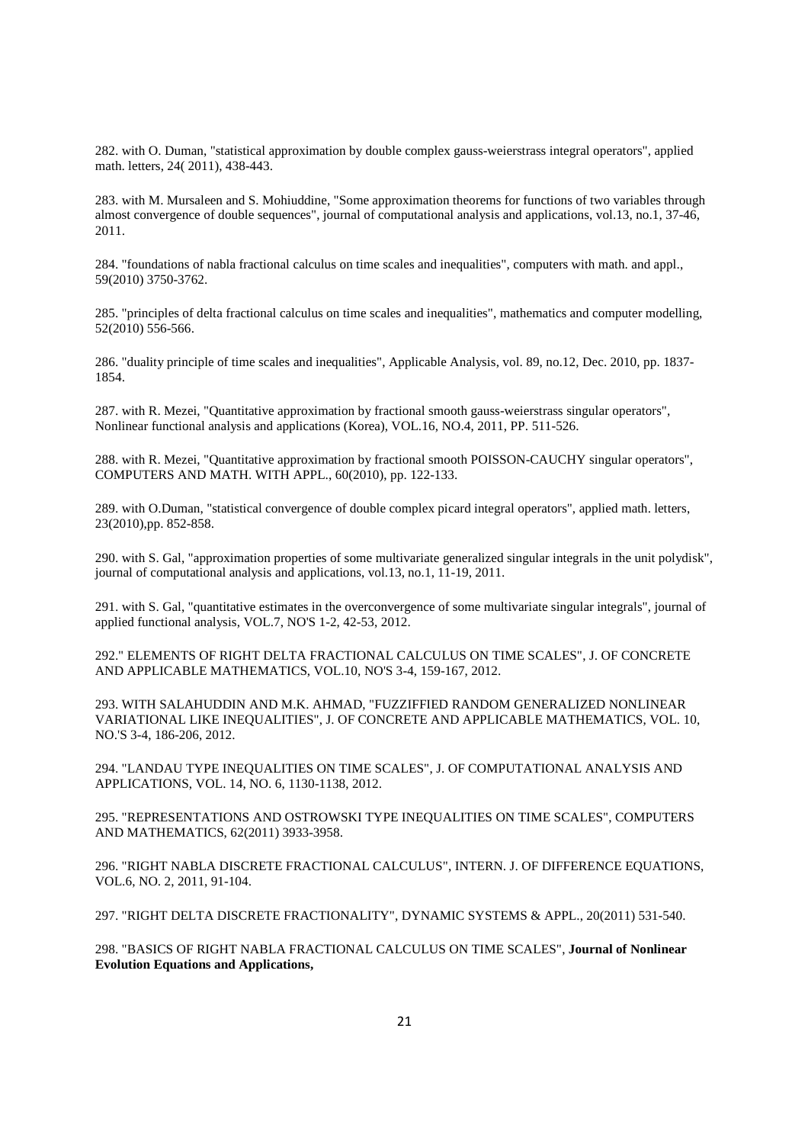282. with O. Duman, "statistical approximation by double complex gauss-weierstrass integral operators", applied math. letters, 24( 2011), 438-443.

283. with M. Mursaleen and S. Mohiuddine, "Some approximation theorems for functions of two variables through almost convergence of double sequences", journal of computational analysis and applications, vol.13, no.1, 37-46, 2011.

284. "foundations of nabla fractional calculus on time scales and inequalities", computers with math. and appl., 59(2010) 3750-3762.

285. "principles of delta fractional calculus on time scales and inequalities", mathematics and computer modelling, 52(2010) 556-566.

286. "duality principle of time scales and inequalities", Applicable Analysis, vol. 89, no.12, Dec. 2010, pp. 1837- 1854.

287. with R. Mezei, "Quantitative approximation by fractional smooth gauss-weierstrass singular operators", Nonlinear functional analysis and applications (Korea), VOL.16, NO.4, 2011, PP. 511-526.

288. with R. Mezei, "Quantitative approximation by fractional smooth POISSON-CAUCHY singular operators", COMPUTERS AND MATH. WITH APPL., 60(2010), pp. 122-133.

289. with O.Duman, "statistical convergence of double complex picard integral operators", applied math. letters, 23(2010),pp. 852-858.

290. with S. Gal, "approximation properties of some multivariate generalized singular integrals in the unit polydisk", journal of computational analysis and applications, vol.13, no.1, 11-19, 2011.

291. with S. Gal, "quantitative estimates in the overconvergence of some multivariate singular integrals", journal of applied functional analysis, VOL.7, NO'S 1-2, 42-53, 2012.

292." ELEMENTS OF RIGHT DELTA FRACTIONAL CALCULUS ON TIME SCALES", J. OF CONCRETE AND APPLICABLE MATHEMATICS, VOL.10, NO'S 3-4, 159-167, 2012.

293. WITH SALAHUDDIN AND M.K. AHMAD, "FUZZIFFIED RANDOM GENERALIZED NONLINEAR VARIATIONAL LIKE INEQUALITIES", J. OF CONCRETE AND APPLICABLE MATHEMATICS, VOL. 10, NO.'S 3-4, 186-206, 2012.

294. "LANDAU TYPE INEQUALITIES ON TIME SCALES", J. OF COMPUTATIONAL ANALYSIS AND APPLICATIONS, VOL. 14, NO. 6, 1130-1138, 2012.

295. "REPRESENTATIONS AND OSTROWSKI TYPE INEQUALITIES ON TIME SCALES", COMPUTERS AND MATHEMATICS, 62(2011) 3933-3958.

296. "RIGHT NABLA DISCRETE FRACTIONAL CALCULUS", INTERN. J. OF DIFFERENCE EQUATIONS, VOL.6, NO. 2, 2011, 91-104.

297. "RIGHT DELTA DISCRETE FRACTIONALITY", DYNAMIC SYSTEMS & APPL., 20(2011) 531-540.

298. "BASICS OF RIGHT NABLA FRACTIONAL CALCULUS ON TIME SCALES", **Journal of Nonlinear Evolution Equations and Applications,**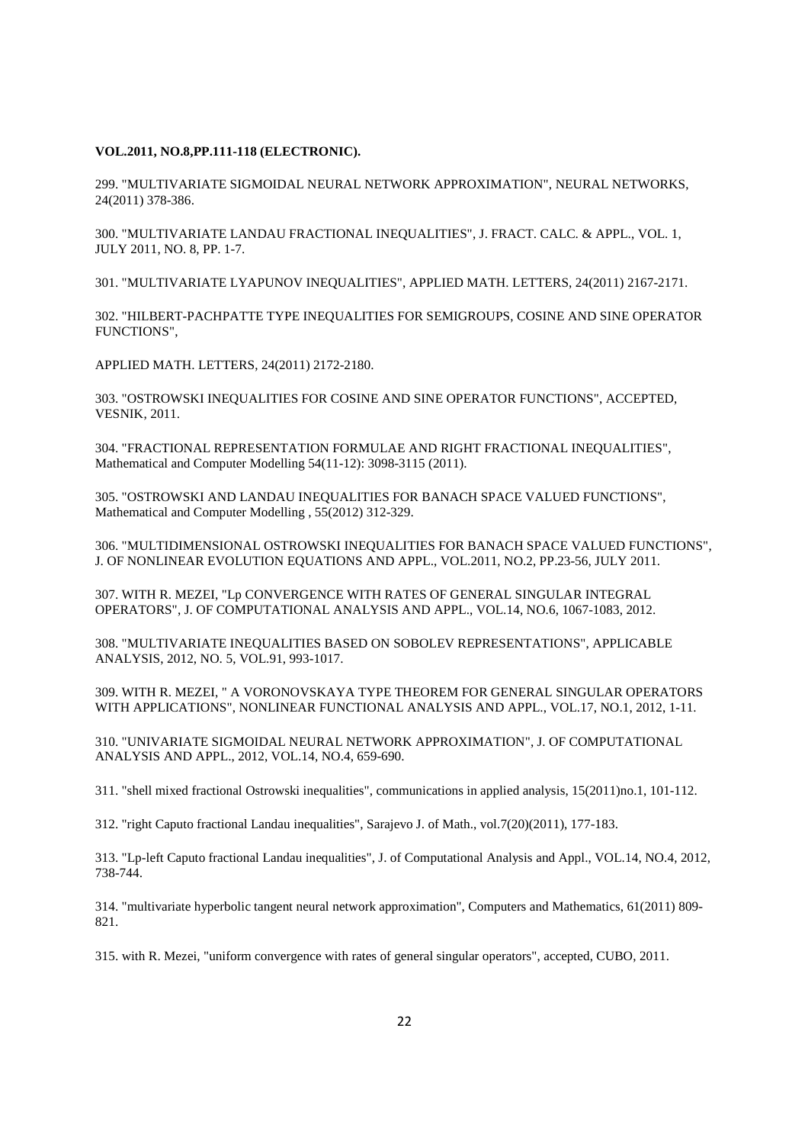#### **VOL.2011, NO.8,PP.111-118 (ELECTRONIC).**

299. "MULTIVARIATE SIGMOIDAL NEURAL NETWORK APPROXIMATION", NEURAL NETWORKS, 24(2011) 378-386.

300. "MULTIVARIATE LANDAU FRACTIONAL INEQUALITIES", J. FRACT. CALC. & APPL., VOL. 1, JULY 2011, NO. 8, PP. 1-7.

301. "MULTIVARIATE LYAPUNOV INEQUALITIES", APPLIED MATH. LETTERS, 24(2011) 2167-2171.

302. "HILBERT-PACHPATTE TYPE INEQUALITIES FOR SEMIGROUPS, COSINE AND SINE OPERATOR FUNCTIONS",

APPLIED MATH. LETTERS, 24(2011) 2172-2180.

303. "OSTROWSKI INEQUALITIES FOR COSINE AND SINE OPERATOR FUNCTIONS", ACCEPTED, VESNIK, 2011.

304. "FRACTIONAL REPRESENTATION FORMULAE AND RIGHT FRACTIONAL INEQUALITIES", Mathematical and Computer Modelling 54(11-12): 3098-3115 (2011).

305. "OSTROWSKI AND LANDAU INEQUALITIES FOR BANACH SPACE VALUED FUNCTIONS", Mathematical and Computer Modelling , 55(2012) 312-329.

306. "MULTIDIMENSIONAL OSTROWSKI INEQUALITIES FOR BANACH SPACE VALUED FUNCTIONS", J. OF NONLINEAR EVOLUTION EQUATIONS AND APPL., VOL.2011, NO.2, PP.23-56, JULY 2011.

307. WITH R. MEZEI, "Lp CONVERGENCE WITH RATES OF GENERAL SINGULAR INTEGRAL OPERATORS", J. OF COMPUTATIONAL ANALYSIS AND APPL., VOL.14, NO.6, 1067-1083, 2012.

308. "MULTIVARIATE INEQUALITIES BASED ON SOBOLEV REPRESENTATIONS", APPLICABLE ANALYSIS, 2012, NO. 5, VOL.91, 993-1017.

309. WITH R. MEZEI, " A VORONOVSKAYA TYPE THEOREM FOR GENERAL SINGULAR OPERATORS WITH APPLICATIONS", NONLINEAR FUNCTIONAL ANALYSIS AND APPL., VOL.17, NO.1, 2012, 1-11.

310. "UNIVARIATE SIGMOIDAL NEURAL NETWORK APPROXIMATION", J. OF COMPUTATIONAL ANALYSIS AND APPL., 2012, VOL.14, NO.4, 659-690.

311. "shell mixed fractional Ostrowski inequalities", communications in applied analysis, 15(2011)no.1, 101-112.

312. "right Caputo fractional Landau inequalities", Sarajevo J. of Math., vol.7(20)(2011), 177-183.

313. "Lp-left Caputo fractional Landau inequalities", J. of Computational Analysis and Appl., VOL.14, NO.4, 2012, 738-744.

314. "multivariate hyperbolic tangent neural network approximation", Computers and Mathematics, 61(2011) 809- 821.

315. with R. Mezei, "uniform convergence with rates of general singular operators", accepted, CUBO, 2011.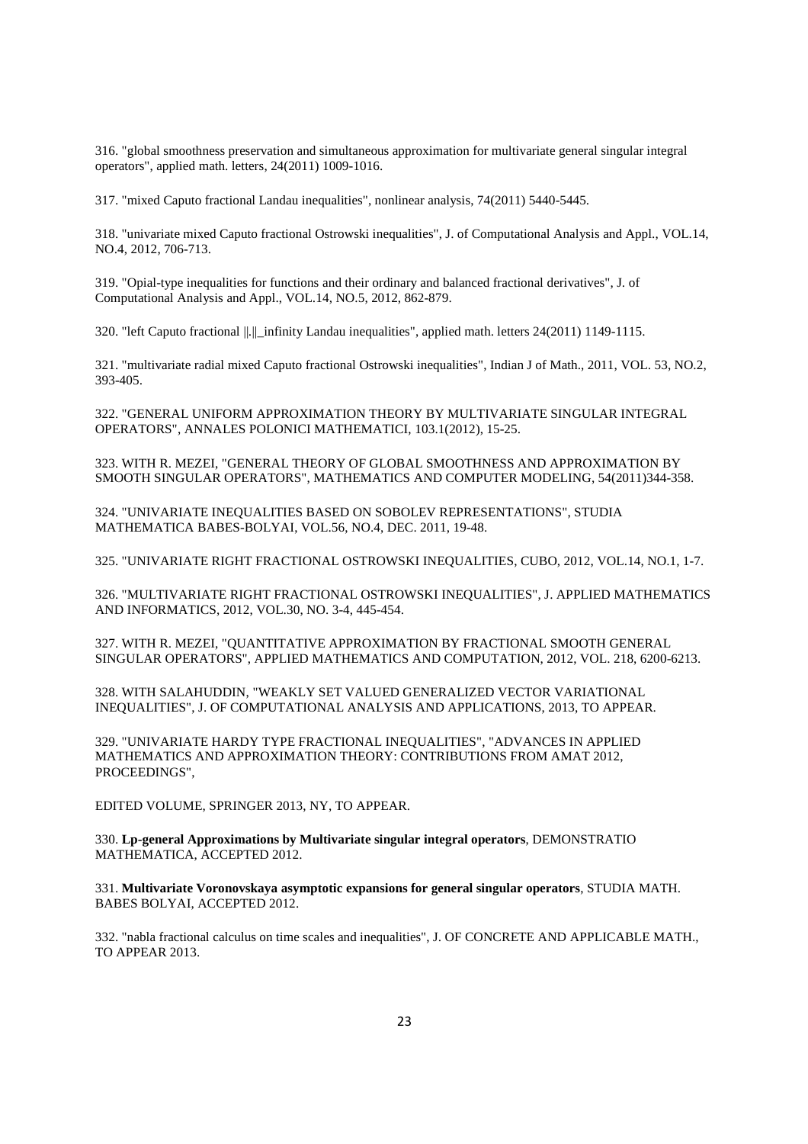316. "global smoothness preservation and simultaneous approximation for multivariate general singular integral operators", applied math. letters, 24(2011) 1009-1016.

317. "mixed Caputo fractional Landau inequalities", nonlinear analysis, 74(2011) 5440-5445.

318. "univariate mixed Caputo fractional Ostrowski inequalities", J. of Computational Analysis and Appl., VOL.14, NO.4, 2012, 706-713.

319. "Opial-type inequalities for functions and their ordinary and balanced fractional derivatives", J. of Computational Analysis and Appl., VOL.14, NO.5, 2012, 862-879.

320. "left Caputo fractional ||.||\_infinity Landau inequalities", applied math. letters 24(2011) 1149-1115.

321. "multivariate radial mixed Caputo fractional Ostrowski inequalities", Indian J of Math., 2011, VOL. 53, NO.2, 393-405.

322. "GENERAL UNIFORM APPROXIMATION THEORY BY MULTIVARIATE SINGULAR INTEGRAL OPERATORS", ANNALES POLONICI MATHEMATICI, 103.1(2012), 15-25.

323. WITH R. MEZEI, "GENERAL THEORY OF GLOBAL SMOOTHNESS AND APPROXIMATION BY SMOOTH SINGULAR OPERATORS", MATHEMATICS AND COMPUTER MODELING, 54(2011)344-358.

324. "UNIVARIATE INEQUALITIES BASED ON SOBOLEV REPRESENTATIONS", STUDIA MATHEMATICA BABES-BOLYAI, VOL.56, NO.4, DEC. 2011, 19-48.

325. "UNIVARIATE RIGHT FRACTIONAL OSTROWSKI INEQUALITIES, CUBO, 2012, VOL.14, NO.1, 1-7.

326. "MULTIVARIATE RIGHT FRACTIONAL OSTROWSKI INEQUALITIES", J. APPLIED MATHEMATICS AND INFORMATICS, 2012, VOL.30, NO. 3-4, 445-454.

327. WITH R. MEZEI, "QUANTITATIVE APPROXIMATION BY FRACTIONAL SMOOTH GENERAL SINGULAR OPERATORS", APPLIED MATHEMATICS AND COMPUTATION, 2012, VOL. 218, 6200-6213.

328. WITH SALAHUDDIN, "WEAKLY SET VALUED GENERALIZED VECTOR VARIATIONAL INEQUALITIES", J. OF COMPUTATIONAL ANALYSIS AND APPLICATIONS, 2013, TO APPEAR.

329. "UNIVARIATE HARDY TYPE FRACTIONAL INEQUALITIES", "ADVANCES IN APPLIED MATHEMATICS AND APPROXIMATION THEORY: CONTRIBUTIONS FROM AMAT 2012, PROCEEDINGS",

EDITED VOLUME, SPRINGER 2013, NY, TO APPEAR.

330. **Lp-general Approximations by Multivariate singular integral operators**, DEMONSTRATIO MATHEMATICA, ACCEPTED 2012.

331. **Multivariate Voronovskaya asymptotic expansions for general singular operators**, STUDIA MATH. BABES BOLYAI, ACCEPTED 2012.

332. "nabla fractional calculus on time scales and inequalities", J. OF CONCRETE AND APPLICABLE MATH., TO APPEAR 2013.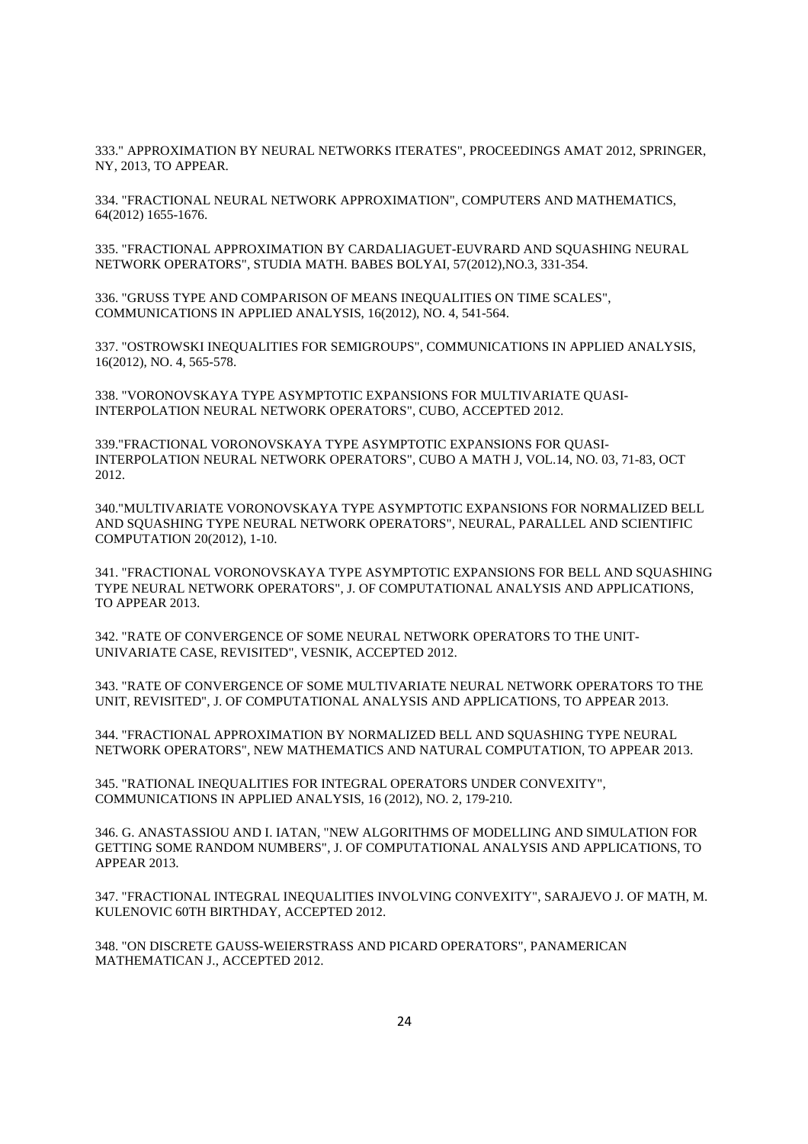333." APPROXIMATION BY NEURAL NETWORKS ITERATES", PROCEEDINGS AMAT 2012, SPRINGER, NY, 2013, TO APPEAR.

334. "FRACTIONAL NEURAL NETWORK APPROXIMATION", COMPUTERS AND MATHEMATICS, 64(2012) 1655-1676.

335. "FRACTIONAL APPROXIMATION BY CARDALIAGUET-EUVRARD AND SQUASHING NEURAL NETWORK OPERATORS", STUDIA MATH. BABES BOLYAI, 57(2012),NO.3, 331-354.

336. "GRUSS TYPE AND COMPARISON OF MEANS INEQUALITIES ON TIME SCALES", COMMUNICATIONS IN APPLIED ANALYSIS, 16(2012), NO. 4, 541-564.

337. "OSTROWSKI INEQUALITIES FOR SEMIGROUPS", COMMUNICATIONS IN APPLIED ANALYSIS, 16(2012), NO. 4, 565-578.

338. "VORONOVSKAYA TYPE ASYMPTOTIC EXPANSIONS FOR MULTIVARIATE QUASI-INTERPOLATION NEURAL NETWORK OPERATORS", CUBO, ACCEPTED 2012.

339."FRACTIONAL VORONOVSKAYA TYPE ASYMPTOTIC EXPANSIONS FOR QUASI-INTERPOLATION NEURAL NETWORK OPERATORS", CUBO A MATH J, VOL.14, NO. 03, 71-83, OCT 2012.

340."MULTIVARIATE VORONOVSKAYA TYPE ASYMPTOTIC EXPANSIONS FOR NORMALIZED BELL AND SQUASHING TYPE NEURAL NETWORK OPERATORS", NEURAL, PARALLEL AND SCIENTIFIC COMPUTATION 20(2012), 1-10.

341. "FRACTIONAL VORONOVSKAYA TYPE ASYMPTOTIC EXPANSIONS FOR BELL AND SQUASHING TYPE NEURAL NETWORK OPERATORS", J. OF COMPUTATIONAL ANALYSIS AND APPLICATIONS, TO APPEAR 2013.

342. "RATE OF CONVERGENCE OF SOME NEURAL NETWORK OPERATORS TO THE UNIT-UNIVARIATE CASE, REVISITED", VESNIK, ACCEPTED 2012.

343. "RATE OF CONVERGENCE OF SOME MULTIVARIATE NEURAL NETWORK OPERATORS TO THE UNIT, REVISITED", J. OF COMPUTATIONAL ANALYSIS AND APPLICATIONS, TO APPEAR 2013.

344. "FRACTIONAL APPROXIMATION BY NORMALIZED BELL AND SQUASHING TYPE NEURAL NETWORK OPERATORS", NEW MATHEMATICS AND NATURAL COMPUTATION, TO APPEAR 2013.

345. "RATIONAL INEQUALITIES FOR INTEGRAL OPERATORS UNDER CONVEXITY", COMMUNICATIONS IN APPLIED ANALYSIS, 16 (2012), NO. 2, 179-210.

346. G. ANASTASSIOU AND I. IATAN, "NEW ALGORITHMS OF MODELLING AND SIMULATION FOR GETTING SOME RANDOM NUMBERS", J. OF COMPUTATIONAL ANALYSIS AND APPLICATIONS, TO APPEAR 2013.

347. "FRACTIONAL INTEGRAL INEQUALITIES INVOLVING CONVEXITY", SARAJEVO J. OF MATH, M. KULENOVIC 60TH BIRTHDAY, ACCEPTED 2012.

348. "ON DISCRETE GAUSS-WEIERSTRASS AND PICARD OPERATORS", PANAMERICAN MATHEMATICAN J., ACCEPTED 2012.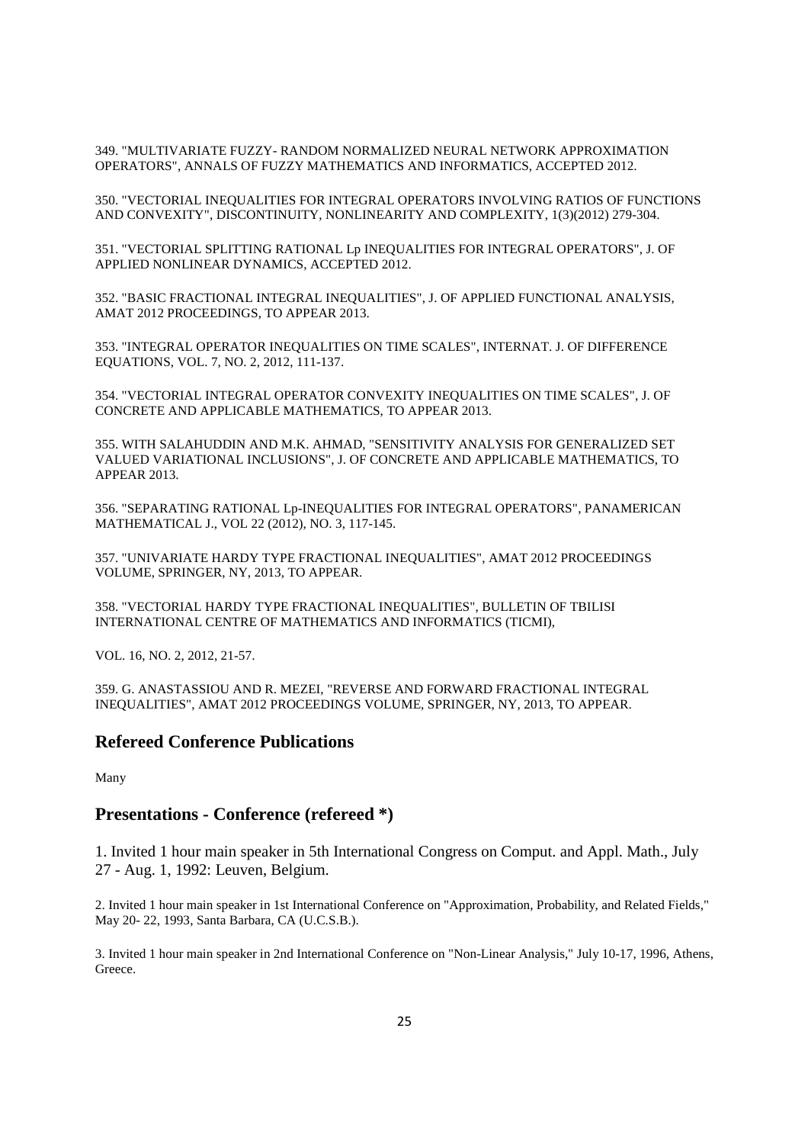349. "MULTIVARIATE FUZZY- RANDOM NORMALIZED NEURAL NETWORK APPROXIMATION OPERATORS", ANNALS OF FUZZY MATHEMATICS AND INFORMATICS, ACCEPTED 2012.

350. "VECTORIAL INEQUALITIES FOR INTEGRAL OPERATORS INVOLVING RATIOS OF FUNCTIONS AND CONVEXITY", DISCONTINUITY, NONLINEARITY AND COMPLEXITY, 1(3)(2012) 279-304.

351. "VECTORIAL SPLITTING RATIONAL Lp INEQUALITIES FOR INTEGRAL OPERATORS", J. OF APPLIED NONLINEAR DYNAMICS, ACCEPTED 2012.

352. "BASIC FRACTIONAL INTEGRAL INEQUALITIES", J. OF APPLIED FUNCTIONAL ANALYSIS, AMAT 2012 PROCEEDINGS, TO APPEAR 2013.

353. "INTEGRAL OPERATOR INEQUALITIES ON TIME SCALES", INTERNAT. J. OF DIFFERENCE EQUATIONS, VOL. 7, NO. 2, 2012, 111-137.

354. "VECTORIAL INTEGRAL OPERATOR CONVEXITY INEQUALITIES ON TIME SCALES", J. OF CONCRETE AND APPLICABLE MATHEMATICS, TO APPEAR 2013.

355. WITH SALAHUDDIN AND M.K. AHMAD, "SENSITIVITY ANALYSIS FOR GENERALIZED SET VALUED VARIATIONAL INCLUSIONS", J. OF CONCRETE AND APPLICABLE MATHEMATICS, TO APPEAR 2013.

356. "SEPARATING RATIONAL Lp-INEQUALITIES FOR INTEGRAL OPERATORS", PANAMERICAN MATHEMATICAL J., VOL 22 (2012), NO. 3, 117-145.

357. "UNIVARIATE HARDY TYPE FRACTIONAL INEQUALITIES", AMAT 2012 PROCEEDINGS VOLUME, SPRINGER, NY, 2013, TO APPEAR.

358. "VECTORIAL HARDY TYPE FRACTIONAL INEQUALITIES", BULLETIN OF TBILISI INTERNATIONAL CENTRE OF MATHEMATICS AND INFORMATICS (TICMI),

VOL. 16, NO. 2, 2012, 21-57.

359. G. ANASTASSIOU AND R. MEZEI, "REVERSE AND FORWARD FRACTIONAL INTEGRAL INEQUALITIES", AMAT 2012 PROCEEDINGS VOLUME, SPRINGER, NY, 2013, TO APPEAR.

### **Refereed Conference Publications**

Many

### **Presentations - Conference (refereed \*)**

1. Invited 1 hour main speaker in 5th International Congress on Comput. and Appl. Math., July 27 - Aug. 1, 1992: Leuven, Belgium.

2. Invited 1 hour main speaker in 1st International Conference on "Approximation, Probability, and Related Fields," May 20- 22, 1993, Santa Barbara, CA (U.C.S.B.).

3. Invited 1 hour main speaker in 2nd International Conference on "Non-Linear Analysis," July 10-17, 1996, Athens, Greece.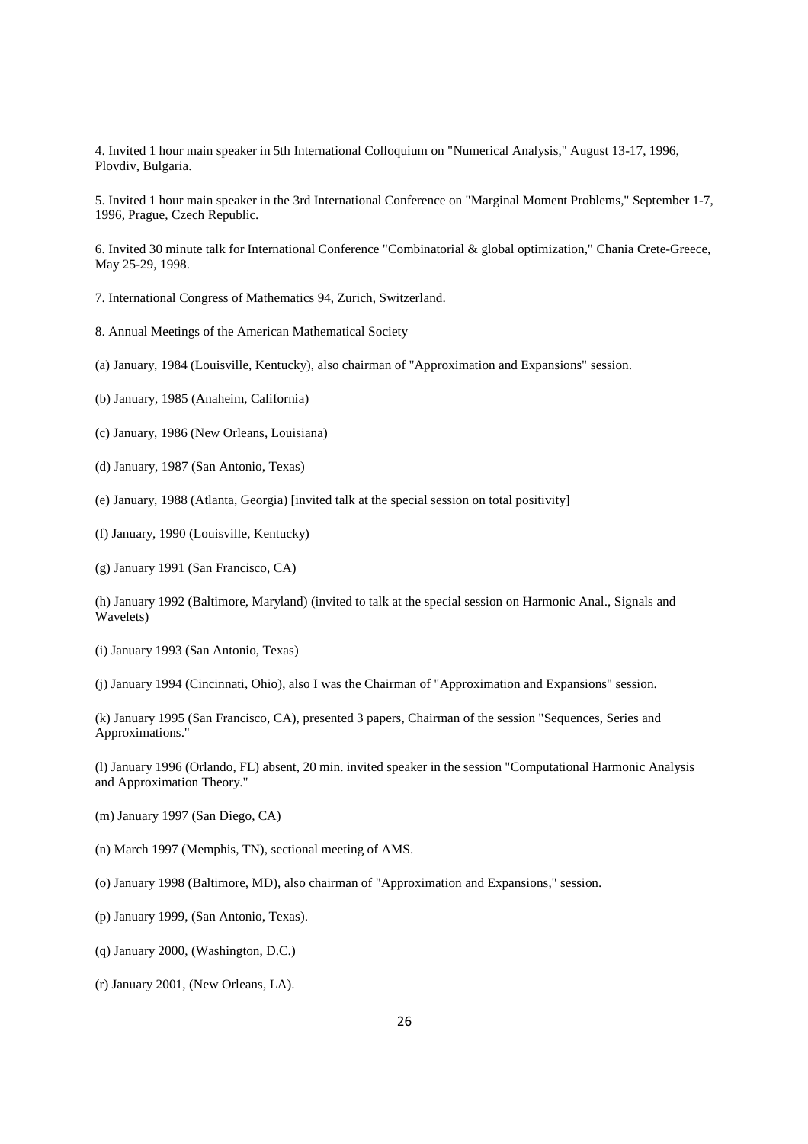4. Invited 1 hour main speaker in 5th International Colloquium on "Numerical Analysis," August 13-17, 1996, Plovdiv, Bulgaria.

5. Invited 1 hour main speaker in the 3rd International Conference on "Marginal Moment Problems," September 1-7, 1996, Prague, Czech Republic.

6. Invited 30 minute talk for International Conference "Combinatorial & global optimization," Chania Crete-Greece, May 25-29, 1998.

7. International Congress of Mathematics 94, Zurich, Switzerland.

- 8. Annual Meetings of the American Mathematical Society
- (a) January, 1984 (Louisville, Kentucky), also chairman of "Approximation and Expansions" session.
- (b) January, 1985 (Anaheim, California)
- (c) January, 1986 (New Orleans, Louisiana)
- (d) January, 1987 (San Antonio, Texas)
- (e) January, 1988 (Atlanta, Georgia) [invited talk at the special session on total positivity]
- (f) January, 1990 (Louisville, Kentucky)
- (g) January 1991 (San Francisco, CA)

(h) January 1992 (Baltimore, Maryland) (invited to talk at the special session on Harmonic Anal., Signals and Wavelets)

- (i) January 1993 (San Antonio, Texas)
- (j) January 1994 (Cincinnati, Ohio), also I was the Chairman of "Approximation and Expansions" session.

(k) January 1995 (San Francisco, CA), presented 3 papers, Chairman of the session "Sequences, Series and Approximations."

(l) January 1996 (Orlando, FL) absent, 20 min. invited speaker in the session "Computational Harmonic Analysis and Approximation Theory."

- (m) January 1997 (San Diego, CA)
- (n) March 1997 (Memphis, TN), sectional meeting of AMS.
- (o) January 1998 (Baltimore, MD), also chairman of "Approximation and Expansions," session.
- (p) January 1999, (San Antonio, Texas).
- (q) January 2000, (Washington, D.C.)
- (r) January 2001, (New Orleans, LA).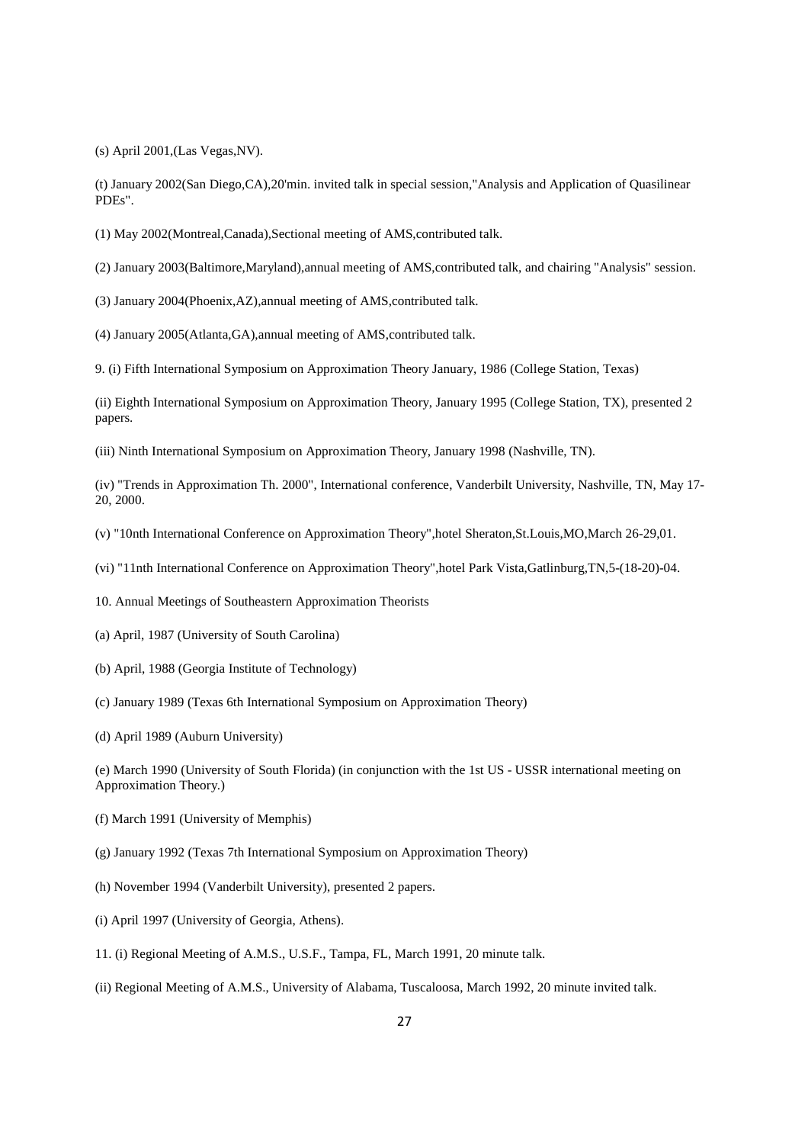(s) April 2001,(Las Vegas,NV).

(t) January 2002(San Diego,CA),20'min. invited talk in special session,"Analysis and Application of Quasilinear PDEs".

(1) May 2002(Montreal,Canada),Sectional meeting of AMS,contributed talk.

(2) January 2003(Baltimore,Maryland),annual meeting of AMS,contributed talk, and chairing "Analysis" session.

(3) January 2004(Phoenix,AZ),annual meeting of AMS,contributed talk.

(4) January 2005(Atlanta,GA),annual meeting of AMS,contributed talk.

9. (i) Fifth International Symposium on Approximation Theory January, 1986 (College Station, Texas)

(ii) Eighth International Symposium on Approximation Theory, January 1995 (College Station, TX), presented 2 papers.

(iii) Ninth International Symposium on Approximation Theory, January 1998 (Nashville, TN).

(iv) "Trends in Approximation Th. 2000", International conference, Vanderbilt University, Nashville, TN, May 17- 20, 2000.

- (v) "10nth International Conference on Approximation Theory",hotel Sheraton,St.Louis,MO,March 26-29,01.
- (vi) "11nth International Conference on Approximation Theory",hotel Park Vista,Gatlinburg,TN,5-(18-20)-04.

10. Annual Meetings of Southeastern Approximation Theorists

- (a) April, 1987 (University of South Carolina)
- (b) April, 1988 (Georgia Institute of Technology)
- (c) January 1989 (Texas 6th International Symposium on Approximation Theory)
- (d) April 1989 (Auburn University)

(e) March 1990 (University of South Florida) (in conjunction with the 1st US - USSR international meeting on Approximation Theory.)

- (f) March 1991 (University of Memphis)
- (g) January 1992 (Texas 7th International Symposium on Approximation Theory)
- (h) November 1994 (Vanderbilt University), presented 2 papers.
- (i) April 1997 (University of Georgia, Athens).
- 11. (i) Regional Meeting of A.M.S., U.S.F., Tampa, FL, March 1991, 20 minute talk.
- (ii) Regional Meeting of A.M.S., University of Alabama, Tuscaloosa, March 1992, 20 minute invited talk.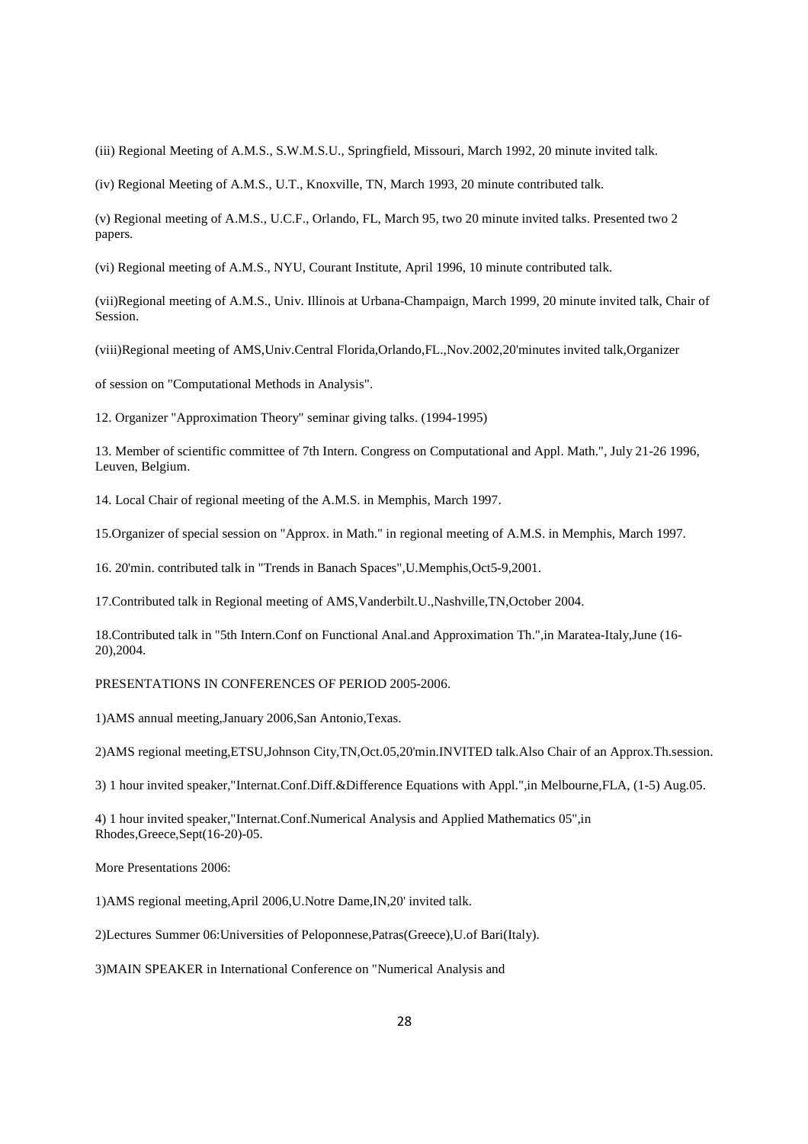(iii) Regional Meeting of A.M.S., S.W.M.S.U., Springfield, Missouri, March 1992, 20 minute invited talk.

(iv) Regional Meeting of A.M.S., U.T., Knoxville, TN, March 1993, 20 minute contributed talk.

(v) Regional meeting of A.M.S., U.C.F., Orlando, FL, March 95, two 20 minute invited talks. Presented two 2 papers.

(vi) Regional meeting of A.M.S., NYU, Courant Institute, April 1996, 10 minute contributed talk.

(vii)Regional meeting of A.M.S., Univ. Illinois at Urbana-Champaign, March 1999, 20 minute invited talk, Chair of Session.

(viii)Regional meeting of AMS,Univ.Central Florida,Orlando,FL.,Nov.2002,20'minutes invited talk,Organizer

of session on "Computational Methods in Analysis".

12. Organizer "Approximation Theory" seminar giving talks. (1994-1995)

13. Member of scientific committee of 7th Intern. Congress on Computational and Appl. Math.", July 21-26 1996, Leuven, Belgium.

14. Local Chair of regional meeting of the A.M.S. in Memphis, March 1997.

15.Organizer of special session on "Approx. in Math." in regional meeting of A.M.S. in Memphis, March 1997.

16. 20'min. contributed talk in "Trends in Banach Spaces",U.Memphis,Oct5-9,2001.

17.Contributed talk in Regional meeting of AMS,Vanderbilt.U.,Nashville,TN,October 2004.

18.Contributed talk in "5th Intern.Conf on Functional Anal.and Approximation Th.",in Maratea-Italy,June (16- 20),2004.

PRESENTATIONS IN CONFERENCES OF PERIOD 2005-2006.

1)AMS annual meeting,January 2006,San Antonio,Texas.

2)AMS regional meeting,ETSU,Johnson City,TN,Oct.05,20'min.INVITED talk.Also Chair of an Approx.Th.session.

3) 1 hour invited speaker,"Internat.Conf.Diff.&Difference Equations with Appl.",in Melbourne,FLA, (1-5) Aug.05.

4) 1 hour invited speaker,"Internat.Conf.Numerical Analysis and Applied Mathematics 05",in Rhodes,Greece,Sept(16-20)-05.

More Presentations 2006:

1)AMS regional meeting,April 2006,U.Notre Dame,IN,20' invited talk.

2)Lectures Summer 06:Universities of Peloponnese,Patras(Greece),U.of Bari(Italy).

3)MAIN SPEAKER in International Conference on "Numerical Analysis and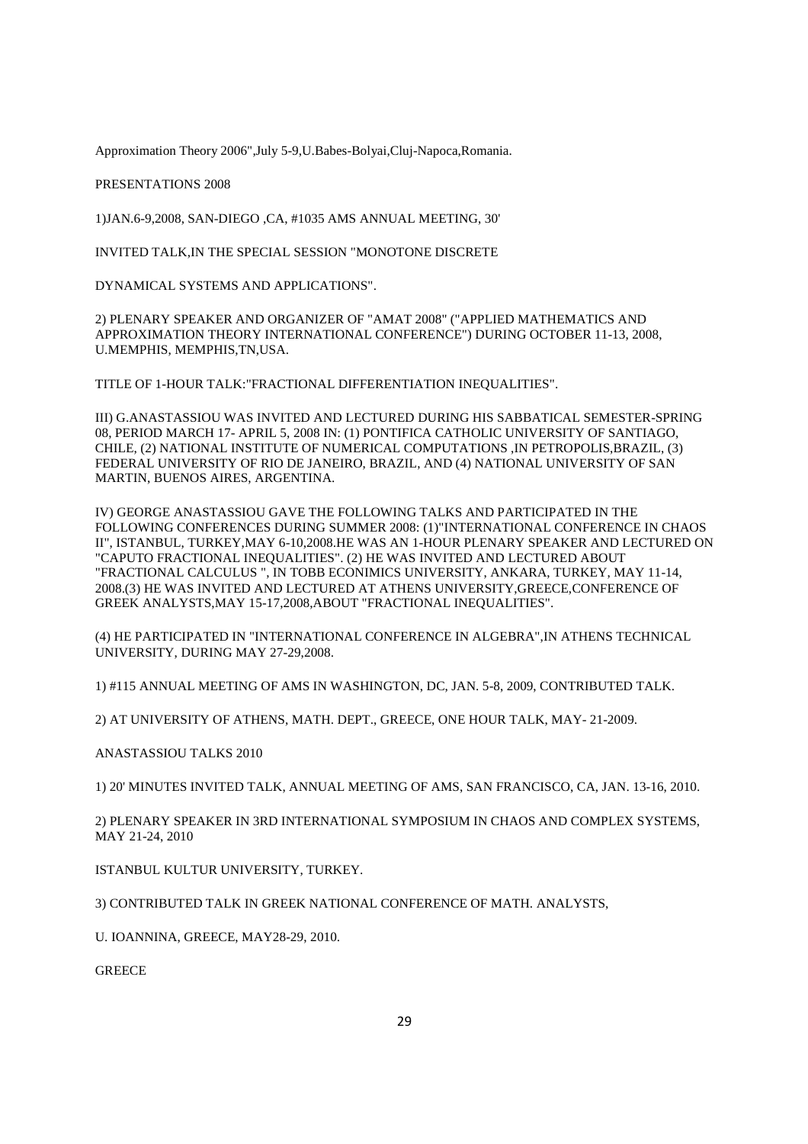Approximation Theory 2006",July 5-9,U.Babes-Bolyai,Cluj-Napoca,Romania.

PRESENTATIONS 2008

1)JAN.6-9,2008, SAN-DIEGO ,CA, #1035 AMS ANNUAL MEETING, 30'

INVITED TALK,IN THE SPECIAL SESSION "MONOTONE DISCRETE

DYNAMICAL SYSTEMS AND APPLICATIONS".

2) PLENARY SPEAKER AND ORGANIZER OF "AMAT 2008" ("APPLIED MATHEMATICS AND APPROXIMATION THEORY INTERNATIONAL CONFERENCE") DURING OCTOBER 11-13, 2008, U.MEMPHIS, MEMPHIS,TN,USA.

TITLE OF 1-HOUR TALK:"FRACTIONAL DIFFERENTIATION INEQUALITIES".

III) G.ANASTASSIOU WAS INVITED AND LECTURED DURING HIS SABBATICAL SEMESTER-SPRING 08, PERIOD MARCH 17- APRIL 5, 2008 IN: (1) PONTIFICA CATHOLIC UNIVERSITY OF SANTIAGO, CHILE, (2) NATIONAL INSTITUTE OF NUMERICAL COMPUTATIONS ,IN PETROPOLIS,BRAZIL, (3) FEDERAL UNIVERSITY OF RIO DE JANEIRO, BRAZIL, AND (4) NATIONAL UNIVERSITY OF SAN MARTIN, BUENOS AIRES, ARGENTINA.

IV) GEORGE ANASTASSIOU GAVE THE FOLLOWING TALKS AND PARTICIPATED IN THE FOLLOWING CONFERENCES DURING SUMMER 2008: (1)"INTERNATIONAL CONFERENCE IN CHAOS II", ISTANBUL, TURKEY,MAY 6-10,2008.HE WAS AN 1-HOUR PLENARY SPEAKER AND LECTURED ON "CAPUTO FRACTIONAL INEQUALITIES". (2) HE WAS INVITED AND LECTURED ABOUT "FRACTIONAL CALCULUS ", IN TOBB ECONIMICS UNIVERSITY, ANKARA, TURKEY, MAY 11-14, 2008.(3) HE WAS INVITED AND LECTURED AT ATHENS UNIVERSITY,GREECE,CONFERENCE OF GREEK ANALYSTS,MAY 15-17,2008,ABOUT "FRACTIONAL INEQUALITIES".

(4) HE PARTICIPATED IN "INTERNATIONAL CONFERENCE IN ALGEBRA",IN ATHENS TECHNICAL UNIVERSITY, DURING MAY 27-29,2008.

1) #115 ANNUAL MEETING OF AMS IN WASHINGTON, DC, JAN. 5-8, 2009, CONTRIBUTED TALK.

2) AT UNIVERSITY OF ATHENS, MATH. DEPT., GREECE, ONE HOUR TALK, MAY- 21-2009.

ANASTASSIOU TALKS 2010

1) 20' MINUTES INVITED TALK, ANNUAL MEETING OF AMS, SAN FRANCISCO, CA, JAN. 13-16, 2010.

2) PLENARY SPEAKER IN 3RD INTERNATIONAL SYMPOSIUM IN CHAOS AND COMPLEX SYSTEMS, MAY 21-24, 2010

ISTANBUL KULTUR UNIVERSITY, TURKEY.

3) CONTRIBUTED TALK IN GREEK NATIONAL CONFERENCE OF MATH. ANALYSTS,

U. IOANNINA, GREECE, MAY28-29, 2010.

**GREECE**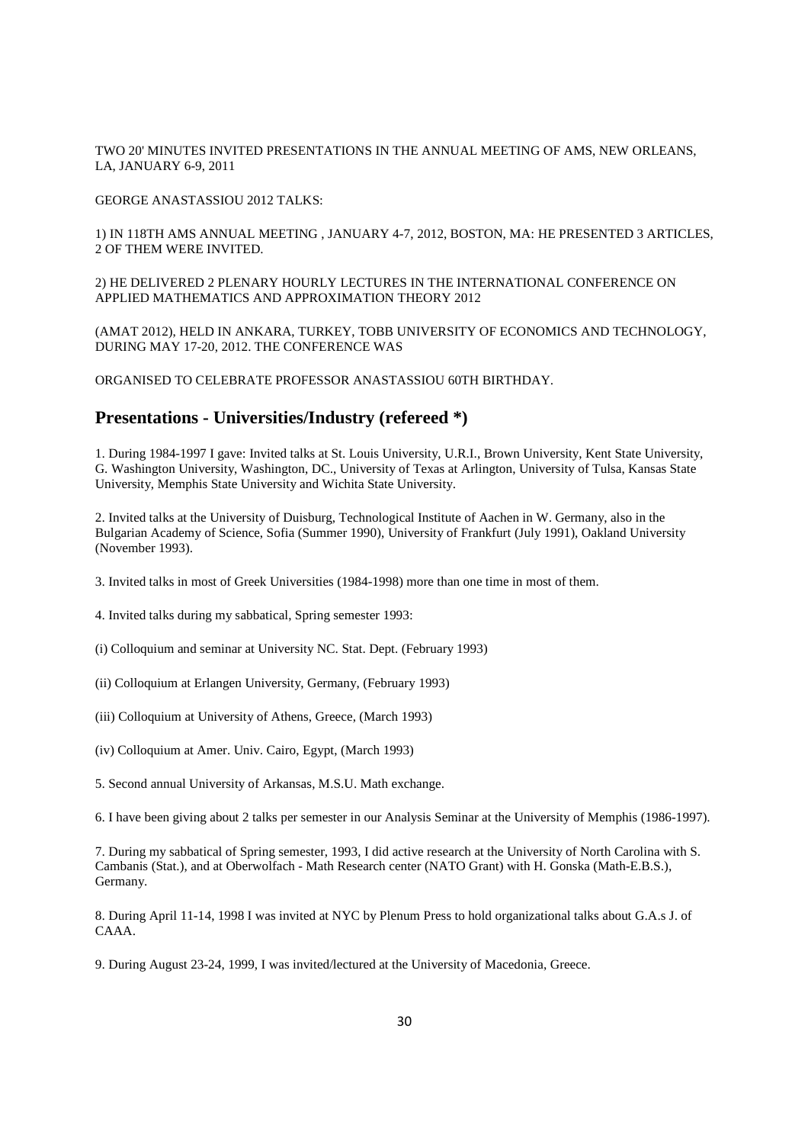TWO 20' MINUTES INVITED PRESENTATIONS IN THE ANNUAL MEETING OF AMS, NEW ORLEANS, LA, JANUARY 6-9, 2011

GEORGE ANASTASSIOU 2012 TALKS:

1) IN 118TH AMS ANNUAL MEETING , JANUARY 4-7, 2012, BOSTON, MA: HE PRESENTED 3 ARTICLES, 2 OF THEM WERE INVITED.

2) HE DELIVERED 2 PLENARY HOURLY LECTURES IN THE INTERNATIONAL CONFERENCE ON APPLIED MATHEMATICS AND APPROXIMATION THEORY 2012

(AMAT 2012), HELD IN ANKARA, TURKEY, TOBB UNIVERSITY OF ECONOMICS AND TECHNOLOGY, DURING MAY 17-20, 2012. THE CONFERENCE WAS

ORGANISED TO CELEBRATE PROFESSOR ANASTASSIOU 60TH BIRTHDAY.

### **Presentations - Universities/Industry (refereed \*)**

1. During 1984-1997 I gave: Invited talks at St. Louis University, U.R.I., Brown University, Kent State University, G. Washington University, Washington, DC., University of Texas at Arlington, University of Tulsa, Kansas State University, Memphis State University and Wichita State University.

2. Invited talks at the University of Duisburg, Technological Institute of Aachen in W. Germany, also in the Bulgarian Academy of Science, Sofia (Summer 1990), University of Frankfurt (July 1991), Oakland University (November 1993).

3. Invited talks in most of Greek Universities (1984-1998) more than one time in most of them.

4. Invited talks during my sabbatical, Spring semester 1993:

- (i) Colloquium and seminar at University NC. Stat. Dept. (February 1993)
- (ii) Colloquium at Erlangen University, Germany, (February 1993)
- (iii) Colloquium at University of Athens, Greece, (March 1993)
- (iv) Colloquium at Amer. Univ. Cairo, Egypt, (March 1993)
- 5. Second annual University of Arkansas, M.S.U. Math exchange.

6. I have been giving about 2 talks per semester in our Analysis Seminar at the University of Memphis (1986-1997).

7. During my sabbatical of Spring semester, 1993, I did active research at the University of North Carolina with S. Cambanis (Stat.), and at Oberwolfach - Math Research center (NATO Grant) with H. Gonska (Math-E.B.S.), Germany.

8. During April 11-14, 1998 I was invited at NYC by Plenum Press to hold organizational talks about G.A.s J. of CAAA.

9. During August 23-24, 1999, I was invited/lectured at the University of Macedonia, Greece.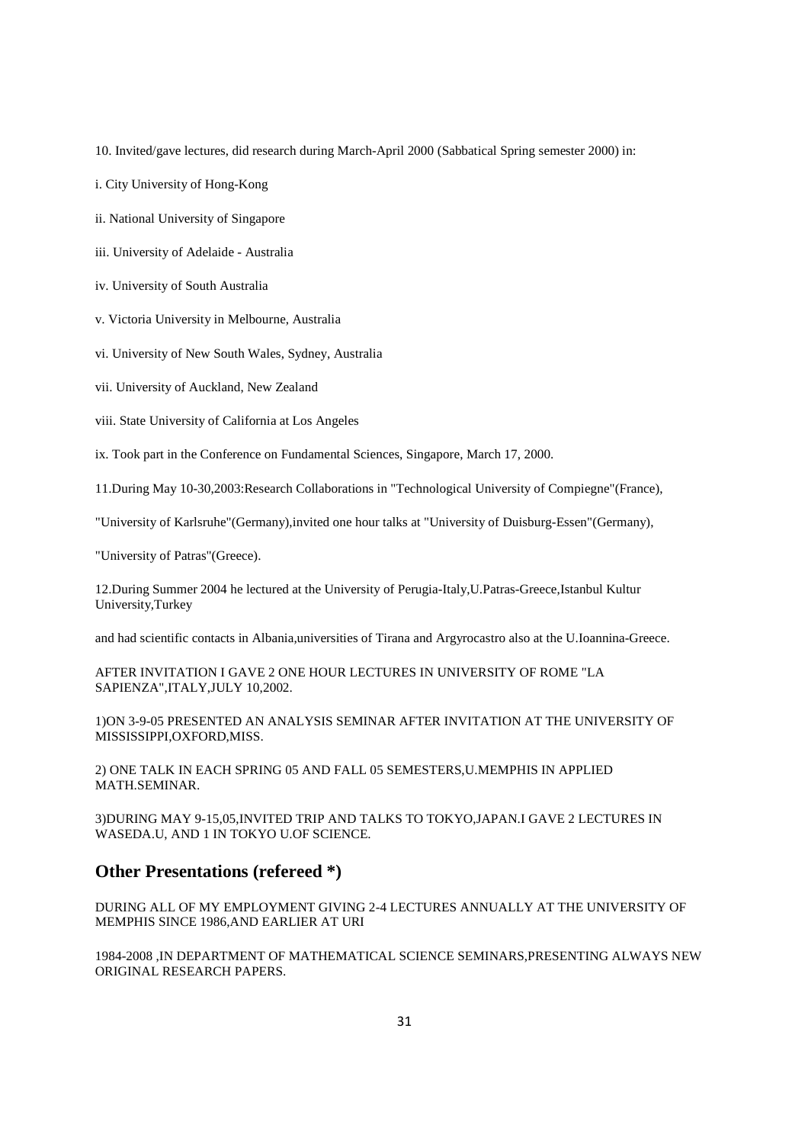10. Invited/gave lectures, did research during March-April 2000 (Sabbatical Spring semester 2000) in:

i. City University of Hong-Kong

ii. National University of Singapore

iii. University of Adelaide - Australia

iv. University of South Australia

v. Victoria University in Melbourne, Australia

vi. University of New South Wales, Sydney, Australia

vii. University of Auckland, New Zealand

viii. State University of California at Los Angeles

ix. Took part in the Conference on Fundamental Sciences, Singapore, March 17, 2000.

11.During May 10-30,2003:Research Collaborations in "Technological University of Compiegne"(France),

"University of Karlsruhe"(Germany),invited one hour talks at "University of Duisburg-Essen"(Germany),

"University of Patras"(Greece).

12.During Summer 2004 he lectured at the University of Perugia-Italy,U.Patras-Greece,Istanbul Kultur University,Turkey

and had scientific contacts in Albania,universities of Tirana and Argyrocastro also at the U.Ioannina-Greece.

AFTER INVITATION I GAVE 2 ONE HOUR LECTURES IN UNIVERSITY OF ROME "LA SAPIENZA",ITALY,JULY 10,2002.

1)ON 3-9-05 PRESENTED AN ANALYSIS SEMINAR AFTER INVITATION AT THE UNIVERSITY OF MISSISSIPPI,OXFORD,MISS.

2) ONE TALK IN EACH SPRING 05 AND FALL 05 SEMESTERS,U.MEMPHIS IN APPLIED MATH.SEMINAR.

3)DURING MAY 9-15,05,INVITED TRIP AND TALKS TO TOKYO,JAPAN.I GAVE 2 LECTURES IN WASEDA.U, AND 1 IN TOKYO U.OF SCIENCE.

### **Other Presentations (refereed \*)**

DURING ALL OF MY EMPLOYMENT GIVING 2-4 LECTURES ANNUALLY AT THE UNIVERSITY OF MEMPHIS SINCE 1986,AND EARLIER AT URI

1984-2008 ,IN DEPARTMENT OF MATHEMATICAL SCIENCE SEMINARS,PRESENTING ALWAYS NEW ORIGINAL RESEARCH PAPERS.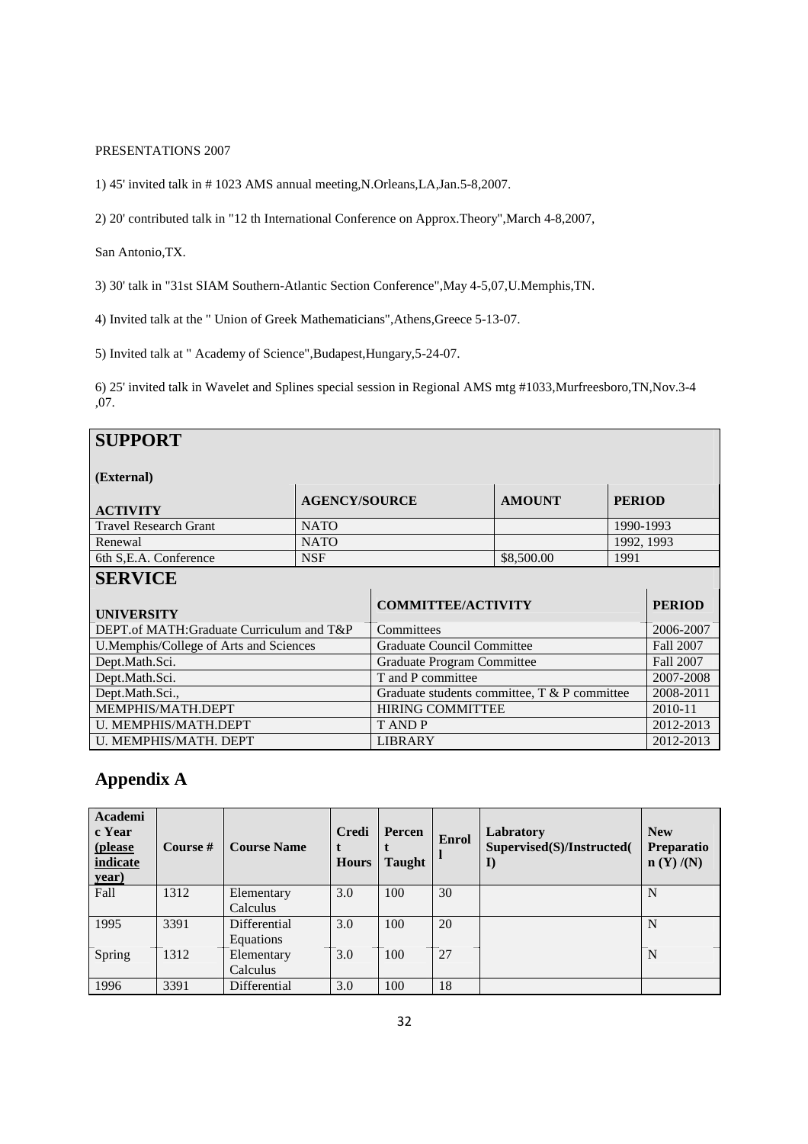### PRESENTATIONS 2007

1) 45' invited talk in # 1023 AMS annual meeting,N.Orleans,LA,Jan.5-8,2007.

2) 20' contributed talk in "12 th International Conference on Approx.Theory",March 4-8,2007,

San Antonio,TX.

3) 30' talk in "31st SIAM Southern-Atlantic Section Conference",May 4-5,07,U.Memphis,TN.

4) Invited talk at the " Union of Greek Mathematicians",Athens,Greece 5-13-07.

5) Invited talk at " Academy of Science",Budapest,Hungary,5-24-07.

6) 25' invited talk in Wavelet and Splines special session in Regional AMS mtg #1033,Murfreesboro,TN,Nov.3-4 ,07.

| <b>SUPPORT</b>                           |                                                        |                                   |            |            |                  |
|------------------------------------------|--------------------------------------------------------|-----------------------------------|------------|------------|------------------|
| (External)                               |                                                        |                                   |            |            |                  |
| <b>ACTIVITY</b>                          | <b>AGENCY/SOURCE</b><br><b>AMOUNT</b><br><b>PERIOD</b> |                                   |            |            |                  |
| <b>Travel Research Grant</b>             | <b>NATO</b>                                            |                                   |            | 1990-1993  |                  |
| Renewal                                  | <b>NATO</b>                                            |                                   |            | 1992, 1993 |                  |
| 6th S, E.A. Conference                   | <b>NSF</b>                                             |                                   | \$8,500.00 | 1991       |                  |
| <b>SERVICE</b>                           |                                                        |                                   |            |            |                  |
| <b>UNIVERSITY</b>                        |                                                        | <b>COMMITTEE/ACTIVITY</b>         |            |            | <b>PERIOD</b>    |
| DEPT.of MATH:Graduate Curriculum and T&P | Committees                                             |                                   |            | 2006-2007  |                  |
| U.Memphis/College of Arts and Sciences   |                                                        | <b>Graduate Council Committee</b> |            |            | Fall 2007        |
| Dept.Math.Sci.                           |                                                        | <b>Graduate Program Committee</b> |            |            | <b>Fall 2007</b> |
| Dept.Math.Sci.                           | T and P committee                                      |                                   |            | 2007-2008  |                  |
| Dept.Math.Sci.,                          | Graduate students committee, T & P committee           |                                   |            | 2008-2011  |                  |
| MEMPHIS/MATH.DEPT                        | <b>HIRING COMMITTEE</b>                                |                                   |            | 2010-11    |                  |
| U. MEMPHIS/MATH.DEPT                     | <b>TANDP</b>                                           |                                   |            | 2012-2013  |                  |
| U. MEMPHIS/MATH. DEPT                    |                                                        | <b>LIBRARY</b>                    |            |            | 2012-2013        |

## **Appendix A**

| Academi<br>c Year<br>(please<br>indicate<br><u>year)</u> | Course $#$ | <b>Course Name</b>        | <b>Credi</b><br><b>Hours</b> | Percen<br><b>Taught</b> | <b>Enrol</b> | Labratory<br>Supervised(S)/Instructed(<br>$\mathbf{I}$ | <b>New</b><br><b>Preparatio</b><br>n(Y)/(N) |
|----------------------------------------------------------|------------|---------------------------|------------------------------|-------------------------|--------------|--------------------------------------------------------|---------------------------------------------|
| Fall                                                     | 1312       | Elementary<br>Calculus    | 3.0                          | 100                     | 30           |                                                        | N                                           |
| 1995                                                     | 3391       | Differential<br>Equations | 3.0                          | 100                     | 20           |                                                        | N                                           |
| Spring                                                   | 1312       | Elementary<br>Calculus    | 3.0                          | 100                     | 27           |                                                        | N                                           |
| 1996                                                     | 3391       | Differential              | 3.0                          | 100                     | 18           |                                                        |                                             |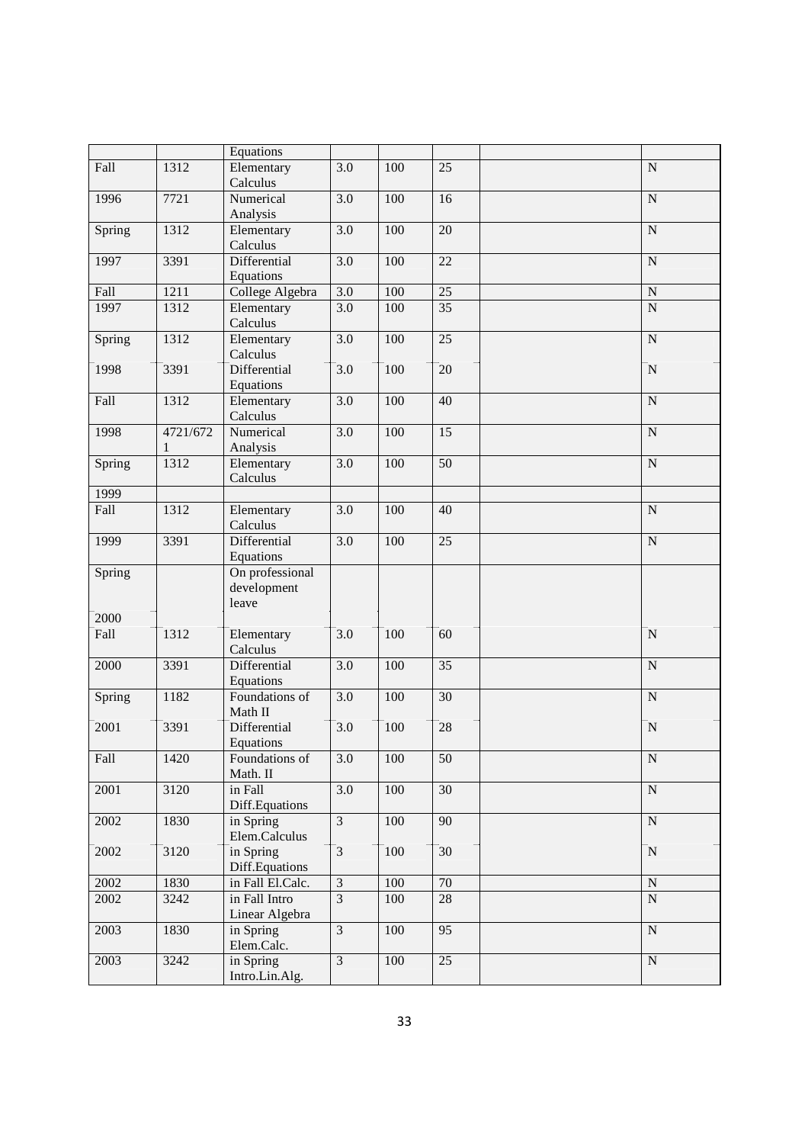|        |          | Equations              |                  |     |                 |                |
|--------|----------|------------------------|------------------|-----|-----------------|----------------|
| Fall   | 1312     | Elementary             | 3.0              | 100 | 25              | ${\bf N}$      |
|        |          | Calculus               |                  |     |                 |                |
| 1996   | 7721     | Numerical              | $\overline{3.0}$ | 100 | 16              | ${\bf N}$      |
|        |          | Analysis               |                  |     |                 |                |
| Spring | 1312     | Elementary             | $\overline{3.0}$ | 100 | $\overline{20}$ | $\overline{N}$ |
|        |          | Calculus               |                  |     |                 |                |
| 1997   | 3391     | Differential           | $\overline{3.0}$ | 100 | 22              | ${\bf N}$      |
|        |          | Equations              |                  |     |                 |                |
| Fall   | 1211     | College Algebra        | 3.0              | 100 | 25              | ${\bf N}$      |
| 1997   | 1312     | Elementary             | 3.0              | 100 | $\overline{35}$ | $\overline{N}$ |
|        |          | Calculus               |                  |     |                 |                |
| Spring | 1312     | Elementary             | 3.0              | 100 | 25              | ${\bf N}$      |
|        |          | Calculus               |                  |     |                 |                |
| 1998   | 3391     | Differential           | 3.0              | 100 | 20              | ${\bf N}$      |
|        |          | Equations              |                  |     |                 |                |
| Fall   | 1312     | Elementary             | $\overline{3.0}$ | 100 | 40              | $\overline{N}$ |
|        |          | Calculus               |                  |     |                 |                |
| 1998   | 4721/672 | Numerical              | $\overline{3.0}$ | 100 | 15              | ${\bf N}$      |
|        | 1        | Analysis               |                  |     |                 |                |
| Spring | 1312     | Elementary             | $\overline{3.0}$ | 100 | $\overline{50}$ | N              |
|        |          | Calculus               |                  |     |                 |                |
| 1999   |          |                        |                  |     |                 |                |
| Fall   | 1312     | Elementary<br>Calculus | 3.0              | 100 | 40              | ${\bf N}$      |
| 1999   | 3391     | Differential           | $\overline{3.0}$ | 100 | 25              | ${\bf N}$      |
|        |          | Equations              |                  |     |                 |                |
| Spring |          | On professional        |                  |     |                 |                |
|        |          | development            |                  |     |                 |                |
|        |          | leave                  |                  |     |                 |                |
| 2000   |          |                        |                  |     |                 |                |
| Fall   | 1312     | Elementary             | 3.0              | 100 | 60              | $\mathbf N$    |
|        |          | Calculus               |                  |     |                 |                |
| 2000   | 3391     | Differential           | 3.0              | 100 | 35              | ${\bf N}$      |
|        |          | Equations              |                  |     |                 |                |
| Spring | 1182     | Foundations of         | $\overline{3.0}$ | 100 | $\overline{30}$ | $\overline{N}$ |
|        |          | Math II                |                  |     |                 |                |
| 2001   | 3391     | Differential           | $\overline{3.0}$ | 100 | 28              | ${\bf N}$      |
|        |          | Equations              |                  |     |                 |                |
| Fall   | 1420     | Foundations of         | 3.0              | 100 | 50              | ${\bf N}$      |
|        |          | Math. II               |                  |     |                 |                |
| 2001   | 3120     | in Fall                | 3.0              | 100 | 30              | ${\bf N}$      |
|        |          | Diff.Equations         |                  |     |                 |                |
| 2002   | 1830     | in Spring              | $\mathfrak{Z}$   | 100 | 90              | ${\bf N}$      |
|        |          | Elem.Calculus          |                  |     |                 |                |
| 2002   | 3120     | in Spring              | $\overline{3}$   | 100 | 30              | ${\bf N}$      |
|        |          | Diff.Equations         |                  |     |                 |                |
| 2002   | 1830     | in Fall El.Calc.       | $\overline{3}$   | 100 | 70              | N              |
| 2002   | 3242     | in Fall Intro          | $\overline{3}$   | 100 | 28              | $\overline{N}$ |
|        |          | Linear Algebra         |                  |     |                 |                |
| 2003   | 1830     | in Spring              | $\overline{3}$   | 100 | 95              | N              |
|        |          | Elem.Calc.             |                  |     |                 |                |
| 2003   | 3242     | in Spring              | $\overline{3}$   | 100 | 25              | ${\bf N}$      |
|        |          | Intro.Lin.Alg.         |                  |     |                 |                |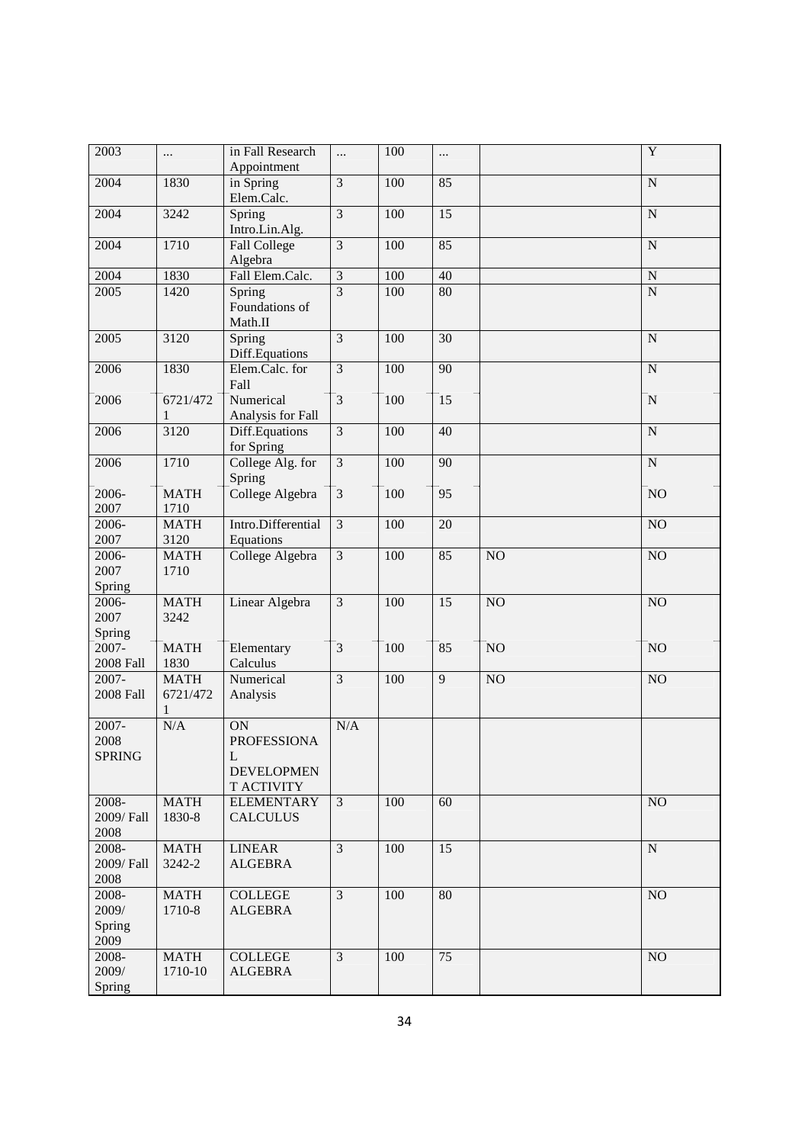| 2003             | $\cdots$               | in Fall Research<br>Appointment       | $\ddotsc$                 | 100 | $\cdots$        |          | $\mathbf Y$           |
|------------------|------------------------|---------------------------------------|---------------------------|-----|-----------------|----------|-----------------------|
| 2004             | 1830                   | in Spring<br>Elem.Calc.               | $\overline{3}$            | 100 | 85              |          | $\overline{\text{N}}$ |
| 2004             | 3242                   | Spring                                | $\mathfrak{Z}$            | 100 | 15              |          | ${\bf N}$             |
| 2004             | 1710                   | Intro.Lin.Alg.<br><b>Fall College</b> | $\overline{3}$            | 100 | 85              |          | $\mathbf N$           |
| 2004             | 1830                   | Algebra<br>Fall Elem.Calc.            | $\mathfrak{Z}$            | 100 | $40\,$          |          | ${\bf N}$             |
| 2005             | 1420                   | Spring                                | $\overline{3}$            | 100 | 80              |          | N                     |
|                  |                        | Foundations of<br>Math.II             |                           |     |                 |          |                       |
| 2005             | 3120                   | Spring<br>Diff.Equations              | $\overline{3}$            | 100 | $\overline{30}$ |          | $\mathbf N$           |
| 2006             | 1830                   | Elem.Calc. for<br>Fall                | $\overline{\overline{3}}$ | 100 | 90              |          | $\mathbf N$           |
| 2006             | 6721/472<br>1          | Numerical<br>Analysis for Fall        | $\overline{3}$            | 100 | 15              |          | ${\bf N}$             |
| 2006             | 3120                   | Diff.Equations<br>for Spring          | $\overline{3}$            | 100 | 40              |          | ${\bf N}$             |
| 2006             | 1710                   | College Alg. for<br>Spring            | $\overline{\mathbf{3}}$   | 100 | 90              |          | ${\bf N}$             |
| 2006-<br>2007    | <b>MATH</b><br>1710    | College Algebra                       | $\mathfrak{Z}$            | 100 | 95              |          | NO                    |
| 2006-            | <b>MATH</b>            | Intro.Differential                    | $\overline{3}$            | 100 | 20              |          | NO                    |
| 2007             | 3120                   | Equations                             |                           |     |                 |          |                       |
| 2006-            | <b>MATH</b>            | College Algebra                       | $\overline{3}$            | 100 | 85              | NO       | NO                    |
| 2007             | 1710                   |                                       |                           |     |                 |          |                       |
| Spring           |                        |                                       |                           |     |                 |          |                       |
| 2006-            | <b>MATH</b>            | Linear Algebra                        | $\overline{3}$            | 100 | 15              | NO       | NO                    |
| 2007             | 3242                   |                                       |                           |     |                 |          |                       |
| Spring           |                        |                                       |                           |     |                 |          |                       |
| 2007-            | <b>MATH</b>            | Elementary                            | $\overline{3}$            | 100 | 85              | NO       | NO                    |
| <b>2008 Fall</b> | 1830                   | Calculus                              |                           |     |                 |          |                       |
| $2007 -$         | <b>MATH</b>            | Numerical                             | $\overline{3}$            | 100 | $\overline{9}$  | $\rm NO$ | NO                    |
| <b>2008 Fall</b> | 6721/472<br>1          | Analysis                              |                           |     |                 |          |                       |
| 2007-            | N/A                    | ON                                    | N/A                       |     |                 |          |                       |
| 2008             |                        | <b>PROFESSIONA</b>                    |                           |     |                 |          |                       |
| <b>SPRING</b>    |                        | L                                     |                           |     |                 |          |                       |
|                  |                        | <b>DEVELOPMEN</b>                     |                           |     |                 |          |                       |
|                  |                        | T ACTIVITY                            |                           |     |                 |          |                       |
| 2008-            | <b>MATH</b>            | <b>ELEMENTARY</b>                     | $\mathfrak{Z}$            | 100 | 60              |          | NO                    |
| 2009/ Fall       | 1830-8                 | <b>CALCULUS</b>                       |                           |     |                 |          |                       |
| 2008             |                        |                                       |                           |     |                 |          |                       |
| 2008-            | <b>MATH</b>            | <b>LINEAR</b>                         | $\overline{3}$            | 100 | 15              |          | ${\bf N}$             |
| 2009/ Fall       | 3242-2                 | <b>ALGEBRA</b>                        |                           |     |                 |          |                       |
| 2008             |                        |                                       |                           |     |                 |          |                       |
| 2008-            | <b>MATH</b>            | <b>COLLEGE</b>                        | $\overline{3}$            | 100 | 80              |          | NO                    |
| 2009/            | 1710-8                 | <b>ALGEBRA</b>                        |                           |     |                 |          |                       |
| Spring           |                        |                                       |                           |     |                 |          |                       |
| 2009             |                        |                                       |                           |     |                 |          |                       |
| 2008-<br>2009/   | <b>MATH</b><br>1710-10 | <b>COLLEGE</b><br><b>ALGEBRA</b>      | $\overline{3}$            | 100 | 75              |          | NO                    |
| Spring           |                        |                                       |                           |     |                 |          |                       |
|                  |                        |                                       |                           |     |                 |          |                       |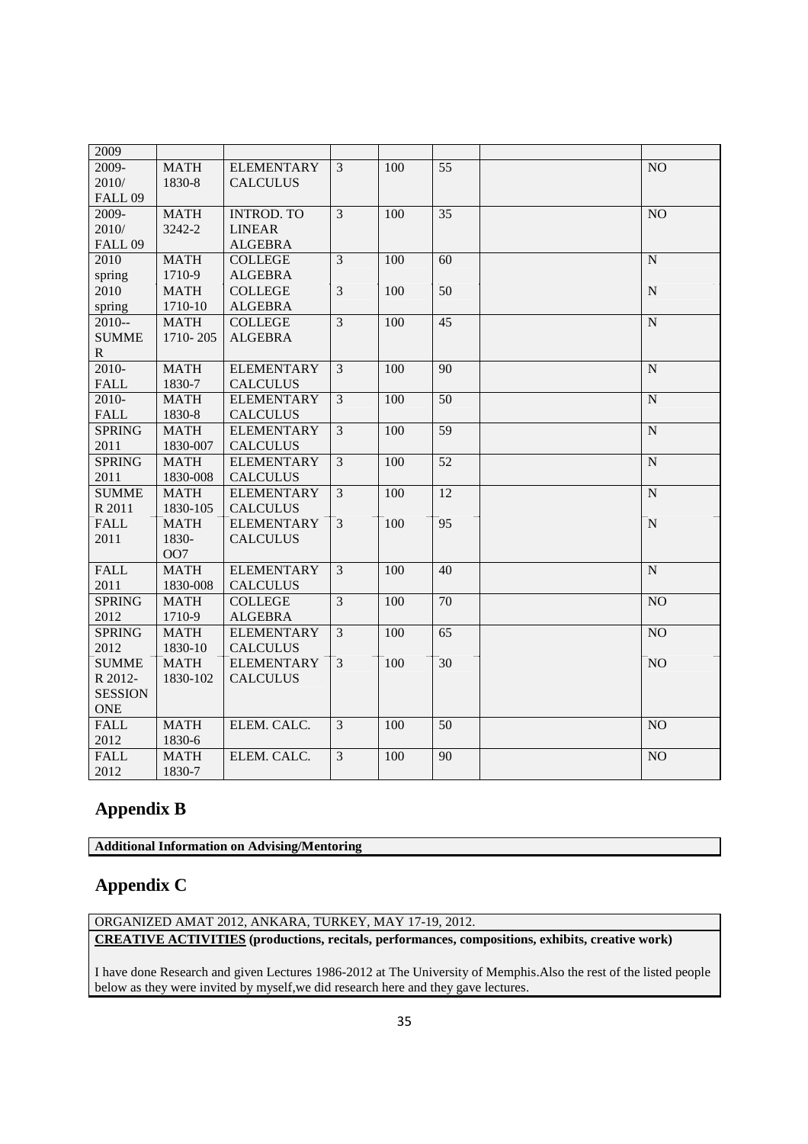| 2009           |             |                   |                |     |                 |                 |
|----------------|-------------|-------------------|----------------|-----|-----------------|-----------------|
| 2009-          | <b>MATH</b> | <b>ELEMENTARY</b> | $\mathfrak{Z}$ | 100 | 55              | N <sub>O</sub>  |
| 2010/          | 1830-8      | <b>CALCULUS</b>   |                |     |                 |                 |
| FALL 09        |             |                   |                |     |                 |                 |
| 2009-          | <b>MATH</b> | <b>INTROD. TO</b> | $\overline{3}$ | 100 | 35              | NO              |
| 2010/          | 3242-2      | <b>LINEAR</b>     |                |     |                 |                 |
| FALL 09        |             | <b>ALGEBRA</b>    |                |     |                 |                 |
| 2010           | <b>MATH</b> | <b>COLLEGE</b>    | $\overline{3}$ | 100 | 60              | ${\bf N}$       |
| spring         | 1710-9      | <b>ALGEBRA</b>    |                |     |                 |                 |
| 2010           | <b>MATH</b> | <b>COLLEGE</b>    | $\overline{3}$ | 100 | 50              | ${\bf N}$       |
| spring         | 1710-10     | <b>ALGEBRA</b>    |                |     |                 |                 |
| $2010 -$       | <b>MATH</b> | <b>COLLEGE</b>    | $\overline{3}$ | 100 | 45              | N               |
| <b>SUMME</b>   | 1710-205    | <b>ALGEBRA</b>    |                |     |                 |                 |
| $\mathbf{R}$   |             |                   |                |     |                 |                 |
| 2010-          | <b>MATH</b> | <b>ELEMENTARY</b> | $\overline{3}$ | 100 | 90              | ${\bf N}$       |
| <b>FALL</b>    | 1830-7      | <b>CALCULUS</b>   |                |     |                 |                 |
| 2010-          | <b>MATH</b> | <b>ELEMENTARY</b> | 3              | 100 | 50              | ${\bf N}$       |
| <b>FALL</b>    | 1830-8      | <b>CALCULUS</b>   |                |     |                 |                 |
| <b>SPRING</b>  | <b>MATH</b> | <b>ELEMENTARY</b> | $\overline{3}$ | 100 | $\overline{59}$ | N               |
| 2011           | 1830-007    | <b>CALCULUS</b>   |                |     |                 |                 |
| SPRING         | <b>MATH</b> | <b>ELEMENTARY</b> | $\overline{3}$ | 100 | 52              | N               |
| 2011           | 1830-008    | <b>CALCULUS</b>   |                |     |                 |                 |
| <b>SUMME</b>   | <b>MATH</b> | <b>ELEMENTARY</b> | $\overline{3}$ | 100 | 12              | ${\bf N}$       |
| R 2011         | 1830-105    | <b>CALCULUS</b>   |                |     |                 |                 |
| <b>FALL</b>    | <b>MATH</b> | <b>ELEMENTARY</b> | $\overline{3}$ | 100 | $\overline{95}$ | N               |
| 2011           | 1830-       | <b>CALCULUS</b>   |                |     |                 |                 |
|                | <b>OO7</b>  |                   |                |     |                 |                 |
| <b>FALL</b>    | <b>MATH</b> | <b>ELEMENTARY</b> | 3              | 100 | 40              | ${\bf N}$       |
| 2011           | 1830-008    | <b>CALCULUS</b>   |                |     |                 |                 |
| <b>SPRING</b>  | <b>MATH</b> | <b>COLLEGE</b>    | $\overline{3}$ | 100 | $\overline{70}$ | NO              |
| 2012           | 1710-9      | <b>ALGEBRA</b>    |                |     |                 |                 |
| <b>SPRING</b>  | <b>MATH</b> | <b>ELEMENTARY</b> | $\overline{3}$ | 100 | 65              | NO <sub>1</sub> |
| 2012           | 1830-10     | <b>CALCULUS</b>   |                |     |                 |                 |
| <b>SUMME</b>   | <b>MATH</b> | <b>ELEMENTARY</b> | $\overline{3}$ | 100 | $\overline{30}$ | N <sub>O</sub>  |
| R 2012-        | 1830-102    | <b>CALCULUS</b>   |                |     |                 |                 |
| <b>SESSION</b> |             |                   |                |     |                 |                 |
| <b>ONE</b>     |             |                   |                |     |                 |                 |
| <b>FALL</b>    | <b>MATH</b> | ELEM. CALC.       | 3              | 100 | 50              | NO              |
| 2012           | 1830-6      |                   |                |     |                 |                 |
| <b>FALL</b>    | <b>MATH</b> | ELEM. CALC.       | $\overline{3}$ | 100 | 90              | N <sub>O</sub>  |
| 2012           | 1830-7      |                   |                |     |                 |                 |

## **Appendix B**

**Additional Information on Advising/Mentoring**

## **Appendix C**

ORGANIZED AMAT 2012, ANKARA, TURKEY, MAY 17-19, 2012. **CREATIVE ACTIVITIES (productions, recitals, performances, compositions, exhibits, creative work)**

I have done Research and given Lectures 1986-2012 at The University of Memphis.Also the rest of the listed people below as they were invited by myself,we did research here and they gave lectures.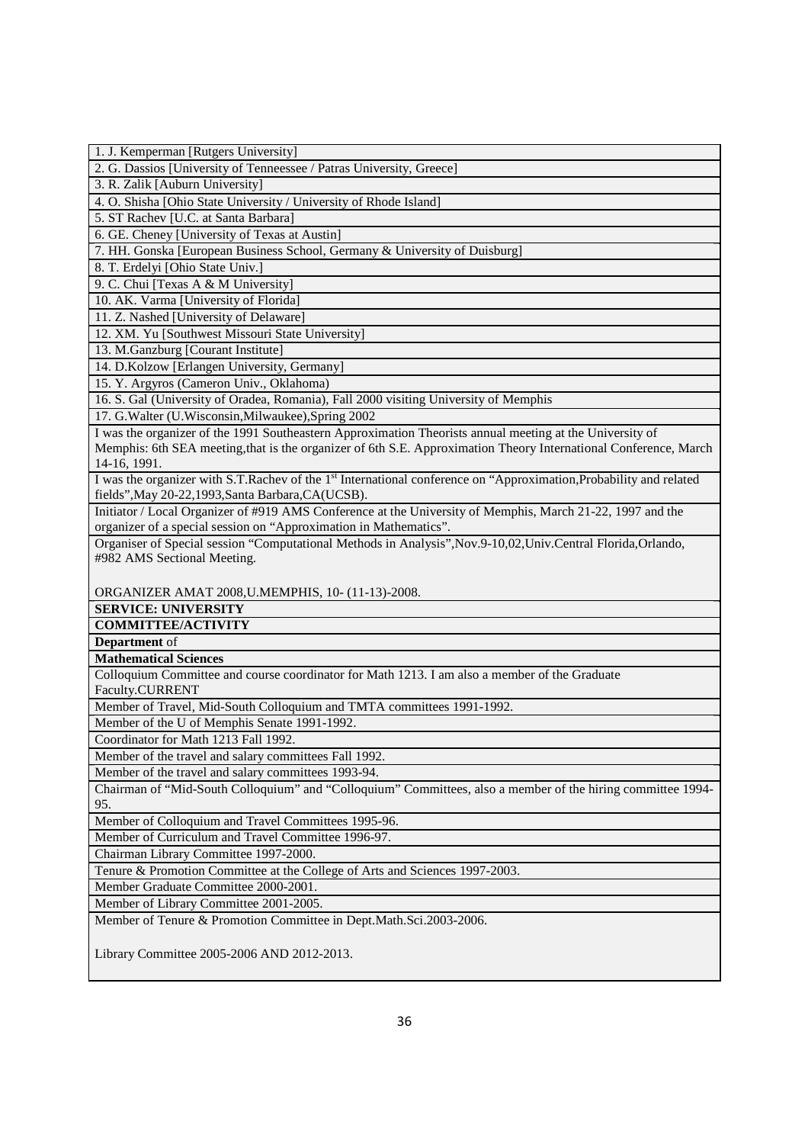1. J. Kemperman [Rutgers University] 2. G. Dassios [University of Tenneessee / Patras University, Greece] 3. R. Zalik [Auburn University] 4. O. Shisha [Ohio State University / University of Rhode Island] 5. ST Rachev [U.C. at Santa Barbara] 6. GE. Cheney [University of Texas at Austin] 7. HH. Gonska [European Business School, Germany & University of Duisburg] 8. T. Erdelyi [Ohio State Univ.] 9. C. Chui [Texas A & M University] 10. AK. Varma [University of Florida] 11. Z. Nashed [University of Delaware] 12. XM. Yu [Southwest Missouri State University] 13. M.Ganzburg [Courant Institute] 14. D.Kolzow [Erlangen University, Germany] 15. Y. Argyros (Cameron Univ., Oklahoma) 16. S. Gal (University of Oradea, Romania), Fall 2000 visiting University of Memphis 17. G.Walter (U.Wisconsin,Milwaukee),Spring 2002 I was the organizer of the 1991 Southeastern Approximation Theorists annual meeting at the University of Memphis: 6th SEA meeting,that is the organizer of 6th S.E. Approximation Theory International Conference, March 14-16, 1991. I was the organizer with S.T.Rachev of the 1<sup>st</sup> International conference on "Approximation,Probability and related fields",May 20-22,1993,Santa Barbara,CA(UCSB). Initiator / Local Organizer of #919 AMS Conference at the University of Memphis, March 21-22, 1997 and the organizer of a special session on "Approximation in Mathematics". Organiser of Special session "Computational Methods in Analysis",Nov.9-10,02,Univ.Central Florida,Orlando, #982 AMS Sectional Meeting. ORGANIZER AMAT 2008,U.MEMPHIS, 10- (11-13)-2008. **SERVICE: UNIVERSITY COMMITTEE/ACTIVITY Department** of **Mathematical Sciences** Colloquium Committee and course coordinator for Math 1213. I am also a member of the Graduate Faculty.CURRENT Member of Travel, Mid-South Colloquium and TMTA committees 1991-1992. Member of the U of Memphis Senate 1991-1992. Coordinator for Math 1213 Fall 1992. Member of the travel and salary committees Fall 1992. Member of the travel and salary committees 1993-94. Chairman of "Mid-South Colloquium" and "Colloquium" Committees, also a member of the hiring committee 1994- 95. Member of Colloquium and Travel Committees 1995-96. Member of Curriculum and Travel Committee 1996-97. Chairman Library Committee 1997-2000. Tenure & Promotion Committee at the College of Arts and Sciences 1997-2003. Member Graduate Committee 2000-2001. Member of Library Committee 2001-2005. Member of Tenure & Promotion Committee in Dept.Math.Sci.2003-2006. Library Committee 2005-2006 AND 2012-2013.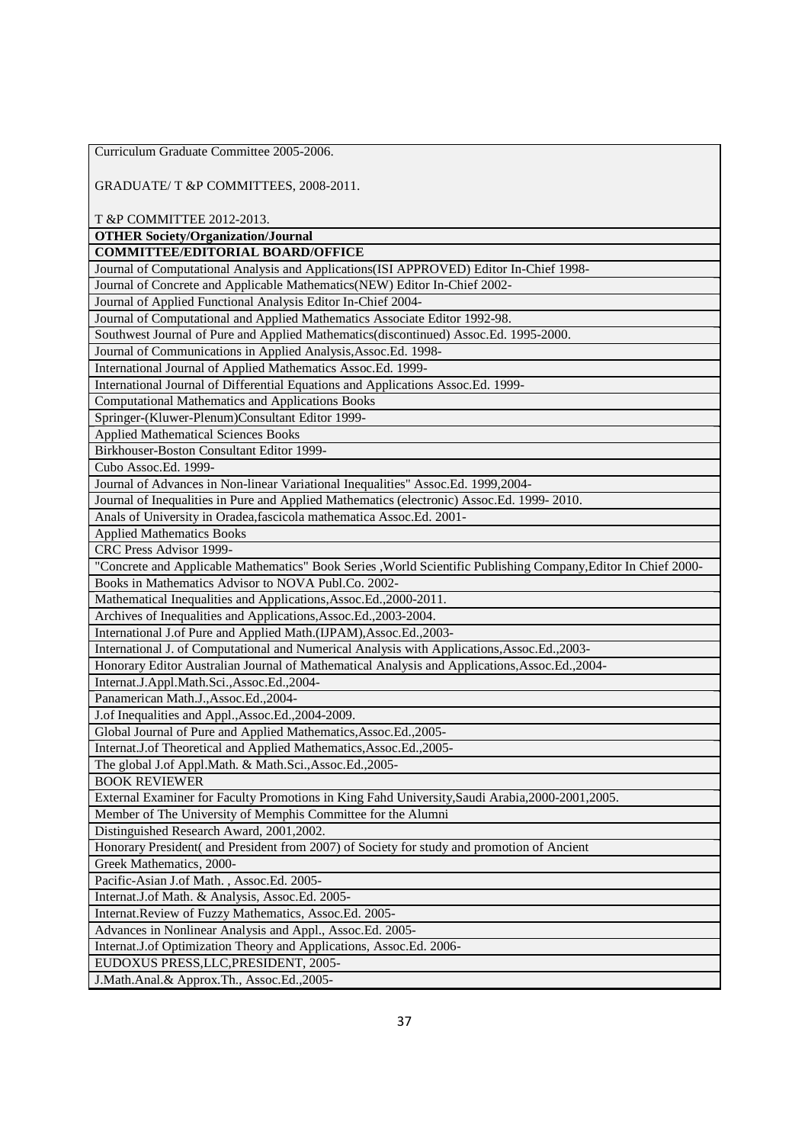| Curriculum Graduate Committee 2005-2006.                                                                       |
|----------------------------------------------------------------------------------------------------------------|
|                                                                                                                |
| GRADUATE/ T &P COMMITTEES, 2008-2011.                                                                          |
|                                                                                                                |
| T &P COMMITTEE 2012-2013.                                                                                      |
| <b>OTHER Society/Organization/Journal</b>                                                                      |
| <b>COMMITTEE/EDITORIAL BOARD/OFFICE</b>                                                                        |
| Journal of Computational Analysis and Applications(ISI APPROVED) Editor In-Chief 1998-                         |
| Journal of Concrete and Applicable Mathematics(NEW) Editor In-Chief 2002-                                      |
| Journal of Applied Functional Analysis Editor In-Chief 2004-                                                   |
| Journal of Computational and Applied Mathematics Associate Editor 1992-98.                                     |
| Southwest Journal of Pure and Applied Mathematics(discontinued) Assoc.Ed. 1995-2000.                           |
| Journal of Communications in Applied Analysis, Assoc.Ed. 1998-                                                 |
| International Journal of Applied Mathematics Assoc.Ed. 1999-                                                   |
| International Journal of Differential Equations and Applications Assoc.Ed. 1999-                               |
| <b>Computational Mathematics and Applications Books</b>                                                        |
| Springer-(Kluwer-Plenum)Consultant Editor 1999-                                                                |
| <b>Applied Mathematical Sciences Books</b>                                                                     |
| Birkhouser-Boston Consultant Editor 1999-                                                                      |
| Cubo Assoc.Ed. 1999-                                                                                           |
| Journal of Advances in Non-linear Variational Inequalities" Assoc.Ed. 1999,2004-                               |
| Journal of Inequalities in Pure and Applied Mathematics (electronic) Assoc.Ed. 1999-2010.                      |
| Anals of University in Oradea, fascicola mathematica Assoc.Ed. 2001-                                           |
| <b>Applied Mathematics Books</b>                                                                               |
| CRC Press Advisor 1999-                                                                                        |
| "Concrete and Applicable Mathematics" Book Series , World Scientific Publishing Company, Editor In Chief 2000- |
| Books in Mathematics Advisor to NOVA Publ.Co. 2002-                                                            |
| Mathematical Inequalities and Applications, Assoc.Ed., 2000-2011.                                              |
| Archives of Inequalities and Applications, Assoc.Ed., 2003-2004.                                               |
| International J.of Pure and Applied Math.(IJPAM), Assoc.Ed., 2003-                                             |
| International J. of Computational and Numerical Analysis with Applications, Assoc.Ed., 2003-                   |
| Honorary Editor Australian Journal of Mathematical Analysis and Applications, Assoc.Ed., 2004-                 |
| Internat.J.Appl.Math.Sci.,Assoc.Ed.,2004-                                                                      |
| Panamerican Math.J., Assoc.Ed., 2004-                                                                          |
| J.of Inequalities and Appl., Assoc.Ed., 2004-2009.                                                             |
| Global Journal of Pure and Applied Mathematics, Assoc.Ed., 2005-                                               |
| Internat.J.of Theoretical and Applied Mathematics, Assoc.Ed., 2005-                                            |
| The global J.of Appl.Math. & Math.Sci., Assoc.Ed., 2005-                                                       |
| <b>BOOK REVIEWER</b>                                                                                           |
| External Examiner for Faculty Promotions in King Fahd University, Saudi Arabia, 2000-2001, 2005.               |
| Member of The University of Memphis Committee for the Alumni                                                   |
| Distinguished Research Award, 2001,2002.                                                                       |
| Honorary President( and President from 2007) of Society for study and promotion of Ancient                     |
| Greek Mathematics, 2000-                                                                                       |
| Pacific-Asian J.of Math., Assoc.Ed. 2005-                                                                      |
| Internat.J.of Math. & Analysis, Assoc.Ed. 2005-                                                                |
| Internat.Review of Fuzzy Mathematics, Assoc.Ed. 2005-                                                          |
| Advances in Nonlinear Analysis and Appl., Assoc.Ed. 2005-                                                      |
| Internat.J.of Optimization Theory and Applications, Assoc.Ed. 2006-                                            |
| EUDOXUS PRESS, LLC, PRESIDENT, 2005-                                                                           |
| J.Math.Anal.& Approx.Th., Assoc.Ed.,2005-                                                                      |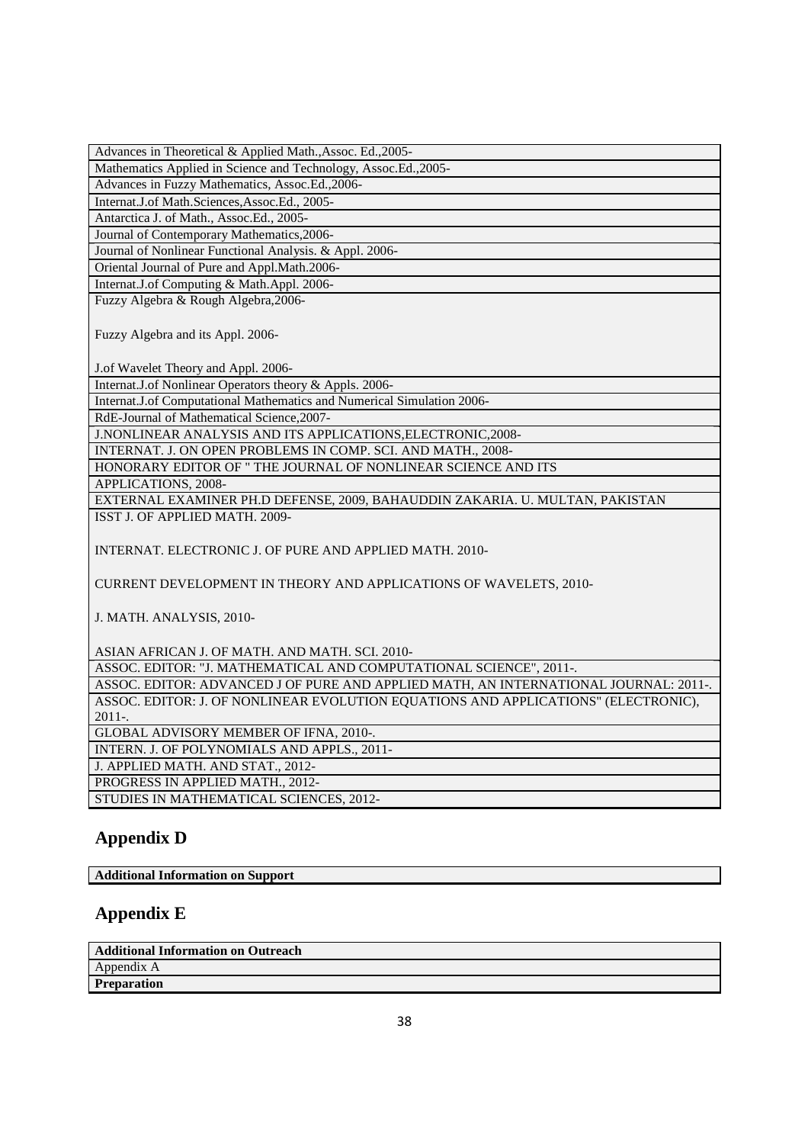| Advances in Theoretical & Applied Math., Assoc. Ed., 2005-                           |
|--------------------------------------------------------------------------------------|
| Mathematics Applied in Science and Technology, Assoc.Ed.,2005-                       |
| Advances in Fuzzy Mathematics, Assoc.Ed.,2006-                                       |
| Internat.J.of Math.Sciences,Assoc.Ed., 2005-                                         |
| Antarctica J. of Math., Assoc.Ed., 2005-                                             |
| Journal of Contemporary Mathematics, 2006-                                           |
| Journal of Nonlinear Functional Analysis. & Appl. 2006-                              |
| Oriental Journal of Pure and Appl.Math.2006-                                         |
| Internat.J.of Computing & Math.Appl. 2006-                                           |
| Fuzzy Algebra & Rough Algebra, 2006-                                                 |
| Fuzzy Algebra and its Appl. 2006-                                                    |
| J.of Wavelet Theory and Appl. 2006-                                                  |
| Internat.J.of Nonlinear Operators theory & Appls. 2006-                              |
| Internat.J.of Computational Mathematics and Numerical Simulation 2006-               |
| RdE-Journal of Mathematical Science, 2007-                                           |
| J.NONLINEAR ANALYSIS AND ITS APPLICATIONS, ELECTRONIC, 2008-                         |
| INTERNAT. J. ON OPEN PROBLEMS IN COMP. SCI. AND MATH., 2008-                         |
| HONORARY EDITOR OF " THE JOURNAL OF NONLINEAR SCIENCE AND ITS                        |
| APPLICATIONS, 2008-                                                                  |
| EXTERNAL EXAMINER PH.D DEFENSE, 2009, BAHAUDDIN ZAKARIA. U. MULTAN, PAKISTAN         |
| ISST J. OF APPLIED MATH. 2009-                                                       |
| INTERNAT. ELECTRONIC J. OF PURE AND APPLIED MATH. 2010-                              |
| CURRENT DEVELOPMENT IN THEORY AND APPLICATIONS OF WAVELETS, 2010-                    |
| J. MATH. ANALYSIS, 2010-                                                             |
| ASIAN AFRICAN J. OF MATH. AND MATH. SCI. 2010-                                       |
| ASSOC. EDITOR: "J. MATHEMATICAL AND COMPUTATIONAL SCIENCE", 2011-.                   |
| ASSOC. EDITOR: ADVANCED J OF PURE AND APPLIED MATH, AN INTERNATIONAL JOURNAL: 2011-. |
| ASSOC. EDITOR: J. OF NONLINEAR EVOLUTION EQUATIONS AND APPLICATIONS" (ELECTRONIC),   |
| 2011-.                                                                               |
| GLOBAL ADVISORY MEMBER OF IFNA, 2010-.                                               |
| INTERN. J. OF POLYNOMIALS AND APPLS., 2011-                                          |
| J. APPLIED MATH. AND STAT., 2012-                                                    |
| PROGRESS IN APPLIED MATH., 2012-                                                     |
| STUDIES IN MATHEMATICAL SCIENCES, 2012-                                              |
|                                                                                      |

# **Appendix D**

**Additional Information on Support**

# **Appendix E**

**Additional Information on Outreach** Appendix A **Preparation**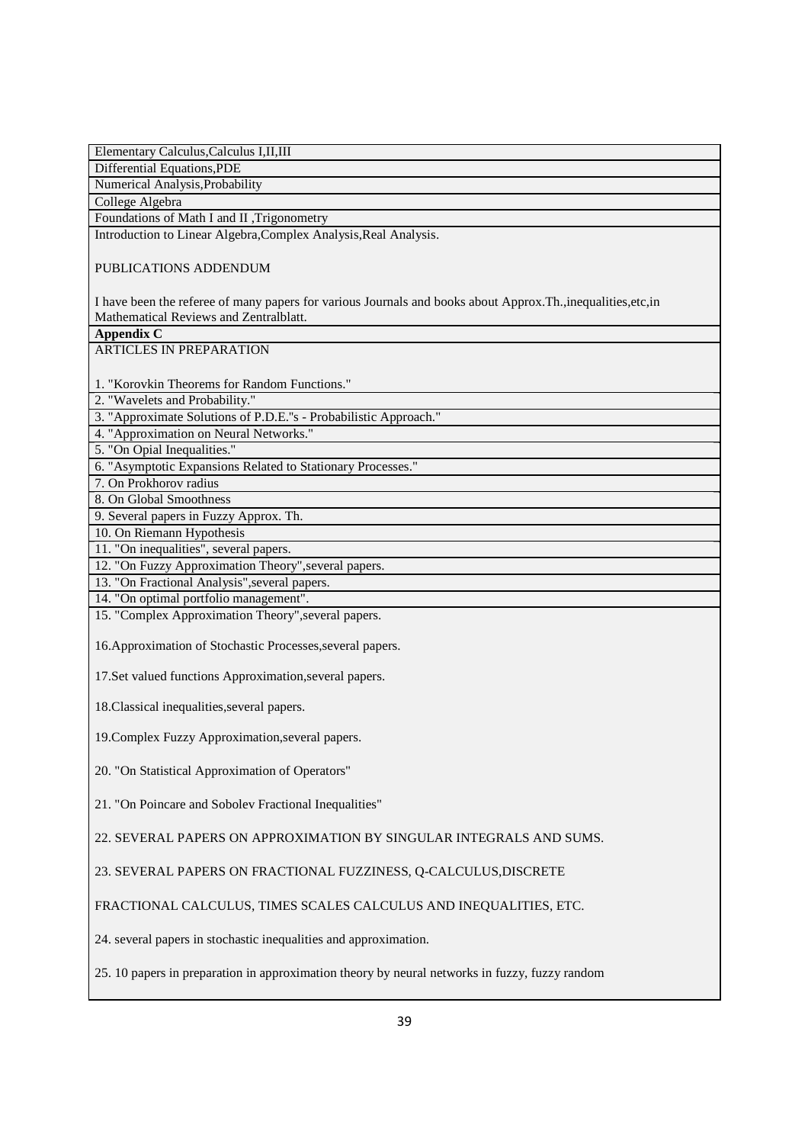| Elementary Calculus, Calculus I, II, III                                                                                                                 |
|----------------------------------------------------------------------------------------------------------------------------------------------------------|
| Differential Equations, PDE                                                                                                                              |
| Numerical Analysis, Probability                                                                                                                          |
| College Algebra                                                                                                                                          |
| Foundations of Math I and II , Trigonometry                                                                                                              |
| Introduction to Linear Algebra, Complex Analysis, Real Analysis.                                                                                         |
| PUBLICATIONS ADDENDUM                                                                                                                                    |
| I have been the referee of many papers for various Journals and books about Approx. Th., inequalities, etc, in<br>Mathematical Reviews and Zentralblatt. |
| <b>Appendix C</b>                                                                                                                                        |
| ARTICLES IN PREPARATION                                                                                                                                  |
|                                                                                                                                                          |
| 1. "Korovkin Theorems for Random Functions."                                                                                                             |
| 2. "Wavelets and Probability."                                                                                                                           |
| 3. "Approximate Solutions of P.D.E."s - Probabilistic Approach."                                                                                         |
| 4. "Approximation on Neural Networks."                                                                                                                   |
| 5. "On Opial Inequalities."                                                                                                                              |
| 6. "Asymptotic Expansions Related to Stationary Processes."                                                                                              |
| 7. On Prokhorov radius                                                                                                                                   |
| 8. On Global Smoothness                                                                                                                                  |
| 9. Several papers in Fuzzy Approx. Th.                                                                                                                   |
| 10. On Riemann Hypothesis                                                                                                                                |
| 11. "On inequalities", several papers.                                                                                                                   |
| 12. "On Fuzzy Approximation Theory", several papers.                                                                                                     |
| 13. "On Fractional Analysis", several papers.                                                                                                            |
| 14. "On optimal portfolio management".                                                                                                                   |
| 15. "Complex Approximation Theory", several papers.                                                                                                      |
| 16. Approximation of Stochastic Processes, several papers.                                                                                               |
| 17. Set valued functions Approximation, several papers.                                                                                                  |
| 18. Classical inequalities, several papers.                                                                                                              |
| 19. Complex Fuzzy Approximation, several papers.                                                                                                         |
| 20. "On Statistical Approximation of Operators"                                                                                                          |
| 21. "On Poincare and Sobolev Fractional Inequalities"                                                                                                    |
| 22. SEVERAL PAPERS ON APPROXIMATION BY SINGULAR INTEGRALS AND SUMS.                                                                                      |
| 23. SEVERAL PAPERS ON FRACTIONAL FUZZINESS, Q-CALCULUS, DISCRETE                                                                                         |
| FRACTIONAL CALCULUS, TIMES SCALES CALCULUS AND INEQUALITIES, ETC.                                                                                        |
| 24. several papers in stochastic inequalities and approximation.                                                                                         |
| 25. 10 papers in preparation in approximation theory by neural networks in fuzzy, fuzzy random                                                           |
|                                                                                                                                                          |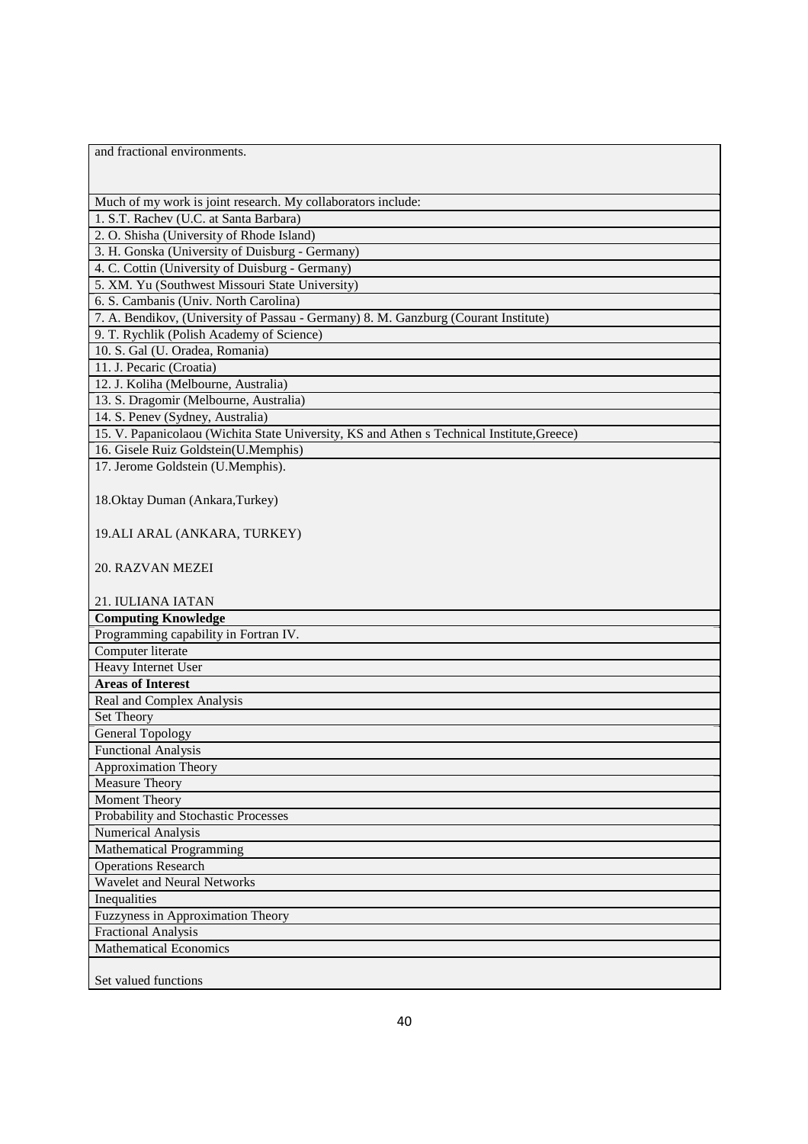and fractional environments.

Much of my work is joint research. My collaborators include:

1. S.T. Rachev (U.C. at Santa Barbara)

2. O. Shisha (University of Rhode Island)

3. H. Gonska (University of Duisburg - Germany)

4. C. Cottin (University of Duisburg - Germany)

5. XM. Yu (Southwest Missouri State University) 6. S. Cambanis (Univ. North Carolina)

7. A. Bendikov, (University of Passau - Germany) 8. M. Ganzburg (Courant Institute)

9. T. Rychlik (Polish Academy of Science)

10. S. Gal (U. Oradea, Romania)

11. J. Pecaric (Croatia)

12. J. Koliha (Melbourne, Australia)

13. S. Dragomir (Melbourne, Australia)

14. S. Penev (Sydney, Australia)

15. V. Papanicolaou (Wichita State University, KS and Athen s Technical Institute,Greece)

16. Gisele Ruiz Goldstein(U.Memphis)

17. Jerome Goldstein (U.Memphis).

18.Oktay Duman (Ankara,Turkey)

19.ALI ARAL (ANKARA, TURKEY)

20. RAZVAN MEZEI

21. IULIANA IATAN

**Computing Knowledge** Programming capability in Fortran IV.

## Computer literate

Heavy Internet User

### **Areas of Interest**

Real and Complex Analysis

## Set Theory

General Topology Functional Analysis

#### Approximation Theory

Measure Theory

## Moment Theory

Probability and Stochastic Processes

#### Numerical Analysis Mathematical Programming

Operations Research

## Wavelet and Neural Networks

Inequalities

# Fuzzyness in Approximation Theory

Fractional Analysis

### Mathematical Economics

Set valued functions